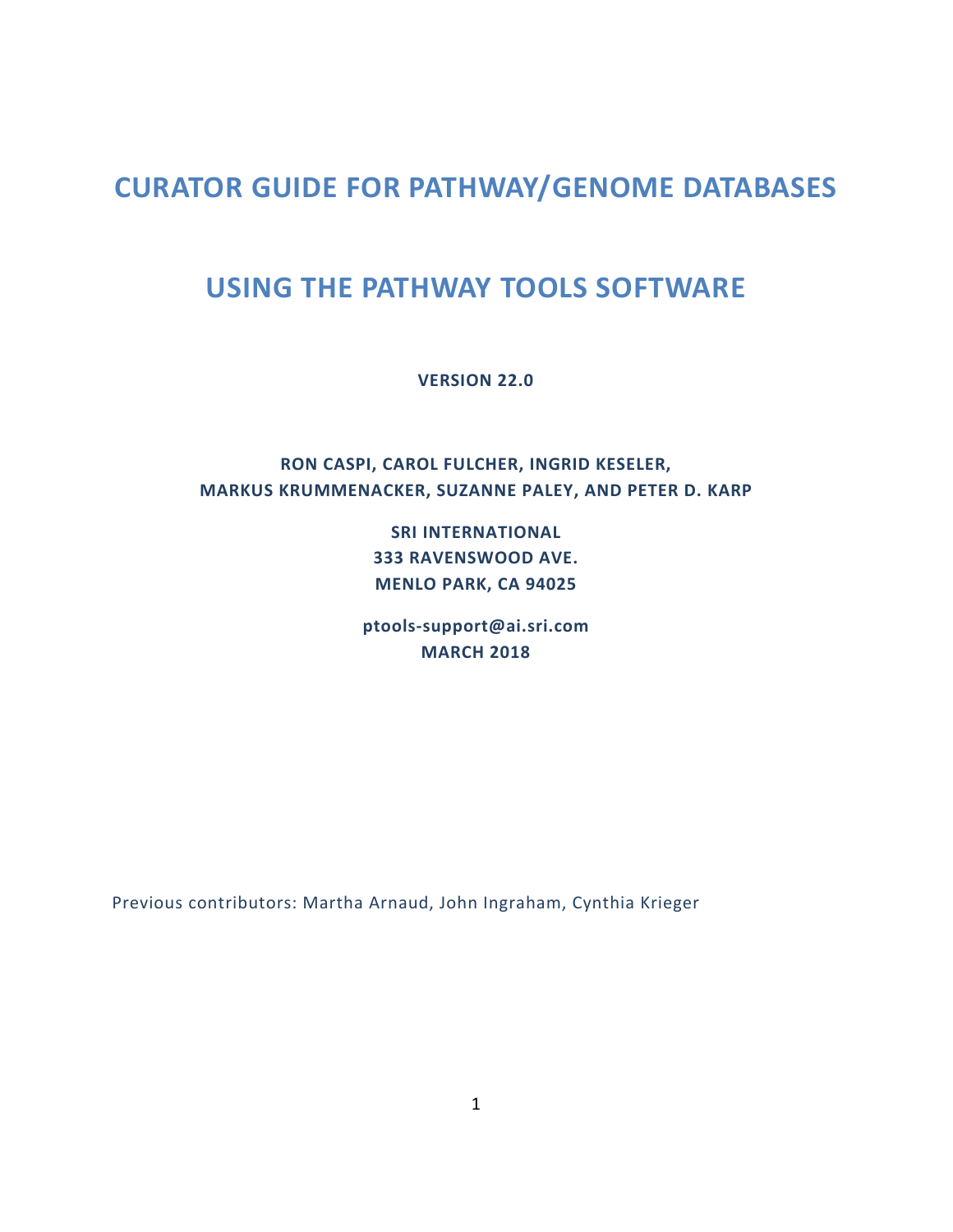# **CURATOR GUIDE FOR PATHWAY/GENOME DATABASES**

# **USING THE PATHWAY TOOLS SOFTWARE**

**VERSION 22.0**

## **RON CASPI, CAROL FULCHER, INGRID KESELER, MARKUS KRUMMENACKER, SUZANNE PALEY, AND PETER D. KARP**

**SRI INTERNATIONAL 333 RAVENSWOOD AVE. MENLO PARK, CA 94025**

**[ptools-support@ai.sri.com](mailto:ptools-support@ai.sri.com) MARCH 2018**

Previous contributors: Martha Arnaud, John Ingraham, Cynthia Krieger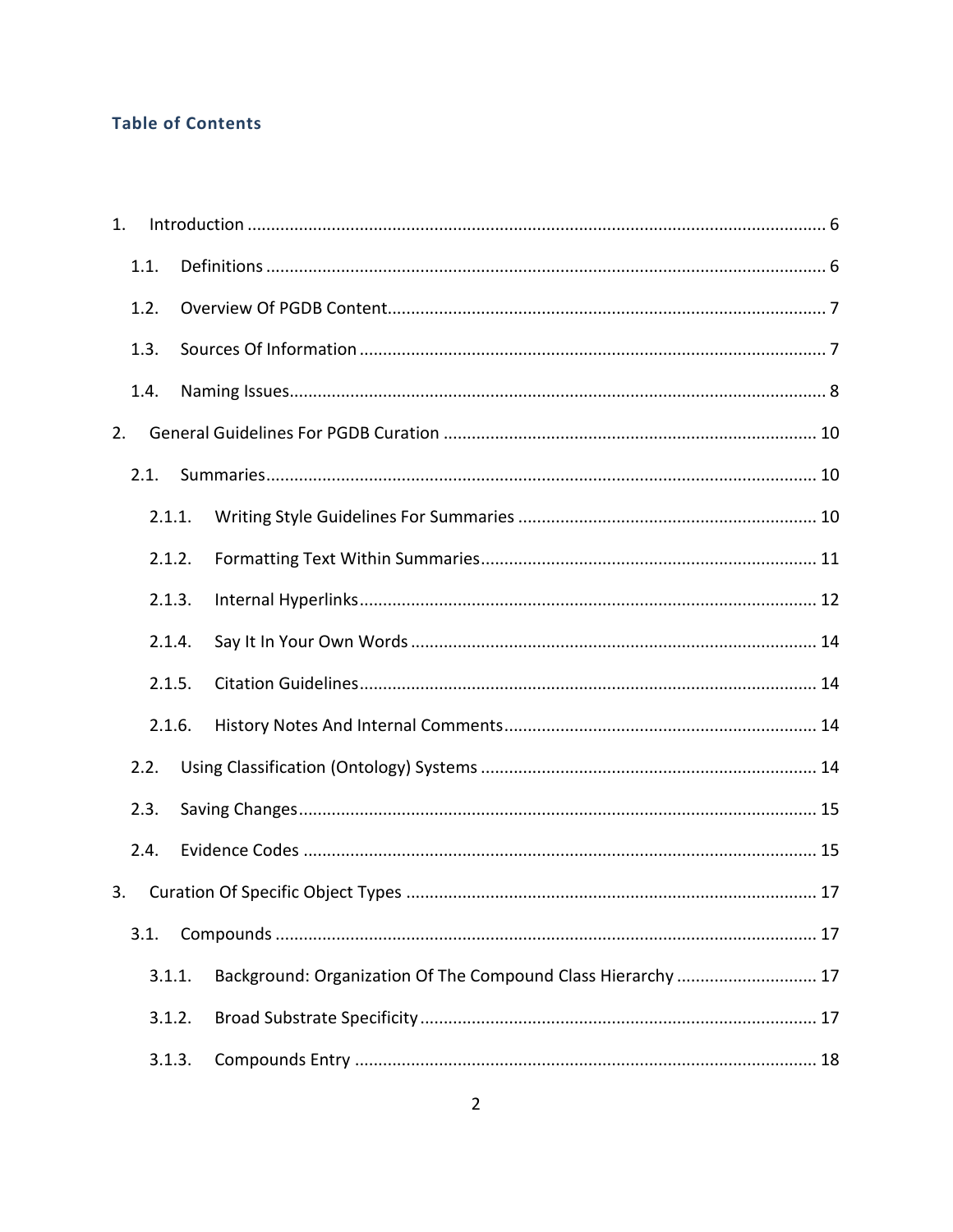## **Table of Contents**

| 1. |        |                                                              |
|----|--------|--------------------------------------------------------------|
|    | 1.1.   |                                                              |
|    | 1.2.   |                                                              |
|    | 1.3.   |                                                              |
|    | 1.4.   |                                                              |
| 2. |        |                                                              |
|    | 2.1.   |                                                              |
|    | 2.1.1. |                                                              |
|    | 2.1.2. |                                                              |
|    | 2.1.3. |                                                              |
|    | 2.1.4. |                                                              |
|    | 2.1.5. |                                                              |
|    | 2.1.6. |                                                              |
|    | 2.2.   |                                                              |
|    | 2.3.   |                                                              |
|    | 2.4.   |                                                              |
| 3. |        |                                                              |
|    | 3.1.   |                                                              |
|    | 3.1.1. | Background: Organization Of The Compound Class Hierarchy  17 |
|    | 3.1.2. |                                                              |
|    | 3.1.3. |                                                              |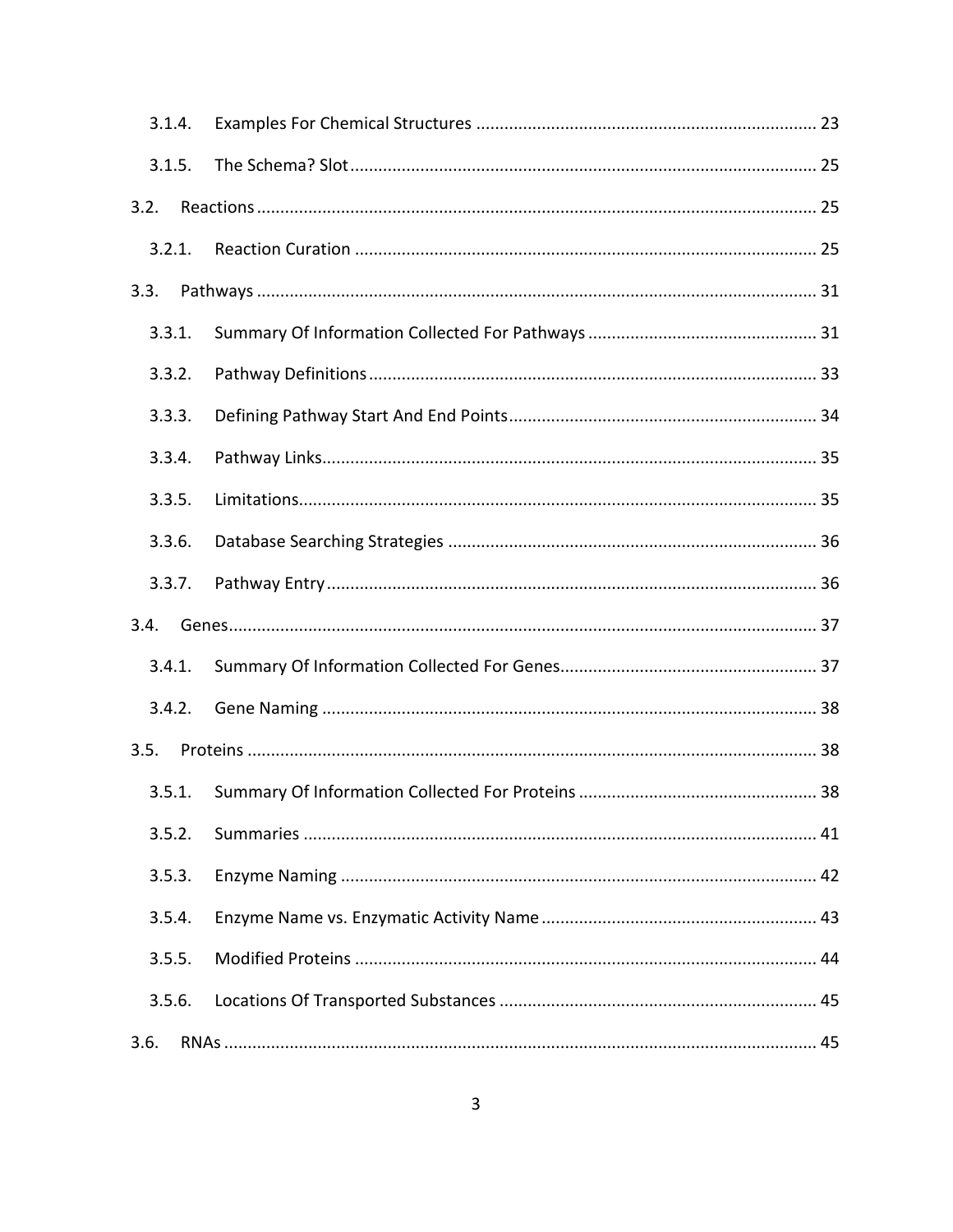| 3.1.4. |        |  |
|--------|--------|--|
| 3.1.5. |        |  |
| 3.2.   |        |  |
|        | 3.2.1. |  |
| 3.3.   |        |  |
| 3.3.1. |        |  |
| 3.3.2. |        |  |
| 3.3.3. |        |  |
| 3.3.4. |        |  |
| 3.3.5. |        |  |
| 3.3.6. |        |  |
| 3.3.7. |        |  |
| 3.4.   |        |  |
| 3.4.1. |        |  |
|        | 3.4.2. |  |
| 3.5.   |        |  |
| 3.5.1. |        |  |
| 3.5.2. |        |  |
| 3.5.3. |        |  |
| 3.5.4. |        |  |
| 3.5.5. |        |  |
| 3.5.6. |        |  |
| 3.6.   |        |  |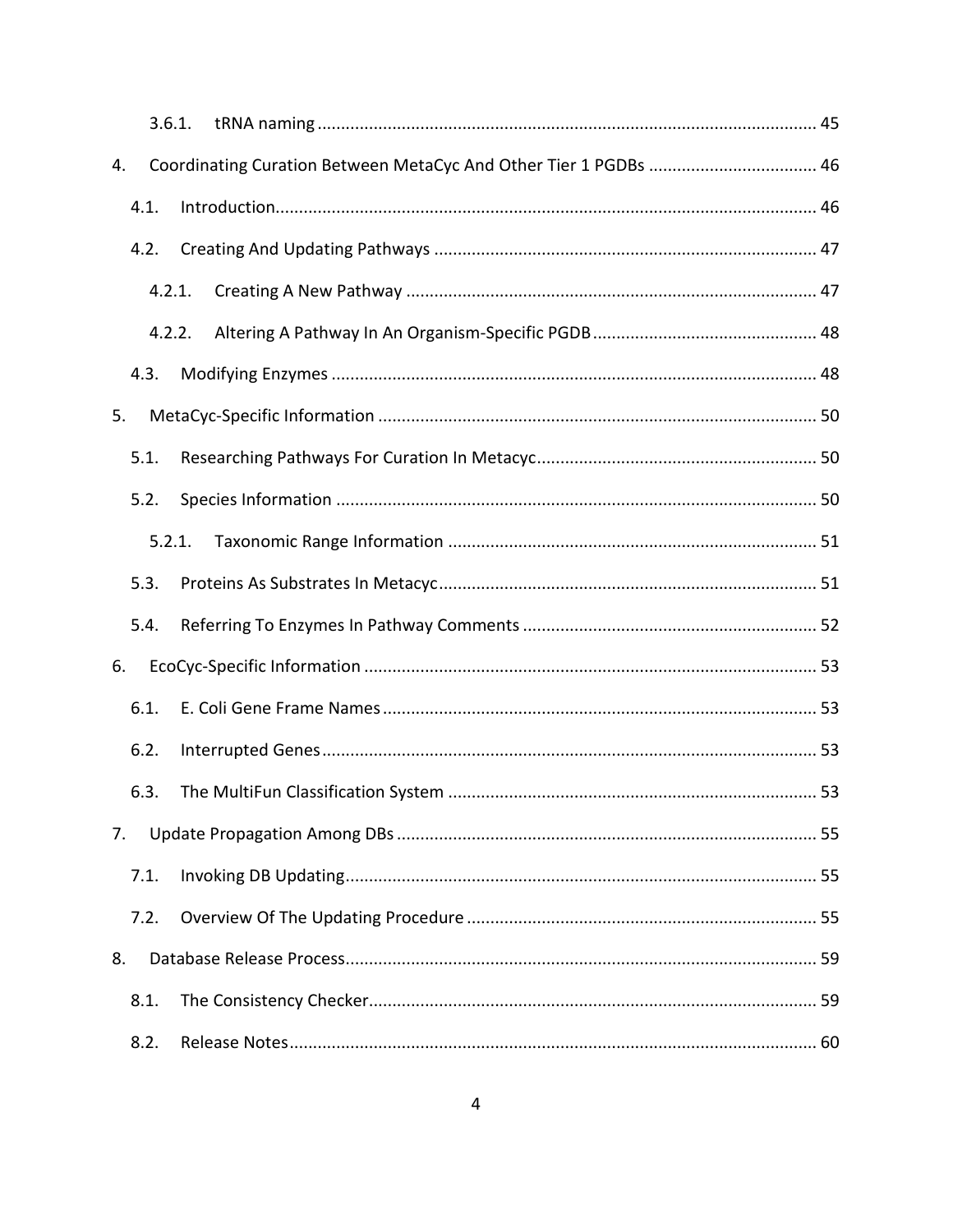|    |      | 3.6.1. |                                                                  |  |
|----|------|--------|------------------------------------------------------------------|--|
| 4. |      |        | Coordinating Curation Between MetaCyc And Other Tier 1 PGDBs  46 |  |
|    | 4.1. |        |                                                                  |  |
|    | 4.2. |        |                                                                  |  |
|    |      | 4.2.1. |                                                                  |  |
|    |      | 4.2.2. |                                                                  |  |
|    | 4.3. |        |                                                                  |  |
| 5. |      |        |                                                                  |  |
|    | 5.1. |        |                                                                  |  |
|    | 5.2. |        |                                                                  |  |
|    |      | 5.2.1. |                                                                  |  |
|    | 5.3. |        |                                                                  |  |
|    | 5.4. |        |                                                                  |  |
| 6. |      |        |                                                                  |  |
|    | 6.1. |        |                                                                  |  |
|    | 6.2. |        |                                                                  |  |
|    | 6.3. |        |                                                                  |  |
| 7. |      |        |                                                                  |  |
|    | 7.1. |        |                                                                  |  |
|    | 7.2. |        |                                                                  |  |
| 8. |      |        |                                                                  |  |
|    | 8.1. |        |                                                                  |  |
|    | 8.2. |        |                                                                  |  |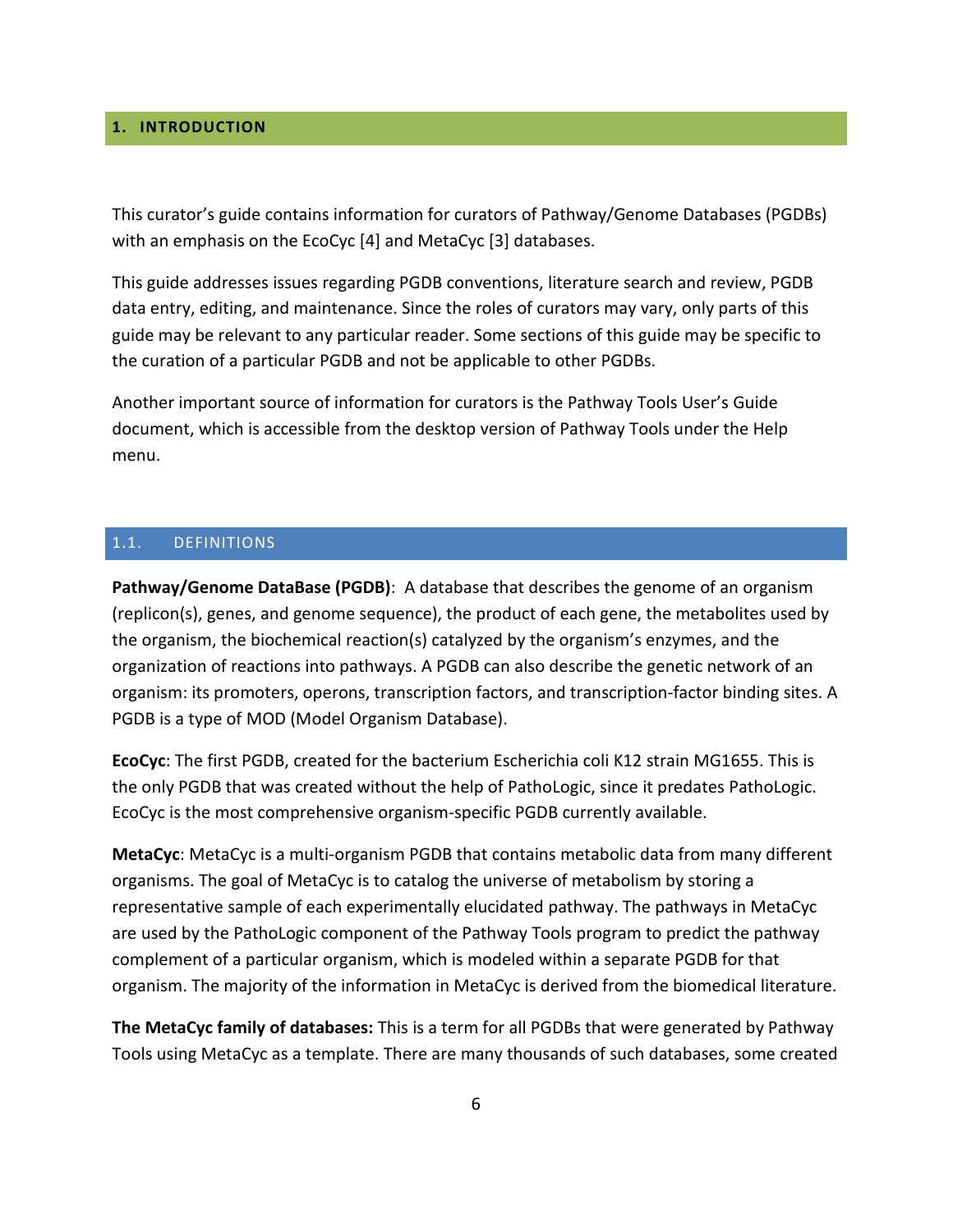## <span id="page-5-0"></span>**1. INTRODUCTION**

This curator's guide contains information for curators of Pathway/Genome Databases (PGDBs) with an emphasis on the EcoCyc [4] and MetaCyc [3] databases.

This guide addresses issues regarding PGDB conventions, literature search and review, PGDB data entry, editing, and maintenance. Since the roles of curators may vary, only parts of this guide may be relevant to any particular reader. Some sections of this guide may be specific to the curation of a particular PGDB and not be applicable to other PGDBs.

Another important source of information for curators is the Pathway Tools User's Guide document, which is accessible from the desktop version of Pathway Tools under the Help menu.

#### <span id="page-5-1"></span>1.1. DEFINITIONS

**Pathway/Genome DataBase (PGDB)**: A database that describes the genome of an organism (replicon(s), genes, and genome sequence), the product of each gene, the metabolites used by the organism, the biochemical reaction(s) catalyzed by the organism's enzymes, and the organization of reactions into pathways. A PGDB can also describe the genetic network of an organism: its promoters, operons, transcription factors, and transcription-factor binding sites. A PGDB is a type of MOD (Model Organism Database).

**EcoCyc**: The first PGDB, created for the bacterium Escherichia coli K12 strain MG1655. This is the only PGDB that was created without the help of PathoLogic, since it predates PathoLogic. EcoCyc is the most comprehensive organism-specific PGDB currently available.

**MetaCyc**: MetaCyc is a multi-organism PGDB that contains metabolic data from many different organisms. The goal of MetaCyc is to catalog the universe of metabolism by storing a representative sample of each experimentally elucidated pathway. The pathways in MetaCyc are used by the PathoLogic component of the Pathway Tools program to predict the pathway complement of a particular organism, which is modeled within a separate PGDB for that organism. The majority of the information in MetaCyc is derived from the biomedical literature.

**The MetaCyc family of databases:** This is a term for all PGDBs that were generated by Pathway Tools using MetaCyc as a template. There are many thousands of such databases, some created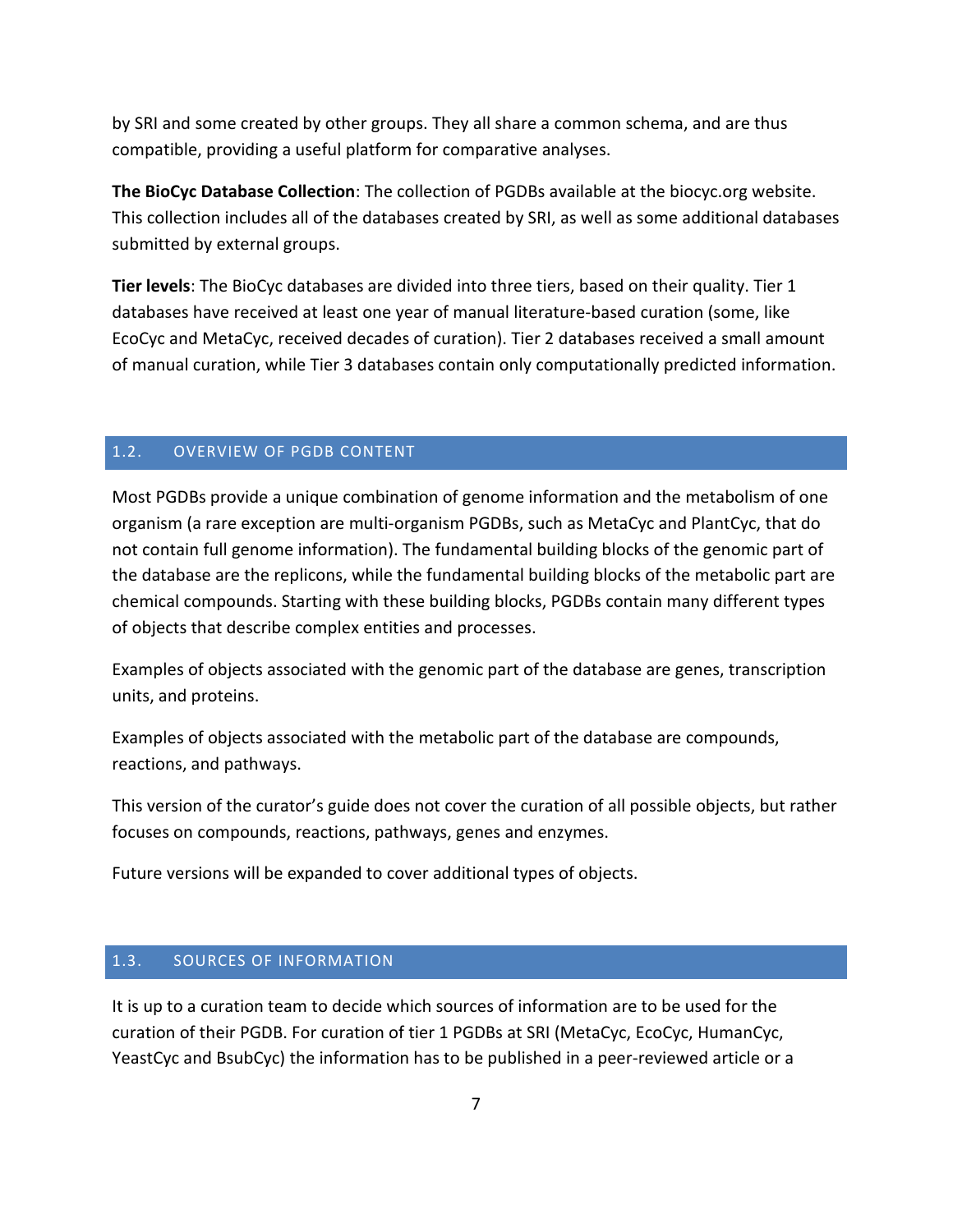by SRI and some created by other groups. They all share a common schema, and are thus compatible, providing a useful platform for comparative analyses.

**The BioCyc Database Collection**: The collection of PGDBs available at the biocyc.org website. This collection includes all of the databases created by SRI, as well as some additional databases submitted by external groups.

**Tier levels**: The BioCyc databases are divided into three tiers, based on their quality. Tier 1 databases have received at least one year of manual literature-based curation (some, like EcoCyc and MetaCyc, received decades of curation). Tier 2 databases received a small amount of manual curation, while Tier 3 databases contain only computationally predicted information.

## <span id="page-6-0"></span>1.2. OVERVIEW OF PGDB CONTENT

Most PGDBs provide a unique combination of genome information and the metabolism of one organism (a rare exception are multi-organism PGDBs, such as MetaCyc and PlantCyc, that do not contain full genome information). The fundamental building blocks of the genomic part of the database are the replicons, while the fundamental building blocks of the metabolic part are chemical compounds. Starting with these building blocks, PGDBs contain many different types of objects that describe complex entities and processes.

Examples of objects associated with the genomic part of the database are genes, transcription units, and proteins.

Examples of objects associated with the metabolic part of the database are compounds, reactions, and pathways.

This version of the curator's guide does not cover the curation of all possible objects, but rather focuses on compounds, reactions, pathways, genes and enzymes.

Future versions will be expanded to cover additional types of objects.

#### <span id="page-6-1"></span>1.3. SOURCES OF INFORMATION

It is up to a curation team to decide which sources of information are to be used for the curation of their PGDB. For curation of tier 1 PGDBs at SRI (MetaCyc, EcoCyc, HumanCyc, YeastCyc and BsubCyc) the information has to be published in a peer-reviewed article or a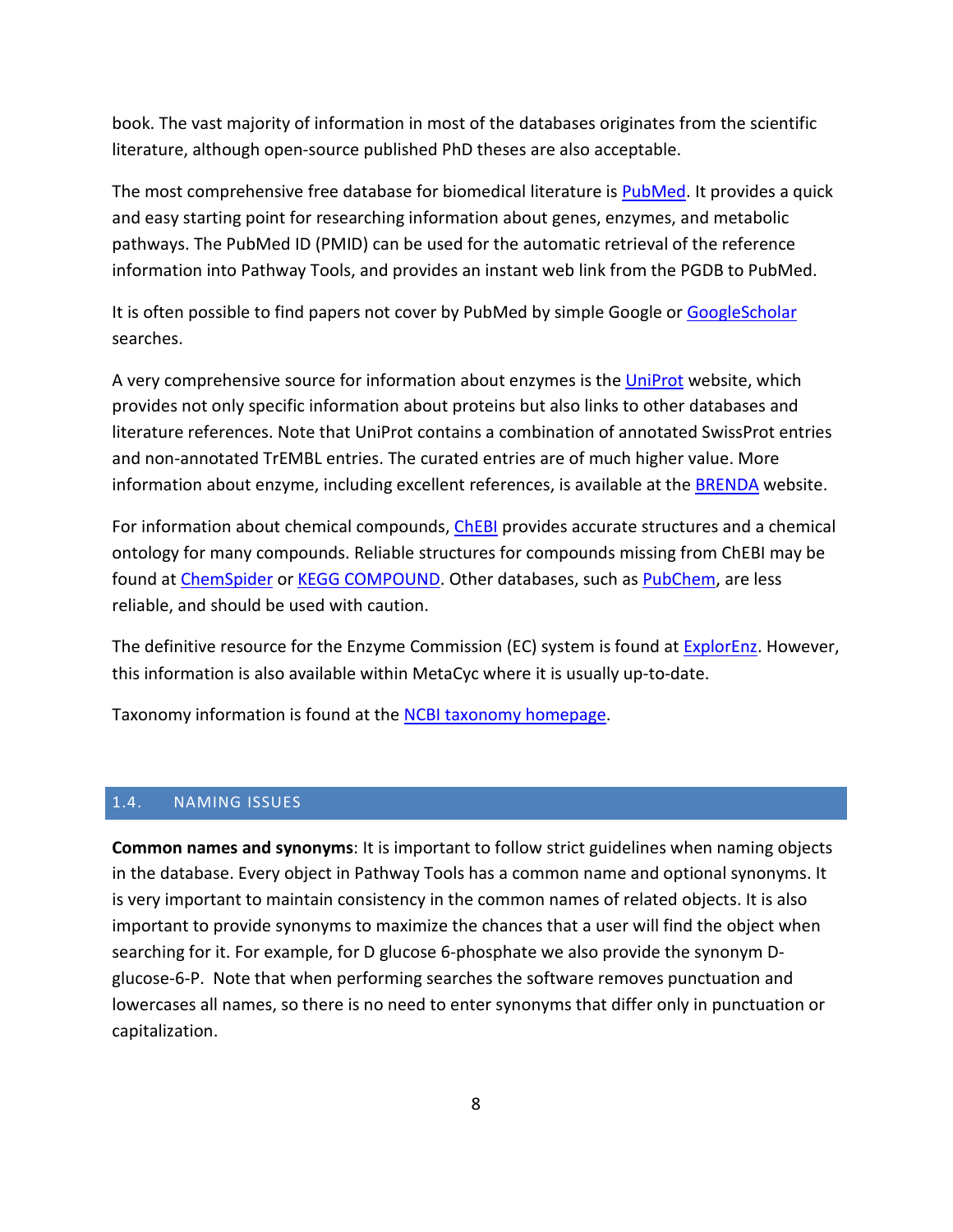book. The vast majority of information in most of the databases originates from the scientific literature, although open-source published PhD theses are also acceptable.

The most comprehensive free database for biomedical literature is [PubMed.](http://www.ncbi.nlm.nih.gov/pubmed) It provides a quick and easy starting point for researching information about genes, enzymes, and metabolic pathways. The PubMed ID (PMID) can be used for the automatic retrieval of the reference information into Pathway Tools, and provides an instant web link from the PGDB to PubMed.

It is often possible to find papers not cover by PubMed by simple Google or [GoogleScholar](http://scholar.google.com/) searches.

A very comprehensive source for information about enzymes is the [UniProt](http://www.uniprot.org/) website, which provides not only specific information about proteins but also links to other databases and literature references. Note that UniProt contains a combination of annotated SwissProt entries and non-annotated TrEMBL entries. The curated entries are of much higher value. More information about enzyme, including excellent references, is available at the **BRENDA** website.

For information about chemical compounds, [ChEBI](http://www.ebi.ac.uk/chebi/) provides accurate structures and a chemical ontology for many compounds. Reliable structures for compounds missing from ChEBI may be found at [ChemSpider](http://www.chemspider.com/) or [KEGG COMPOUND.](http://www.genome.jp/kegg/compound/) Other databases, such as [PubChem,](https://pubchem.ncbi.nlm.nih.gov/) are less reliable, and should be used with caution.

The definitive resource for the Enzyme Commission (EC) system is found at **ExplorEnz**. However, this information is also available within MetaCyc where it is usually up-to-date.

Taxonomy information is found at the [NCBI taxonomy homepage.](http://www.ncbi.nlm.nih.gov/Taxonomy/taxonomyhome.html/)

#### <span id="page-7-0"></span>1.4. NAMING ISSUES

**Common names and synonyms**: It is important to follow strict guidelines when naming objects in the database. Every object in Pathway Tools has a common name and optional synonyms. It is very important to maintain consistency in the common names of related objects. It is also important to provide synonyms to maximize the chances that a user will find the object when searching for it. For example, for D glucose 6-phosphate we also provide the synonym Dglucose-6-P. Note that when performing searches the software removes punctuation and lowercases all names, so there is no need to enter synonyms that differ only in punctuation or capitalization.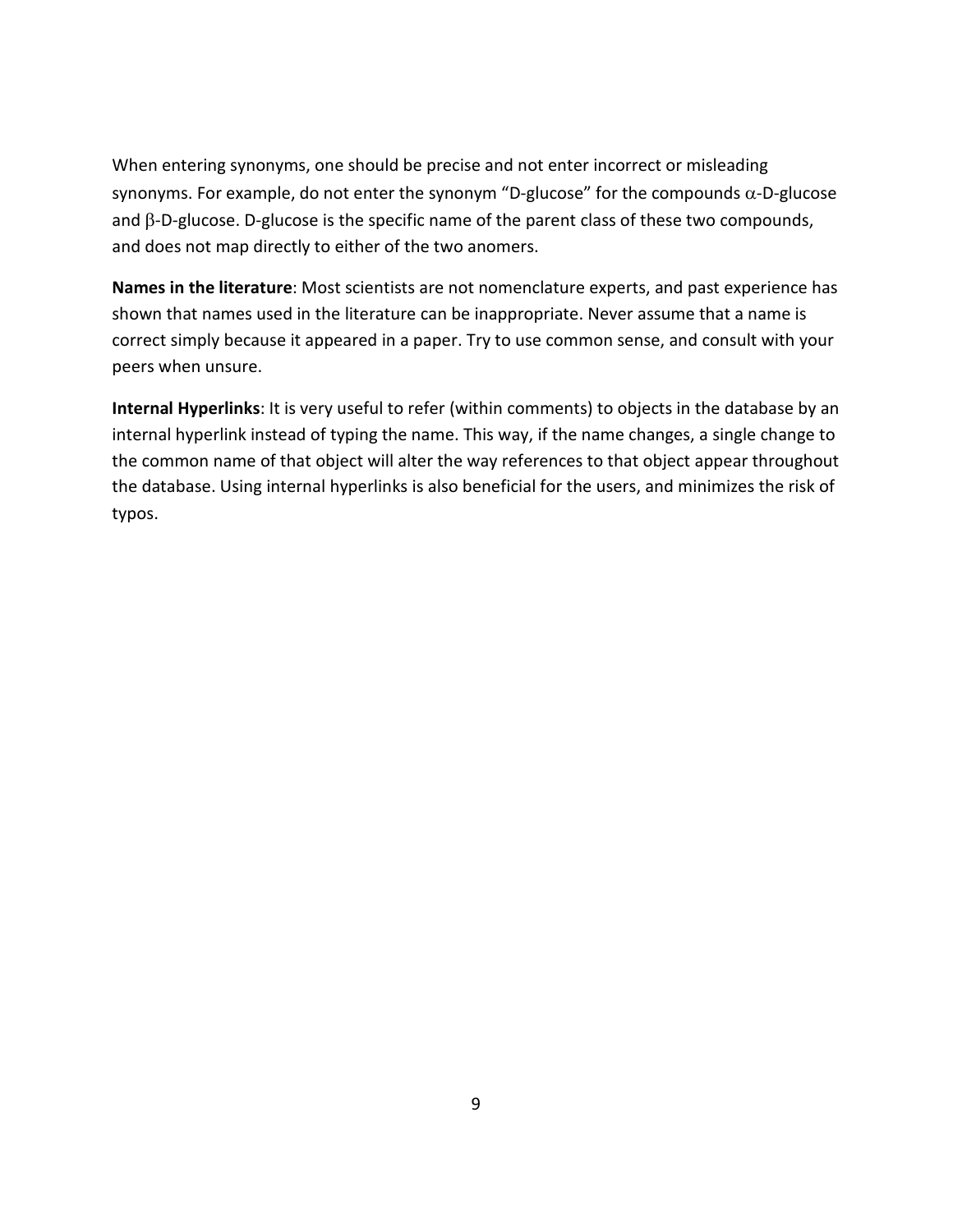When entering synonyms, one should be precise and not enter incorrect or misleading synonyms. For example, do not enter the synonym "D-glucose" for the compounds α-D-glucose and β-D-glucose. D-glucose is the specific name of the parent class of these two compounds, and does not map directly to either of the two anomers.

**Names in the literature**: Most scientists are not nomenclature experts, and past experience has shown that names used in the literature can be inappropriate. Never assume that a name is correct simply because it appeared in a paper. Try to use common sense, and consult with your peers when unsure.

**Internal Hyperlinks**: It is very useful to refer (within comments) to objects in the database by an internal hyperlink instead of typing the name. This way, if the name changes, a single change to the common name of that object will alter the way references to that object appear throughout the database. Using internal hyperlinks is also beneficial for the users, and minimizes the risk of typos.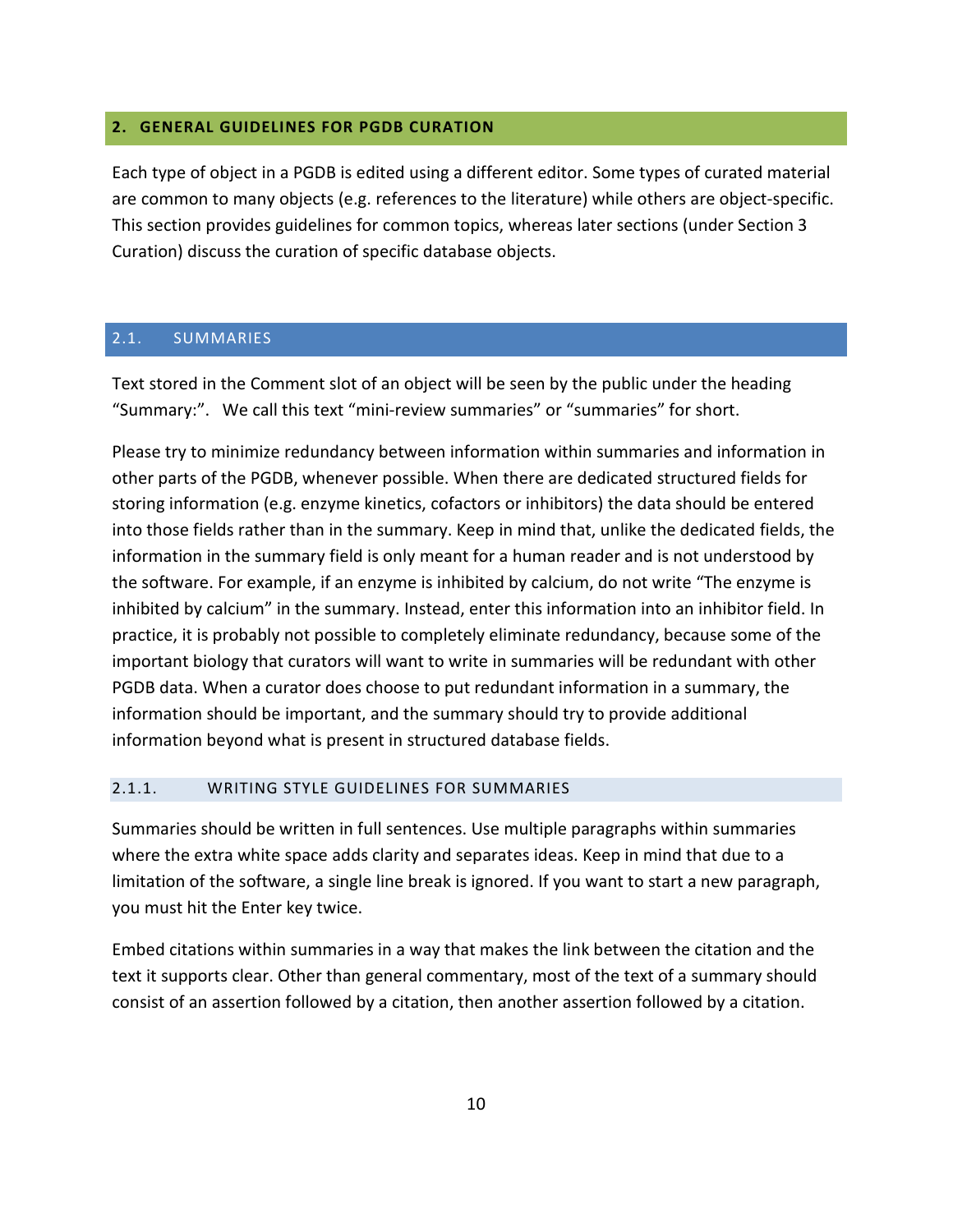## <span id="page-9-0"></span>**2. GENERAL GUIDELINES FOR PGDB CURATION**

Each type of object in a PGDB is edited using a different editor. Some types of curated material are common to many objects (e.g. references to the literature) while others are object-specific. This section provides guidelines for common topics, whereas later sections (under Section [3](#page-16-0) [Curation\)](#page-16-0) discuss the curation of specific database objects.

## <span id="page-9-1"></span>2.1. SUMMARIES

Text stored in the Comment slot of an object will be seen by the public under the heading "Summary:". We call this text "mini-review summaries" or "summaries" for short.

Please try to minimize redundancy between information within summaries and information in other parts of the PGDB, whenever possible. When there are dedicated structured fields for storing information (e.g. enzyme kinetics, cofactors or inhibitors) the data should be entered into those fields rather than in the summary. Keep in mind that, unlike the dedicated fields, the information in the summary field is only meant for a human reader and is not understood by the software. For example, if an enzyme is inhibited by calcium, do not write "The enzyme is inhibited by calcium" in the summary. Instead, enter this information into an inhibitor field. In practice, it is probably not possible to completely eliminate redundancy, because some of the important biology that curators will want to write in summaries will be redundant with other PGDB data. When a curator does choose to put redundant information in a summary, the information should be important, and the summary should try to provide additional information beyond what is present in structured database fields.

#### <span id="page-9-2"></span>2.1.1. WRITING STYLE GUIDELINES FOR SUMMARIES

Summaries should be written in full sentences. Use multiple paragraphs within summaries where the extra white space adds clarity and separates ideas. Keep in mind that due to a limitation of the software, a single line break is ignored. If you want to start a new paragraph, you must hit the Enter key twice.

Embed citations within summaries in a way that makes the link between the citation and the text it supports clear. Other than general commentary, most of the text of a summary should consist of an assertion followed by a citation, then another assertion followed by a citation.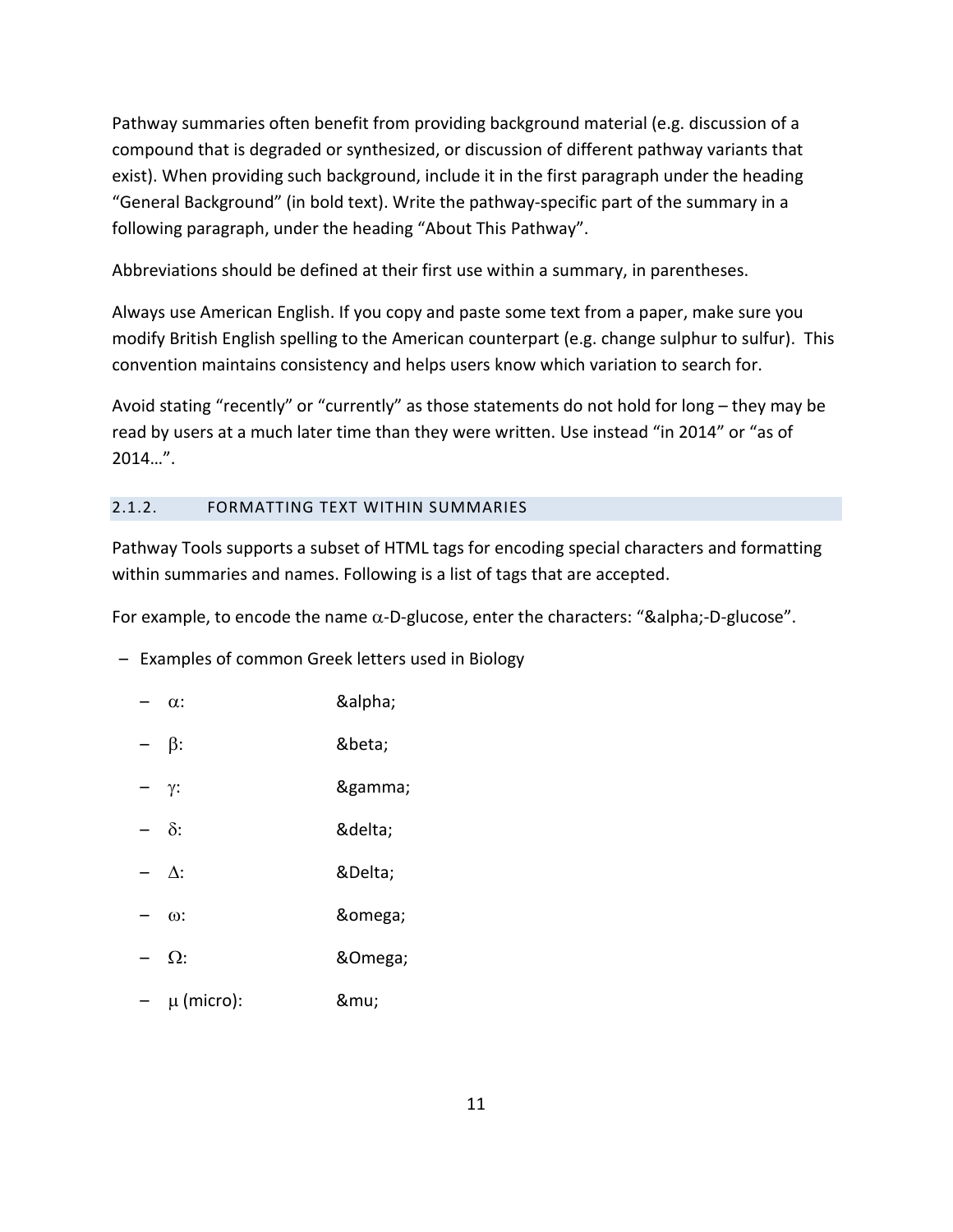Pathway summaries often benefit from providing background material (e.g. discussion of a compound that is degraded or synthesized, or discussion of different pathway variants that exist). When providing such background, include it in the first paragraph under the heading "General Background" (in bold text). Write the pathway-specific part of the summary in a following paragraph, under the heading "About This Pathway".

Abbreviations should be defined at their first use within a summary, in parentheses.

Always use American English. If you copy and paste some text from a paper, make sure you modify British English spelling to the American counterpart (e.g. change sulphur to sulfur). This convention maintains consistency and helps users know which variation to search for.

Avoid stating "recently" or "currently" as those statements do not hold for long – they may be read by users at a much later time than they were written. Use instead "in 2014" or "as of 2014…".

## <span id="page-10-0"></span>2.1.2. FORMATTING TEXT WITHIN SUMMARIES

Pathway Tools supports a subset of HTML tags for encoding special characters and formatting within summaries and names. Following is a list of tags that are accepted.

For example, to encode the name  $\alpha$ -D-glucose, enter the characters: "α-D-glucose".

- Examples of common Greek letters used in Biology
	- $-$  α:  $\alpha$  α
	- $-$  β: 8beta;
	- γ: γ
	- δ: δ
	- $-$  ∆: 8Delta;
	- ω: ω
	- $-$  Ω: 80 mega;
	- µ (micro): μ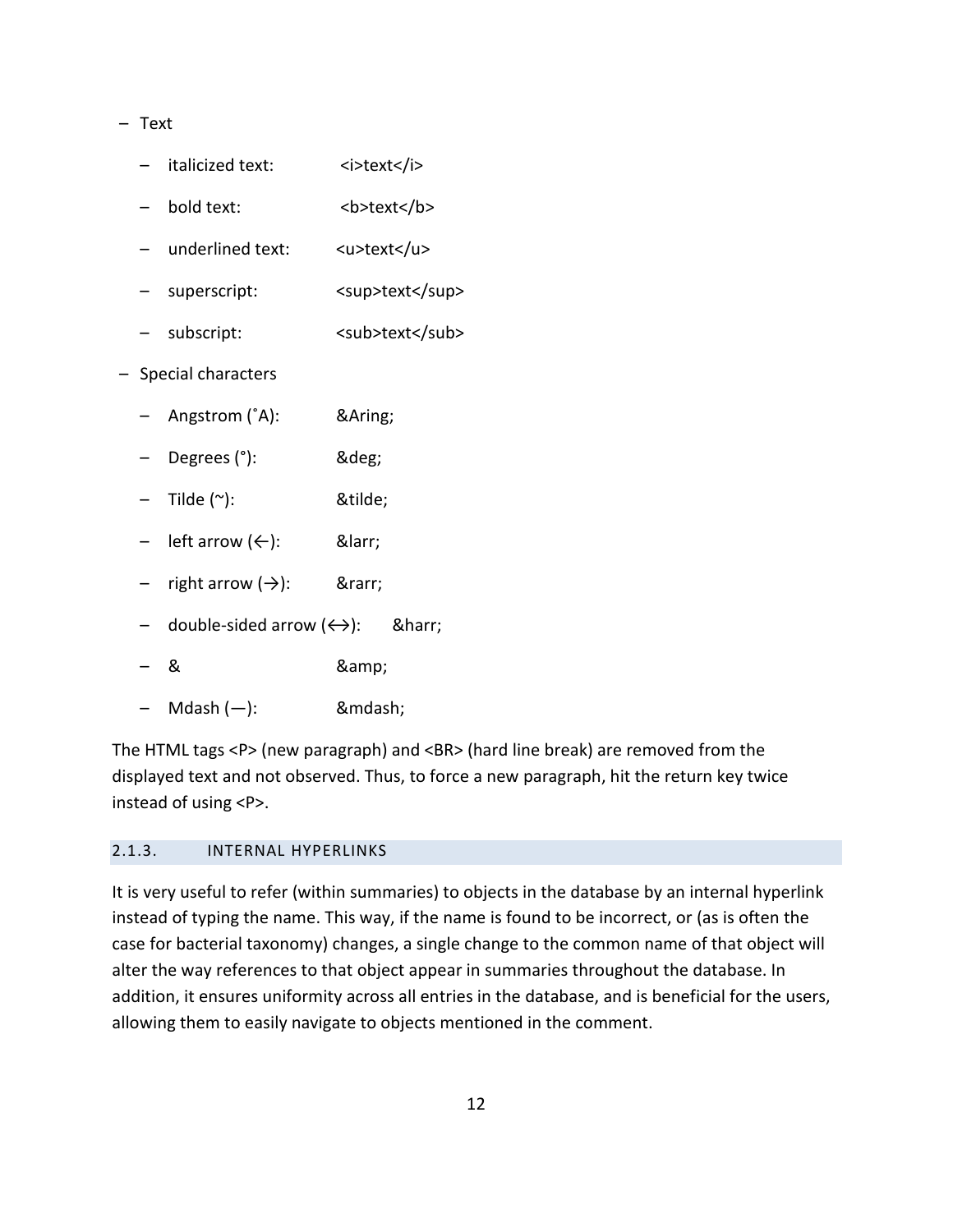#### – Text

|  |  | italicized text:                         | <i>text</i>     |
|--|--|------------------------------------------|-----------------|
|  |  | - bold text:                             | <b>text</b>     |
|  |  | - underlined text:                       | <u>text</u>     |
|  |  | - superscript:                           | <sup>text</sup> |
|  |  | - subscript:                             | <sub>text</sub> |
|  |  | Special characters                       |                 |
|  |  | - Angstrom (°A):                         | Å               |
|  |  | - Degrees (°):                           | °               |
|  |  | $-$ Tilde (~):                           | ˜               |
|  |  | left arrow $(\leftarrow)$ :              | ←               |
|  |  | right arrow $(\rightarrow)$ :            | →               |
|  |  | double-sided arrow $(\leftrightarrow)$ : | ↔               |
|  |  |                                          |                 |

- & &
- Mdash (—): —

The HTML tags <P> (new paragraph) and <BR> (hard line break) are removed from the displayed text and not observed. Thus, to force a new paragraph, hit the return key twice instead of using <P>.

## <span id="page-11-0"></span>2.1.3. INTERNAL HYPERLINKS

It is very useful to refer (within summaries) to objects in the database by an internal hyperlink instead of typing the name. This way, if the name is found to be incorrect, or (as is often the case for bacterial taxonomy) changes, a single change to the common name of that object will alter the way references to that object appear in summaries throughout the database. In addition, it ensures uniformity across all entries in the database, and is beneficial for the users, allowing them to easily navigate to objects mentioned in the comment.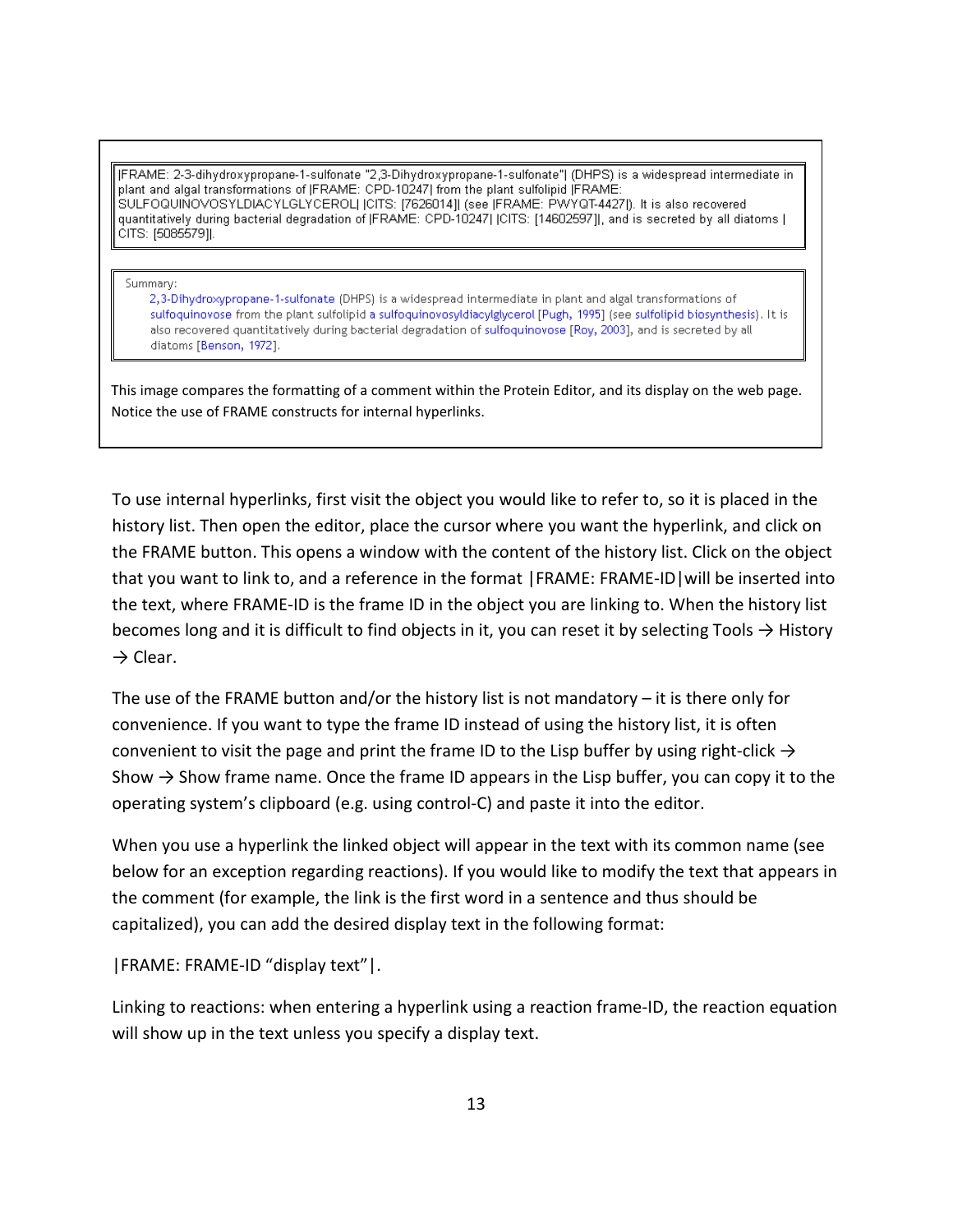[FRAME: 2-3-dihydroxypropane-1-sulfonate "2,3-Dihydroxypropane-1-sulfonate"] (DHPS) is a widespread intermediate in plant and algal transformations of (FRAME: CPD-10247) from the plant sulfolipid (FRAME: SULFOQUINOVOSYLDIACYLGLYCEROL| ICITS: [7626014]| (see IFRAME: PWYQT-4427]). It is also recovered quantitatively during bacterial degradation of JFRAME: CPD-10247| JCITS: [14602597]], and is secreted by all diatoms | CITS: [5085579]].

#### Summary:

2,3-Dihydroxypropane-1-sulfonate (DHPS) is a widespread intermediate in plant and algal transformations of sulfoquinovose from the plant sulfolipid a sulfoquinovosyldiacylglycerol [Pugh, 1995] (see sulfolipid biosynthesis). It is also recovered quantitatively during bacterial degradation of sulfoquinovose [Roy, 2003], and is secreted by all diatoms [Benson, 1972].

This image compares the formatting of a comment within the Protein Editor, and its display on the web page. Notice the use of FRAME constructs for internal hyperlinks.

To use internal hyperlinks, first visit the object you would like to refer to, so it is placed in the history list. Then open the editor, place the cursor where you want the hyperlink, and click on the FRAME button. This opens a window with the content of the history list. Click on the object that you want to link to, and a reference in the format |FRAME: FRAME-ID|will be inserted into the text, where FRAME-ID is the frame ID in the object you are linking to. When the history list becomes long and it is difficult to find objects in it, you can reset it by selecting Tools  $\rightarrow$  History  $\rightarrow$  Clear.

The use of the FRAME button and/or the history list is not mandatory – it is there only for convenience. If you want to type the frame ID instead of using the history list, it is often convenient to visit the page and print the frame ID to the Lisp buffer by using right-click  $\rightarrow$ Show  $\rightarrow$  Show frame name. Once the frame ID appears in the Lisp buffer, you can copy it to the operating system's clipboard (e.g. using control-C) and paste it into the editor.

When you use a hyperlink the linked object will appear in the text with its common name (see below for an exception regarding reactions). If you would like to modify the text that appears in the comment (for example, the link is the first word in a sentence and thus should be capitalized), you can add the desired display text in the following format:

|FRAME: FRAME-ID "display text"|.

Linking to reactions: when entering a hyperlink using a reaction frame-ID, the reaction equation will show up in the text unless you specify a display text.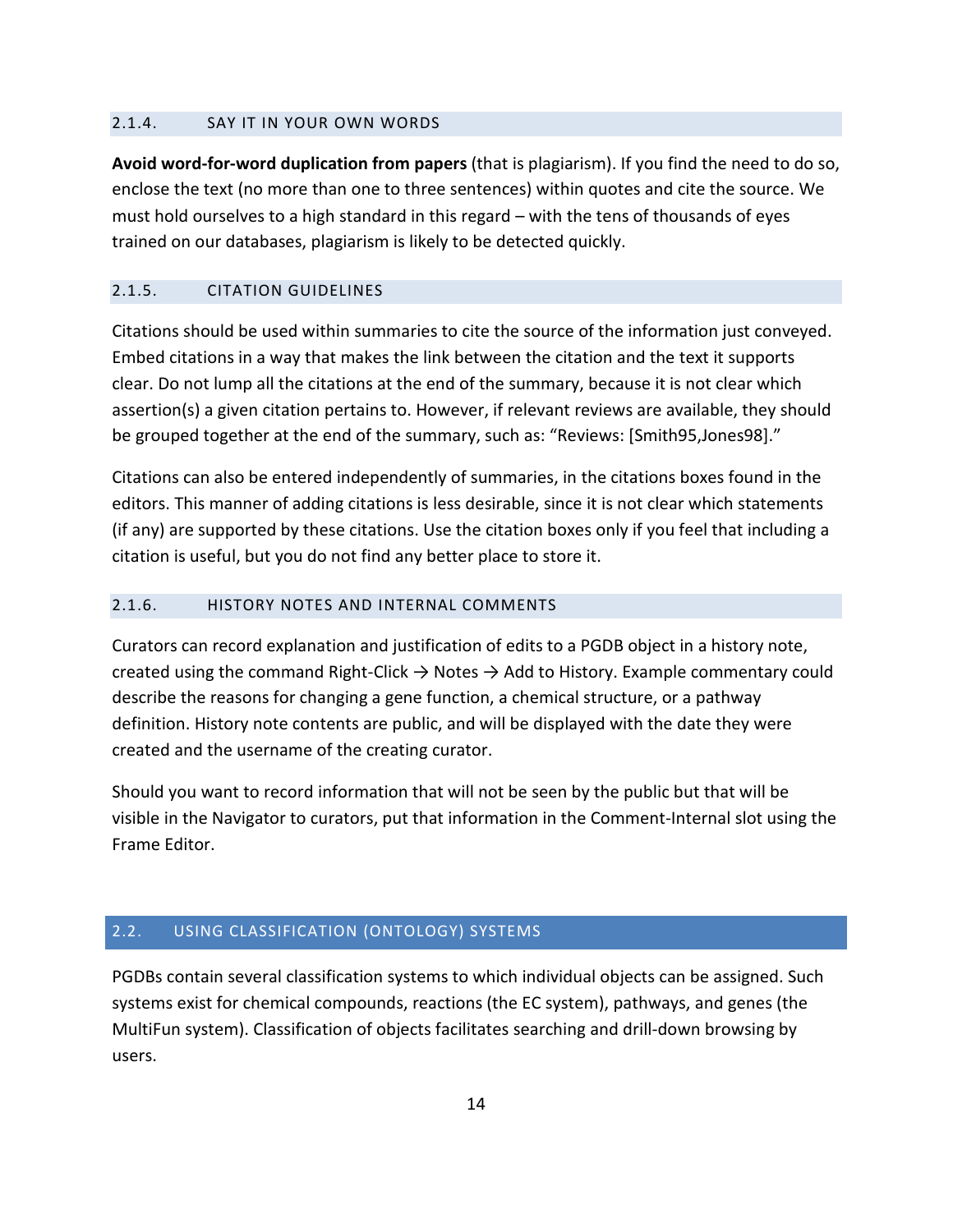#### <span id="page-13-0"></span>2.1.4. SAY IT IN YOUR OWN WORDS

**Avoid word-for-word duplication from papers** (that is plagiarism). If you find the need to do so, enclose the text (no more than one to three sentences) within quotes and cite the source. We must hold ourselves to a high standard in this regard – with the tens of thousands of eyes trained on our databases, plagiarism is likely to be detected quickly.

## <span id="page-13-1"></span>2.1.5. CITATION GUIDELINES

Citations should be used within summaries to cite the source of the information just conveyed. Embed citations in a way that makes the link between the citation and the text it supports clear. Do not lump all the citations at the end of the summary, because it is not clear which assertion(s) a given citation pertains to. However, if relevant reviews are available, they should be grouped together at the end of the summary, such as: "Reviews: [Smith95,Jones98]."

Citations can also be entered independently of summaries, in the citations boxes found in the editors. This manner of adding citations is less desirable, since it is not clear which statements (if any) are supported by these citations. Use the citation boxes only if you feel that including a citation is useful, but you do not find any better place to store it.

#### <span id="page-13-2"></span>2.1.6. HISTORY NOTES AND INTERNAL COMMENTS

Curators can record explanation and justification of edits to a PGDB object in a history note, created using the command Right-Click  $\rightarrow$  Notes  $\rightarrow$  Add to History. Example commentary could describe the reasons for changing a gene function, a chemical structure, or a pathway definition. History note contents are public, and will be displayed with the date they were created and the username of the creating curator.

Should you want to record information that will not be seen by the public but that will be visible in the Navigator to curators, put that information in the Comment-Internal slot using the Frame Editor.

#### <span id="page-13-3"></span>2.2. USING CLASSIFICATION (ONTOLOGY) SYSTEMS

PGDBs contain several classification systems to which individual objects can be assigned. Such systems exist for chemical compounds, reactions (the EC system), pathways, and genes (the MultiFun system). Classification of objects facilitates searching and drill-down browsing by users.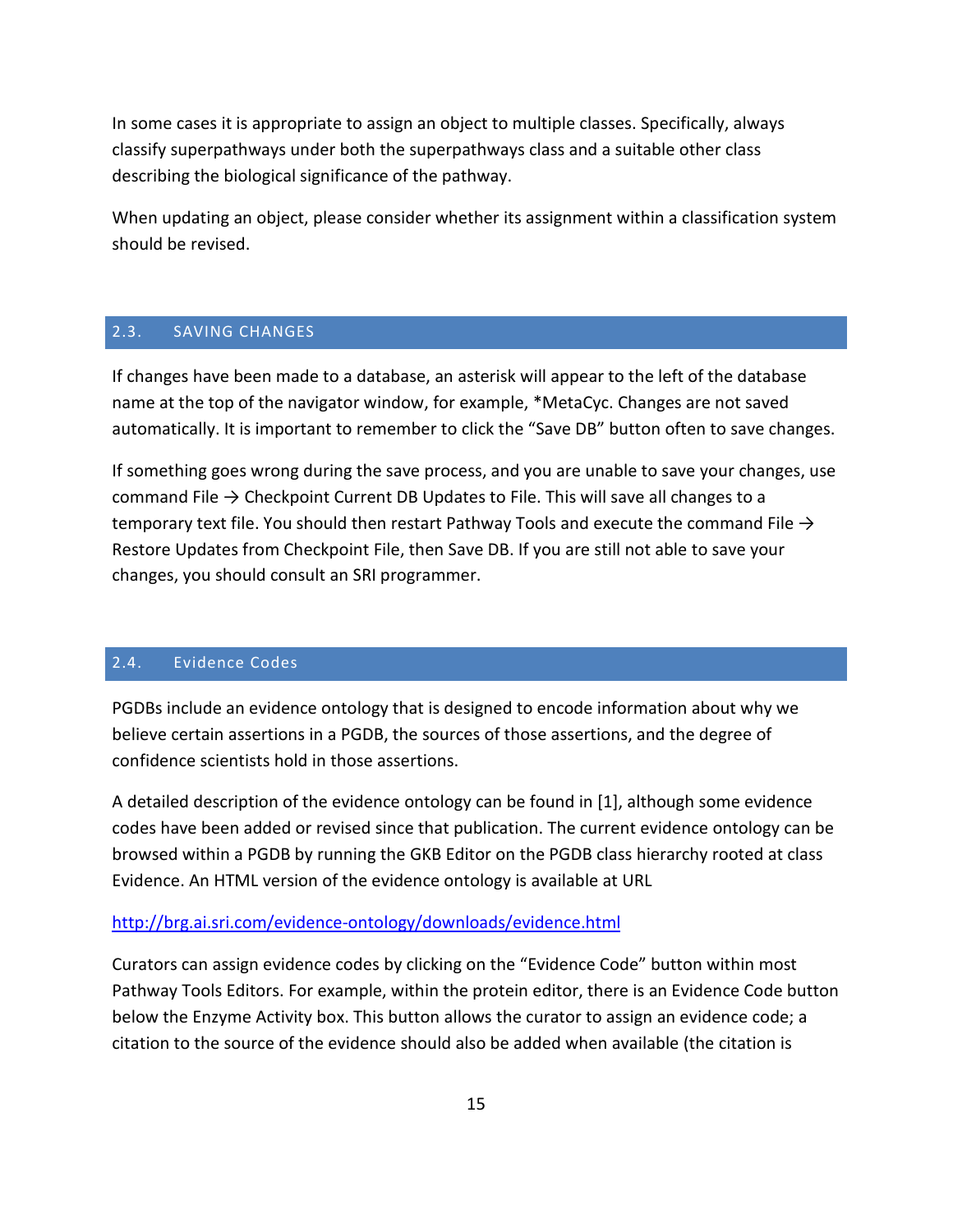In some cases it is appropriate to assign an object to multiple classes. Specifically, always classify superpathways under both the superpathways class and a suitable other class describing the biological significance of the pathway.

When updating an object, please consider whether its assignment within a classification system should be revised.

#### <span id="page-14-0"></span>2.3. SAVING CHANGES

If changes have been made to a database, an asterisk will appear to the left of the database name at the top of the navigator window, for example, \*MetaCyc. Changes are not saved automatically. It is important to remember to click the "Save DB" button often to save changes.

If something goes wrong during the save process, and you are unable to save your changes, use command File  $\rightarrow$  Checkpoint Current DB Updates to File. This will save all changes to a temporary text file. You should then restart Pathway Tools and execute the command File  $\rightarrow$ Restore Updates from Checkpoint File, then Save DB. If you are still not able to save your changes, you should consult an SRI programmer.

#### <span id="page-14-1"></span>2.4. Evidence Codes

PGDBs include an evidence ontology that is designed to encode information about why we believe certain assertions in a PGDB, the sources of those assertions, and the degree of confidence scientists hold in those assertions.

A detailed description of the evidence ontology can be found in [1], although some evidence codes have been added or revised since that publication. The current evidence ontology can be browsed within a PGDB by running the GKB Editor on the PGDB class hierarchy rooted at class Evidence. An HTML version of the evidence ontology is available at URL

#### <http://brg.ai.sri.com/evidence-ontology/downloads/evidence.html>

Curators can assign evidence codes by clicking on the "Evidence Code" button within most Pathway Tools Editors. For example, within the protein editor, there is an Evidence Code button below the Enzyme Activity box. This button allows the curator to assign an evidence code; a citation to the source of the evidence should also be added when available (the citation is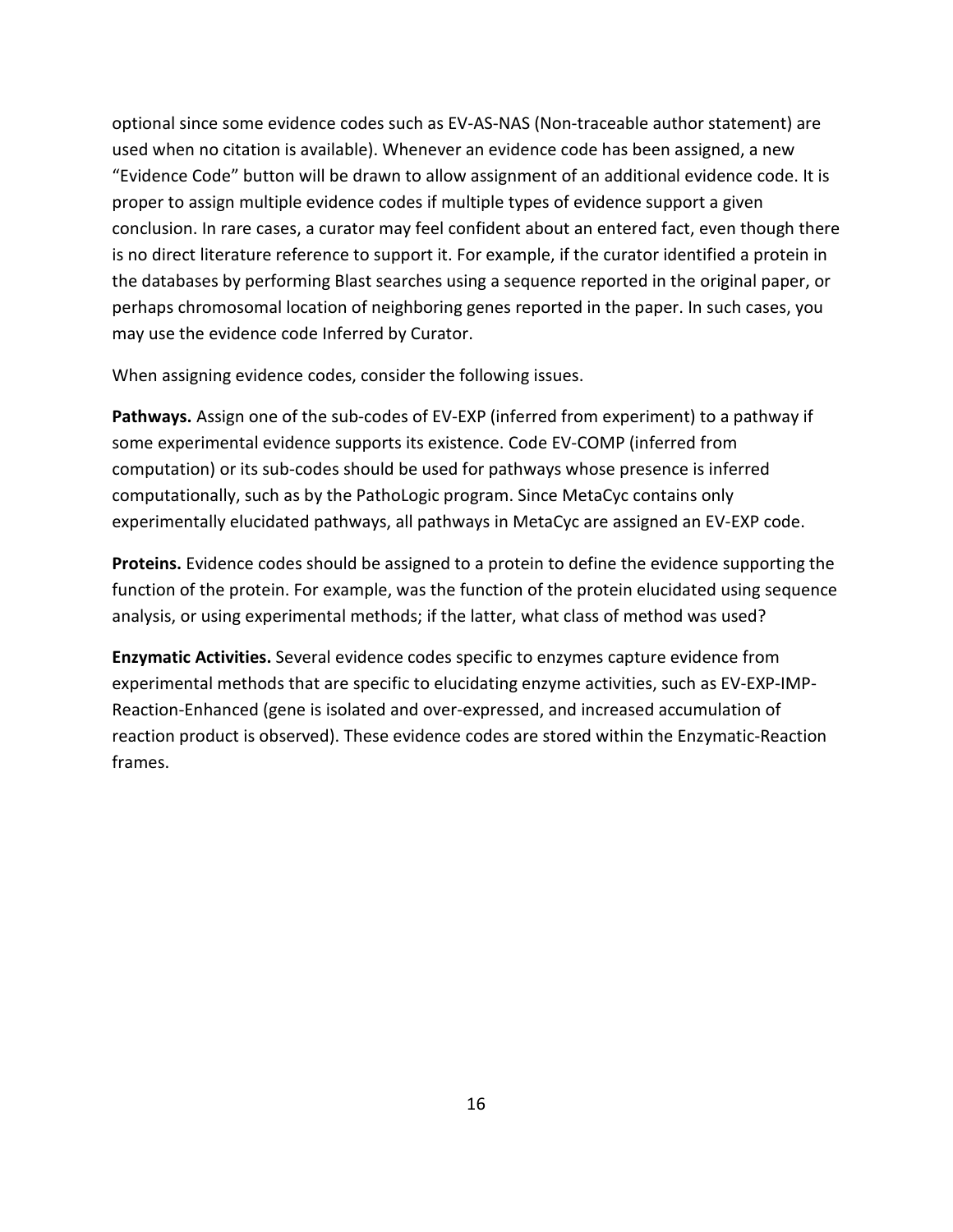optional since some evidence codes such as EV-AS-NAS (Non-traceable author statement) are used when no citation is available). Whenever an evidence code has been assigned, a new "Evidence Code" button will be drawn to allow assignment of an additional evidence code. It is proper to assign multiple evidence codes if multiple types of evidence support a given conclusion. In rare cases, a curator may feel confident about an entered fact, even though there is no direct literature reference to support it. For example, if the curator identified a protein in the databases by performing Blast searches using a sequence reported in the original paper, or perhaps chromosomal location of neighboring genes reported in the paper. In such cases, you may use the evidence code Inferred by Curator.

When assigning evidence codes, consider the following issues.

**Pathways.** Assign one of the sub-codes of EV-EXP (inferred from experiment) to a pathway if some experimental evidence supports its existence. Code EV-COMP (inferred from computation) or its sub-codes should be used for pathways whose presence is inferred computationally, such as by the PathoLogic program. Since MetaCyc contains only experimentally elucidated pathways, all pathways in MetaCyc are assigned an EV-EXP code.

**Proteins.** Evidence codes should be assigned to a protein to define the evidence supporting the function of the protein. For example, was the function of the protein elucidated using sequence analysis, or using experimental methods; if the latter, what class of method was used?

**Enzymatic Activities.** Several evidence codes specific to enzymes capture evidence from experimental methods that are specific to elucidating enzyme activities, such as EV-EXP-IMP-Reaction-Enhanced (gene is isolated and over-expressed, and increased accumulation of reaction product is observed). These evidence codes are stored within the Enzymatic-Reaction frames.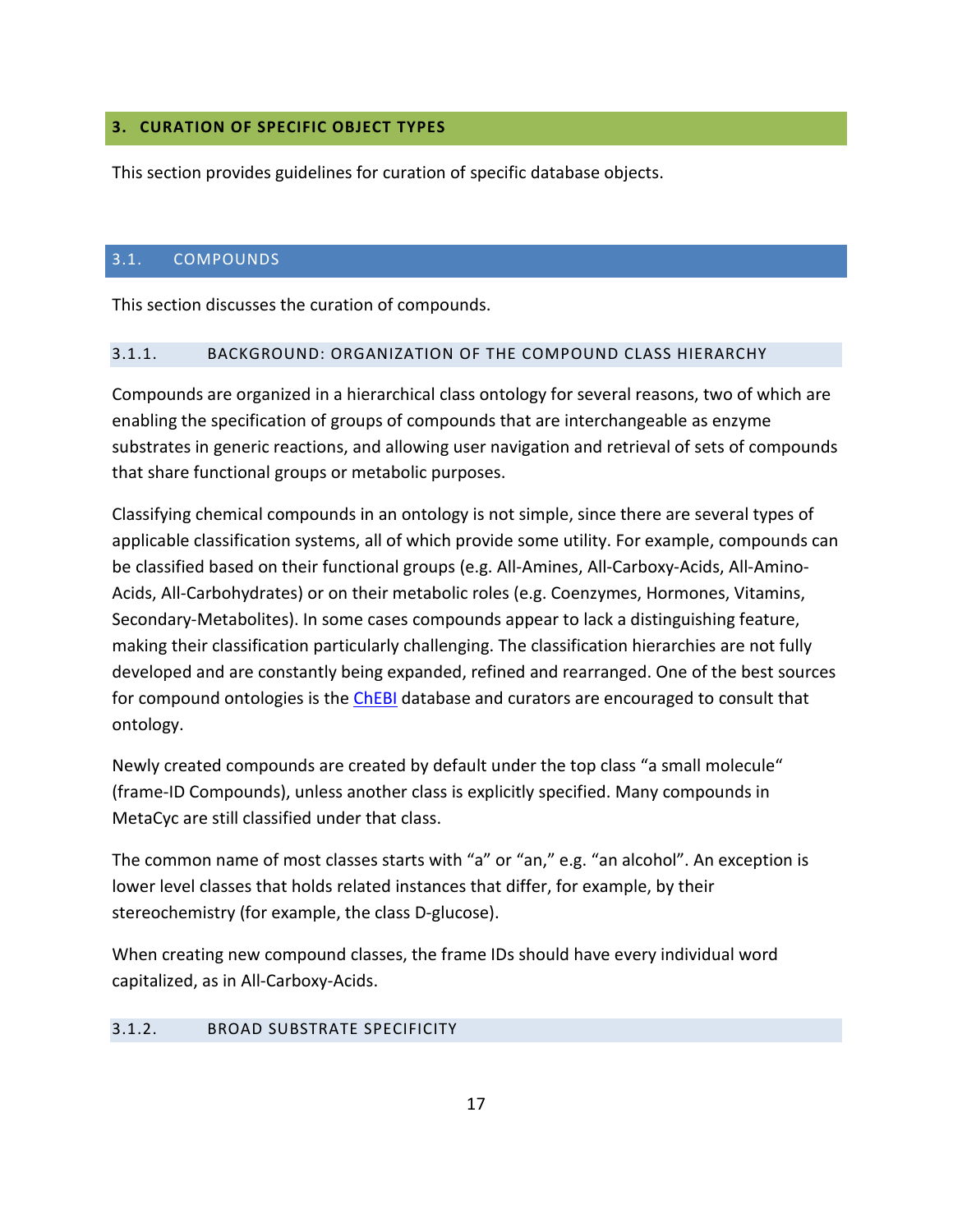## <span id="page-16-0"></span>**3. CURATION OF SPECIFIC OBJECT TYPES**

This section provides guidelines for curation of specific database objects.

## <span id="page-16-1"></span>3.1. COMPOUNDS

This section discusses the curation of compounds.

#### <span id="page-16-2"></span>3.1.1. BACKGROUND: ORGANIZATION OF THE COMPOUND CLASS HIERARCHY

Compounds are organized in a hierarchical class ontology for several reasons, two of which are enabling the specification of groups of compounds that are interchangeable as enzyme substrates in generic reactions, and allowing user navigation and retrieval of sets of compounds that share functional groups or metabolic purposes.

Classifying chemical compounds in an ontology is not simple, since there are several types of applicable classification systems, all of which provide some utility. For example, compounds can be classified based on their functional groups (e.g. All-Amines, All-Carboxy-Acids, All-Amino-Acids, All-Carbohydrates) or on their metabolic roles (e.g. Coenzymes, Hormones, Vitamins, Secondary-Metabolites). In some cases compounds appear to lack a distinguishing feature, making their classification particularly challenging. The classification hierarchies are not fully developed and are constantly being expanded, refined and rearranged. One of the best sources for compound ontologies is the [ChEBI](http://www.ebi.ac.uk/chebi/) database and curators are encouraged to consult that ontology.

Newly created compounds are created by default under the top class "a small molecule" (frame-ID Compounds), unless another class is explicitly specified. Many compounds in MetaCyc are still classified under that class.

The common name of most classes starts with "a" or "an," e.g. "an alcohol". An exception is lower level classes that holds related instances that differ, for example, by their stereochemistry (for example, the class D-glucose).

When creating new compound classes, the frame IDs should have every individual word capitalized, as in All-Carboxy-Acids.

## <span id="page-16-3"></span>3.1.2. BROAD SUBSTRATE SPECIFICITY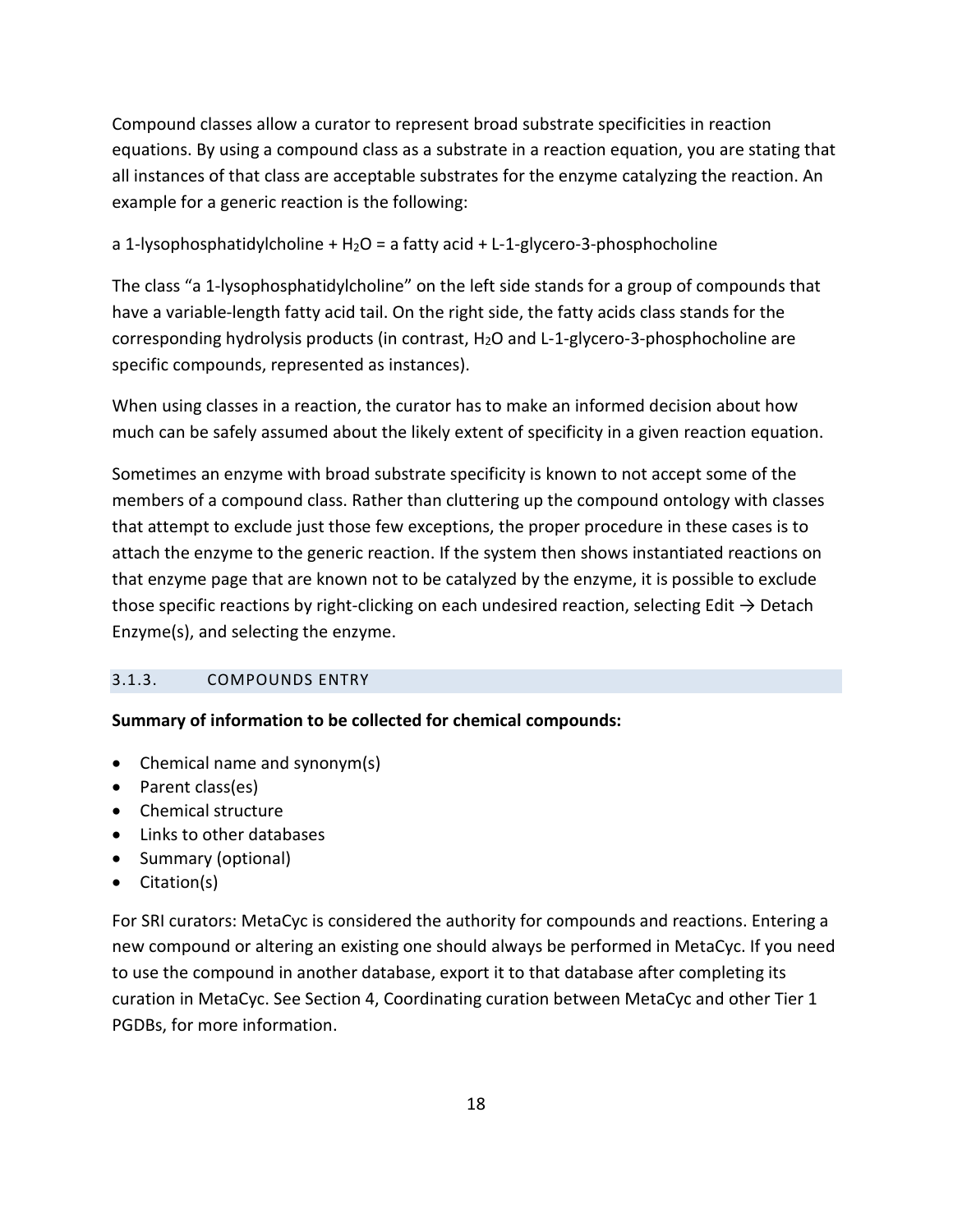Compound classes allow a curator to represent broad substrate specificities in reaction equations. By using a compound class as a substrate in a reaction equation, you are stating that all instances of that class are acceptable substrates for the enzyme catalyzing the reaction. An example for a generic reaction is the following:

a 1-lysophosphatidylcholine +  $H_2O = a$  fatty acid + L-1-glycero-3-phosphocholine

The class "a 1-lysophosphatidylcholine" on the left side stands for a group of compounds that have a variable-length fatty acid tail. On the right side, the fatty acids class stands for the corresponding hydrolysis products (in contrast, H2O and L-1-glycero-3-phosphocholine are specific compounds, represented as instances).

When using classes in a reaction, the curator has to make an informed decision about how much can be safely assumed about the likely extent of specificity in a given reaction equation.

Sometimes an enzyme with broad substrate specificity is known to not accept some of the members of a compound class. Rather than cluttering up the compound ontology with classes that attempt to exclude just those few exceptions, the proper procedure in these cases is to attach the enzyme to the generic reaction. If the system then shows instantiated reactions on that enzyme page that are known not to be catalyzed by the enzyme, it is possible to exclude those specific reactions by right-clicking on each undesired reaction, selecting Edit  $\rightarrow$  Detach Enzyme(s), and selecting the enzyme.

## <span id="page-17-0"></span>3.1.3. COMPOUNDS ENTRY

## **Summary of information to be collected for chemical compounds:**

- Chemical name and synonym(s)
- Parent class(es)
- Chemical structure
- Links to other databases
- Summary (optional)
- Citation(s)

For SRI curators: MetaCyc is considered the authority for compounds and reactions. Entering a new compound or altering an existing one should always be performed in MetaCyc. If you need to use the compound in another database, export it to that database after completing its curation in MetaCyc. See Section [4, Coordinating curation between MetaCyc and other Tier 1](#page-45-0)  [PGDBs,](#page-45-0) for more information.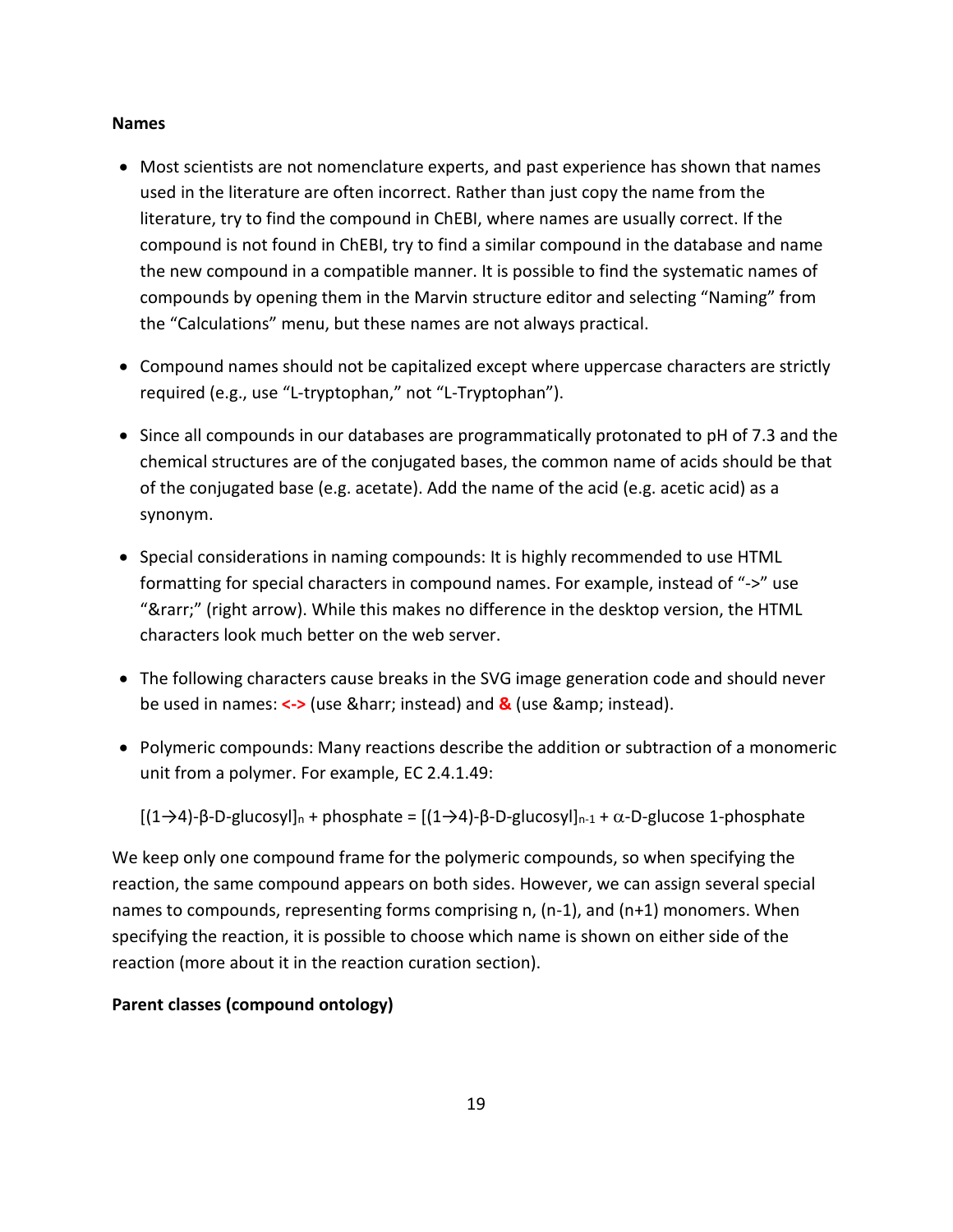#### **Names**

- Most scientists are not nomenclature experts, and past experience has shown that names used in the literature are often incorrect. Rather than just copy the name from the literature, try to find the compound in ChEBI, where names are usually correct. If the compound is not found in ChEBI, try to find a similar compound in the database and name the new compound in a compatible manner. It is possible to find the systematic names of compounds by opening them in the Marvin structure editor and selecting "Naming" from the "Calculations" menu, but these names are not always practical.
- Compound names should not be capitalized except where uppercase characters are strictly required (e.g., use "L-tryptophan," not "L-Tryptophan").
- Since all compounds in our databases are programmatically protonated to pH of 7.3 and the chemical structures are of the conjugated bases, the common name of acids should be that of the conjugated base (e.g. acetate). Add the name of the acid (e.g. acetic acid) as a synonym.
- Special considerations in naming compounds: It is highly recommended to use HTML formatting for special characters in compound names. For example, instead of "->" use "→" (right arrow). While this makes no difference in the desktop version, the HTML characters look much better on the web server.
- The following characters cause breaks in the SVG image generation code and should never be used in names: <-> (use & harr; instead) and **&** (use & amp; instead).
- Polymeric compounds: Many reactions describe the addition or subtraction of a monomeric unit from a polymer. For example, EC 2.4.1.49:

[(1→4)-β-D-glucosyl]n + phosphate = [(1→4)-β-D-glucosyl]n-1 + α-D-glucose 1-phosphate

We keep only one compound frame for the polymeric compounds, so when specifying the reaction, the same compound appears on both sides. However, we can assign several special names to compounds, representing forms comprising n, (n-1), and (n+1) monomers. When specifying the reaction, it is possible to choose which name is shown on either side of the reaction (more about it in the reaction curation section).

## **Parent classes (compound ontology)**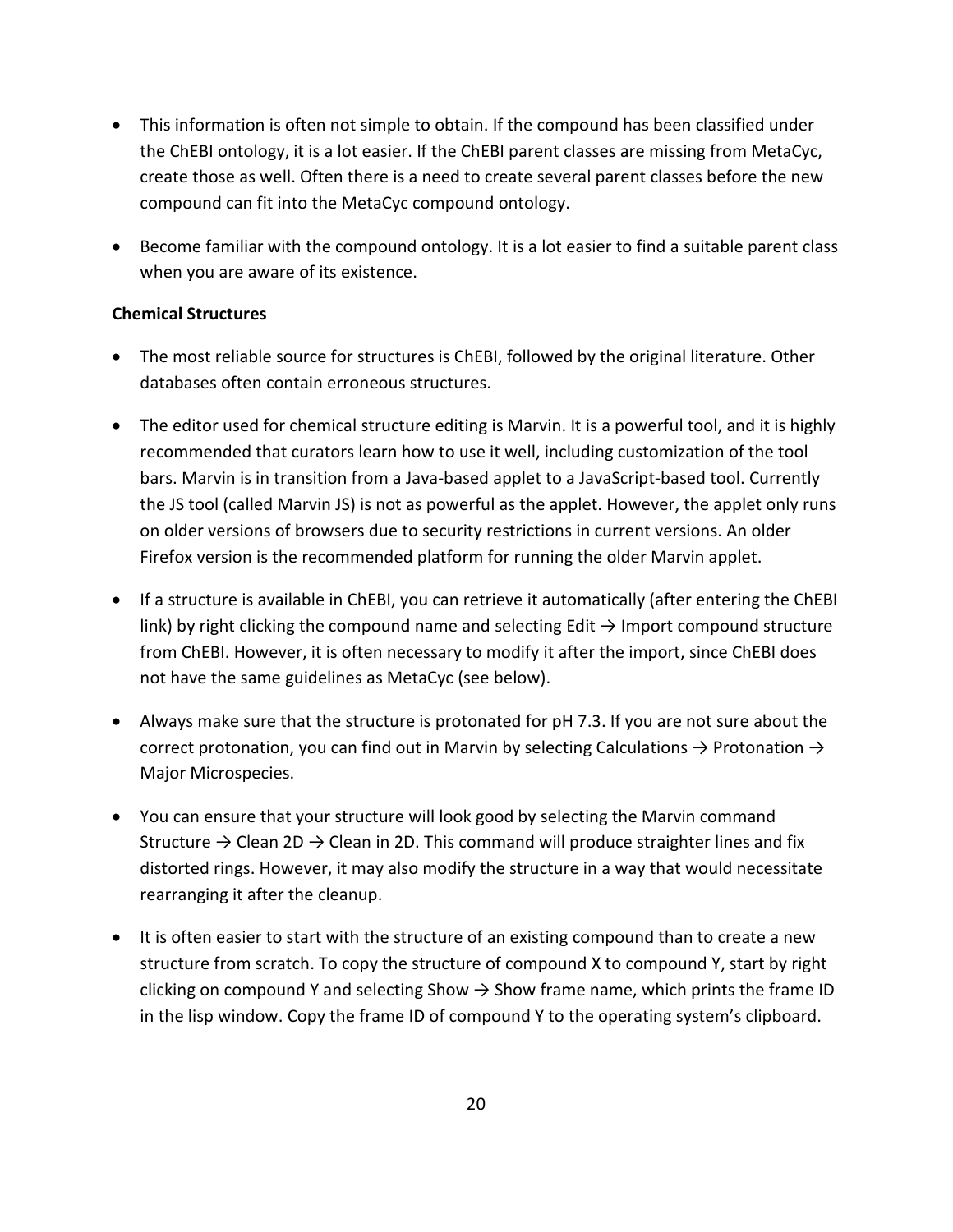- This information is often not simple to obtain. If the compound has been classified under the ChEBI ontology, it is a lot easier. If the ChEBI parent classes are missing from MetaCyc, create those as well. Often there is a need to create several parent classes before the new compound can fit into the MetaCyc compound ontology.
- Become familiar with the compound ontology. It is a lot easier to find a suitable parent class when you are aware of its existence.

## **Chemical Structures**

- The most reliable source for structures is ChEBI, followed by the original literature. Other databases often contain erroneous structures.
- The editor used for chemical structure editing is Marvin. It is a powerful tool, and it is highly recommended that curators learn how to use it well, including customization of the tool bars. Marvin is in transition from a Java-based applet to a JavaScript-based tool. Currently the JS tool (called Marvin JS) is not as powerful as the applet. However, the applet only runs on older versions of browsers due to security restrictions in current versions. An older Firefox version is the recommended platform for running the older Marvin applet.
- If a structure is available in ChEBI, you can retrieve it automatically (after entering the ChEBI link) by right clicking the compound name and selecting Edit  $\rightarrow$  Import compound structure from ChEBI. However, it is often necessary to modify it after the import, since ChEBI does not have the same guidelines as MetaCyc (see below).
- Always make sure that the structure is protonated for pH 7.3. If you are not sure about the correct protonation, you can find out in Marvin by selecting Calculations  $\rightarrow$  Protonation  $\rightarrow$ Major Microspecies.
- You can ensure that your structure will look good by selecting the Marvin command Structure  $\rightarrow$  Clean 2D  $\rightarrow$  Clean in 2D. This command will produce straighter lines and fix distorted rings. However, it may also modify the structure in a way that would necessitate rearranging it after the cleanup.
- It is often easier to start with the structure of an existing compound than to create a new structure from scratch. To copy the structure of compound X to compound Y, start by right clicking on compound Y and selecting Show  $\rightarrow$  Show frame name, which prints the frame ID in the lisp window. Copy the frame ID of compound Y to the operating system's clipboard.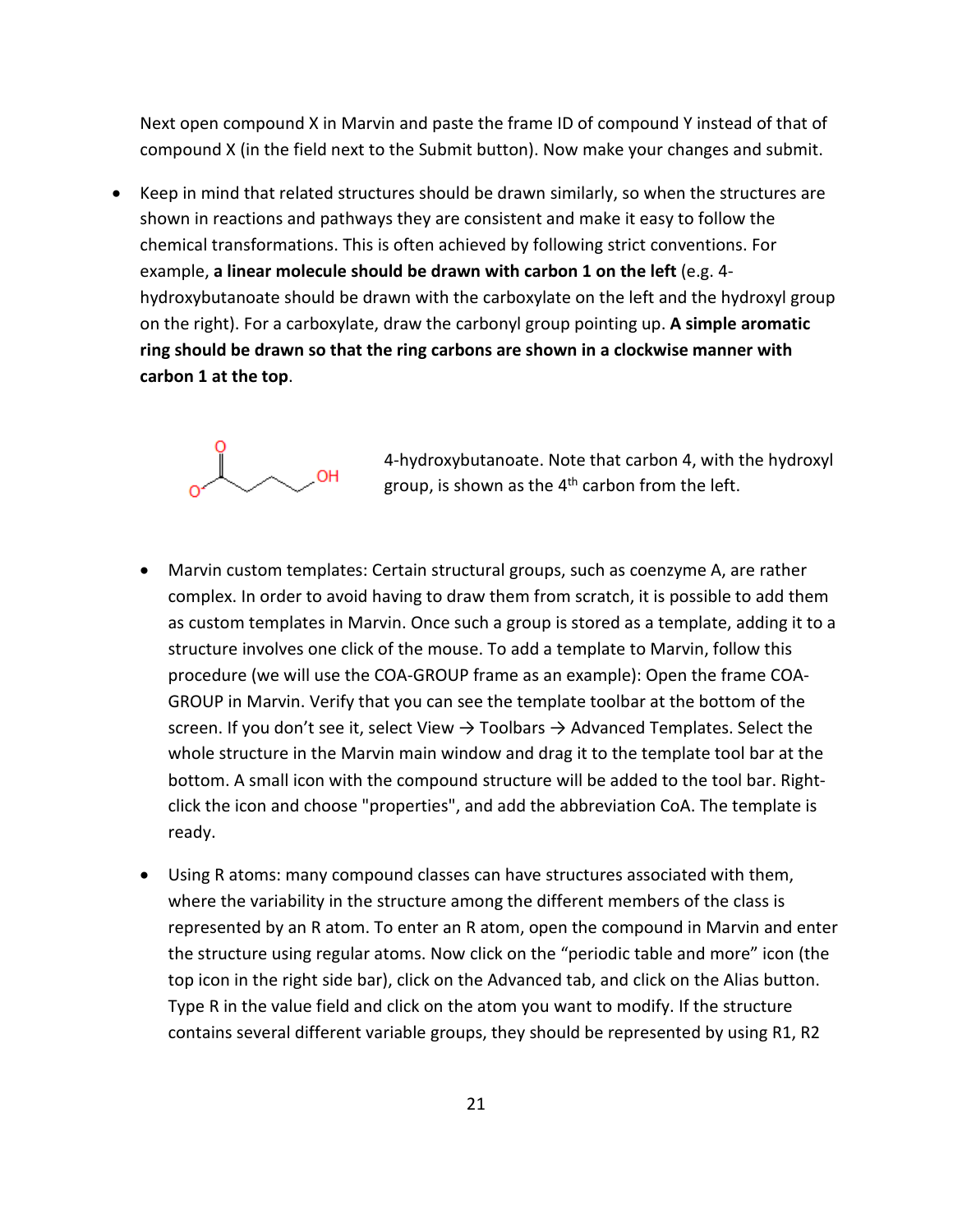Next open compound X in Marvin and paste the frame ID of compound Y instead of that of compound X (in the field next to the Submit button). Now make your changes and submit.

• Keep in mind that related structures should be drawn similarly, so when the structures are shown in reactions and pathways they are consistent and make it easy to follow the chemical transformations. This is often achieved by following strict conventions. For example, **a linear molecule should be drawn with carbon 1 on the left** (e.g. 4 hydroxybutanoate should be drawn with the carboxylate on the left and the hydroxyl group on the right). For a carboxylate, draw the carbonyl group pointing up. **A simple aromatic ring should be drawn so that the ring carbons are shown in a clockwise manner with carbon 1 at the top**.



4-hydroxybutanoate. Note that carbon 4, with the hydroxyl group, is shown as the  $4<sup>th</sup>$  carbon from the left.

- Marvin custom templates: Certain structural groups, such as coenzyme A, are rather complex. In order to avoid having to draw them from scratch, it is possible to add them as custom templates in Marvin. Once such a group is stored as a template, adding it to a structure involves one click of the mouse. To add a template to Marvin, follow this procedure (we will use the COA-GROUP frame as an example): Open the frame COA-GROUP in Marvin. Verify that you can see the template toolbar at the bottom of the screen. If you don't see it, select View  $\rightarrow$  Toolbars  $\rightarrow$  Advanced Templates. Select the whole structure in the Marvin main window and drag it to the template tool bar at the bottom. A small icon with the compound structure will be added to the tool bar. Rightclick the icon and choose "properties", and add the abbreviation CoA. The template is ready.
- Using R atoms: many compound classes can have structures associated with them, where the variability in the structure among the different members of the class is represented by an R atom. To enter an R atom, open the compound in Marvin and enter the structure using regular atoms. Now click on the "periodic table and more" icon (the top icon in the right side bar), click on the Advanced tab, and click on the Alias button. Type R in the value field and click on the atom you want to modify. If the structure contains several different variable groups, they should be represented by using R1, R2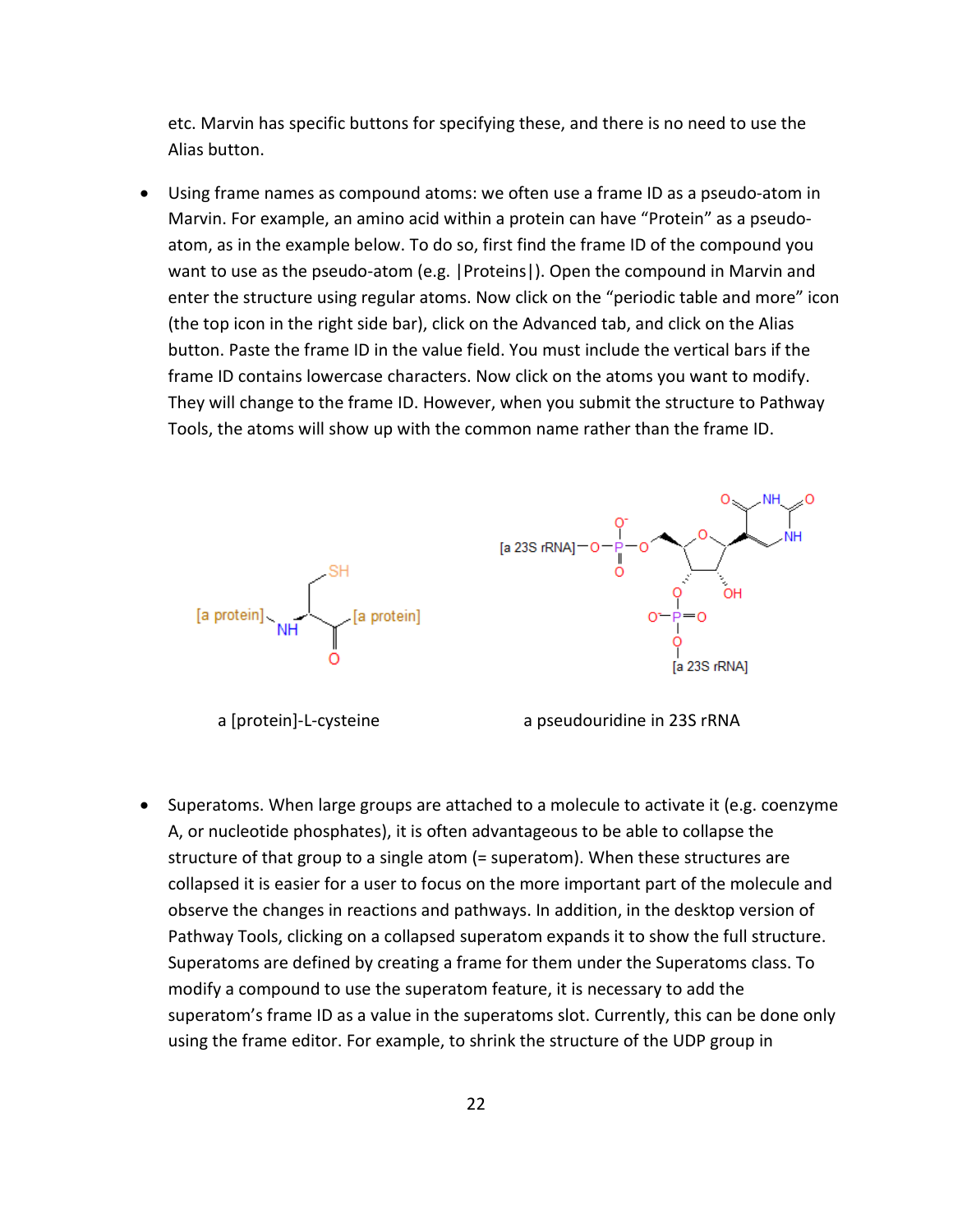etc. Marvin has specific buttons for specifying these, and there is no need to use the Alias button.

• Using frame names as compound atoms: we often use a frame ID as a pseudo-atom in Marvin. For example, an amino acid within a protein can have "Protein" as a pseudoatom, as in the example below. To do so, first find the frame ID of the compound you want to use as the pseudo-atom (e.g. |Proteins|). Open the compound in Marvin and enter the structure using regular atoms. Now click on the "periodic table and more" icon (the top icon in the right side bar), click on the Advanced tab, and click on the Alias button. Paste the frame ID in the value field. You must include the vertical bars if the frame ID contains lowercase characters. Now click on the atoms you want to modify. They will change to the frame ID. However, when you submit the structure to Pathway Tools, the atoms will show up with the common name rather than the frame ID.



a [protein]-L-cysteine a pseudouridine in 23S rRNA

• Superatoms. When large groups are attached to a molecule to activate it (e.g. coenzyme A, or nucleotide phosphates), it is often advantageous to be able to collapse the structure of that group to a single atom (= superatom). When these structures are collapsed it is easier for a user to focus on the more important part of the molecule and observe the changes in reactions and pathways. In addition, in the desktop version of Pathway Tools, clicking on a collapsed superatom expands it to show the full structure. Superatoms are defined by creating a frame for them under the Superatoms class. To modify a compound to use the superatom feature, it is necessary to add the superatom's frame ID as a value in the superatoms slot. Currently, this can be done only using the frame editor. For example, to shrink the structure of the UDP group in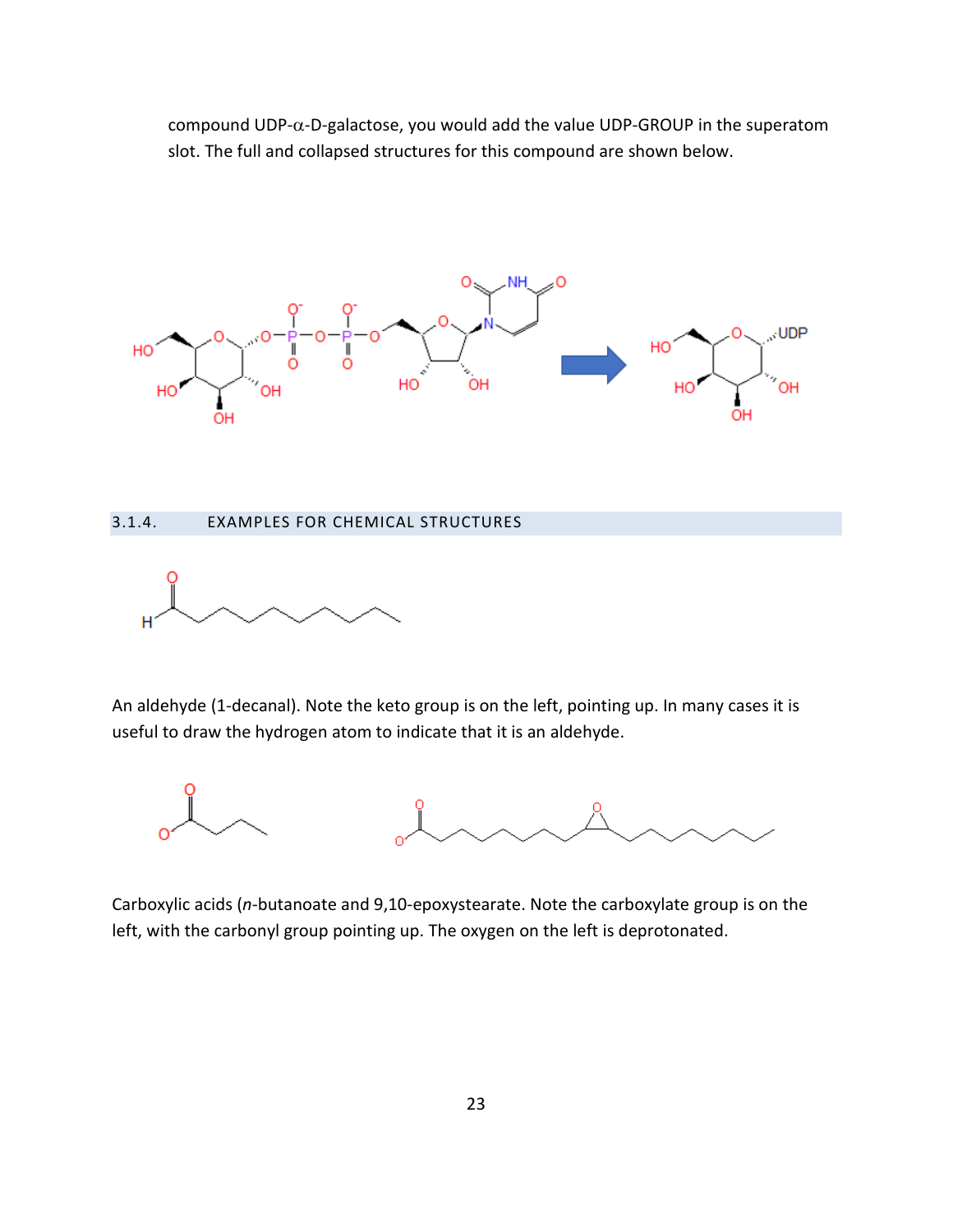compound UDP-α-D-galactose, you would add the value UDP-GROUP in the superatom slot. The full and collapsed structures for this compound are shown below.



#### <span id="page-22-0"></span>3.1.4. EXAMPLES FOR CHEMICAL STRUCTURES



An aldehyde (1-decanal). Note the keto group is on the left, pointing up. In many cases it is useful to draw the hydrogen atom to indicate that it is an aldehyde.



Carboxylic acids (*n*-butanoate and 9,10-epoxystearate. Note the carboxylate group is on the left, with the carbonyl group pointing up. The oxygen on the left is deprotonated.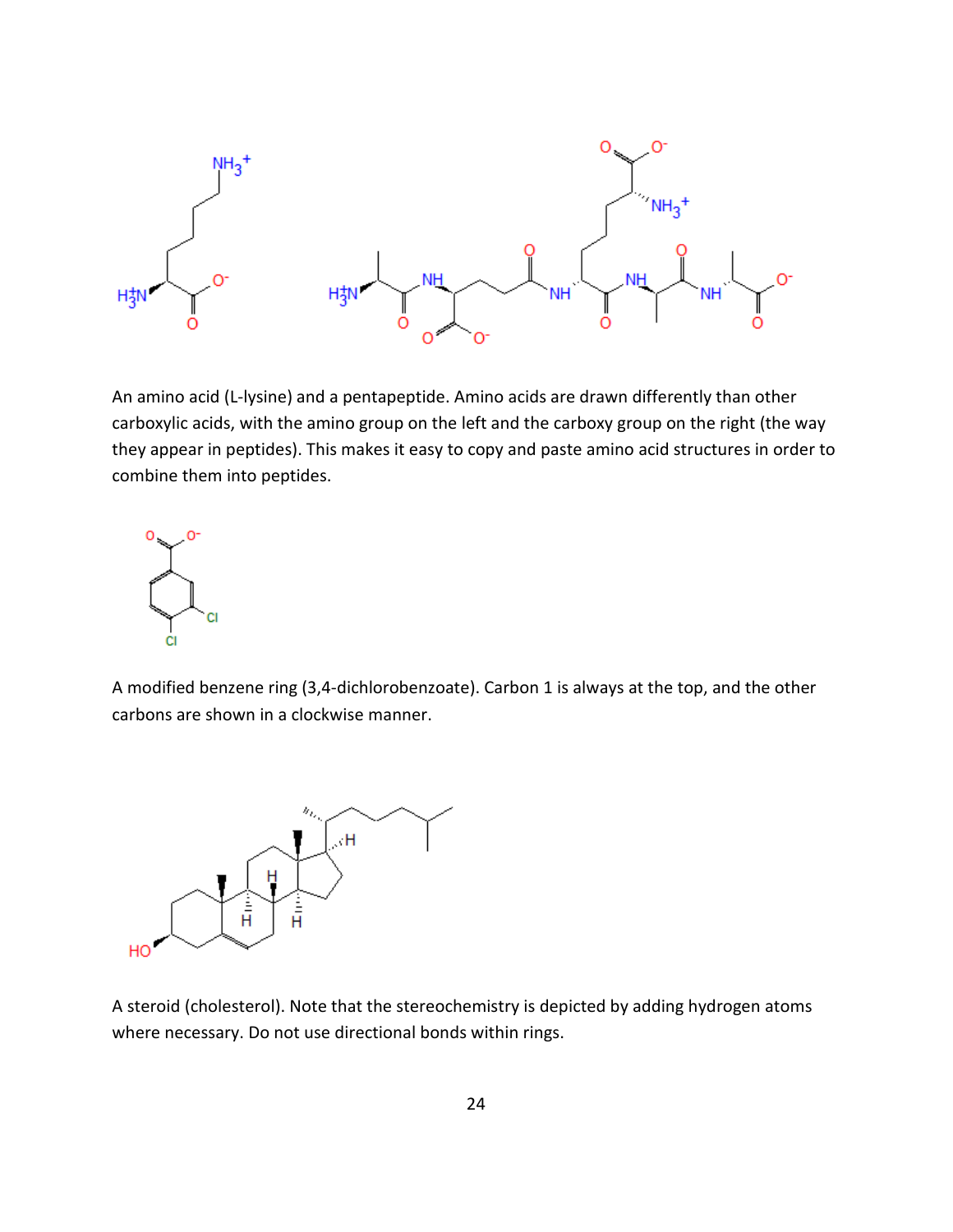

An amino acid (L-lysine) and a pentapeptide. Amino acids are drawn differently than other carboxylic acids, with the amino group on the left and the carboxy group on the right (the way they appear in peptides). This makes it easy to copy and paste amino acid structures in order to combine them into peptides.



A modified benzene ring (3,4-dichlorobenzoate). Carbon 1 is always at the top, and the other carbons are shown in a clockwise manner.



A steroid (cholesterol). Note that the stereochemistry is depicted by adding hydrogen atoms where necessary. Do not use directional bonds within rings.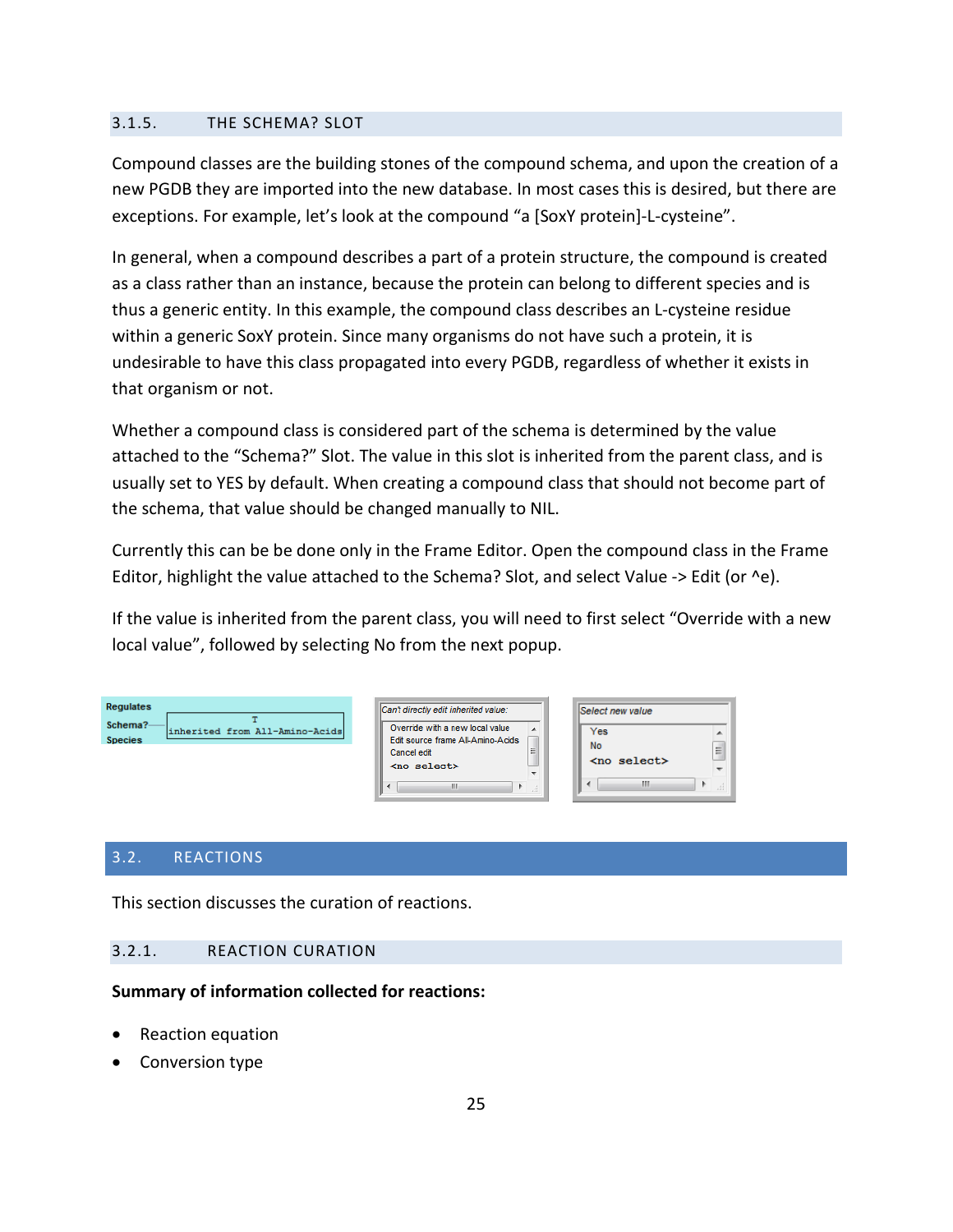## <span id="page-24-0"></span>3.1.5. THE SCHEMA? SLOT

Compound classes are the building stones of the compound schema, and upon the creation of a new PGDB they are imported into the new database. In most cases this is desired, but there are exceptions. For example, let's look at the compound "a [SoxY protein]-L-cysteine".

In general, when a compound describes a part of a protein structure, the compound is created as a class rather than an instance, because the protein can belong to different species and is thus a generic entity. In this example, the compound class describes an L-cysteine residue within a generic SoxY protein. Since many organisms do not have such a protein, it is undesirable to have this class propagated into every PGDB, regardless of whether it exists in that organism or not.

Whether a compound class is considered part of the schema is determined by the value attached to the "Schema?" Slot. The value in this slot is inherited from the parent class, and is usually set to YES by default. When creating a compound class that should not become part of the schema, that value should be changed manually to NIL.

Currently this can be be done only in the Frame Editor. Open the compound class in the Frame Editor, highlight the value attached to the Schema? Slot, and select Value -> Edit (or ^e).

If the value is inherited from the parent class, you will need to first select "Override with a new local value", followed by selecting No from the next popup.

| Ш<br>Ш | <b>Requlates</b><br>Schema?<br>inherited from All-Amino-Acids<br><b>Species</b> | Can't directly edit inherited value:<br>Override with a new local value<br>Edit source frame All-Amino-Acids<br>Ξ<br>Cancel edit<br><no select=""><br/>-</no> | Select new value<br>Yes<br><b>No</b><br>Æ<br><no select=""></no> |
|--------|---------------------------------------------------------------------------------|---------------------------------------------------------------------------------------------------------------------------------------------------------------|------------------------------------------------------------------|
|--------|---------------------------------------------------------------------------------|---------------------------------------------------------------------------------------------------------------------------------------------------------------|------------------------------------------------------------------|

## <span id="page-24-1"></span>3.2. REACTIONS

This section discusses the curation of reactions.

## <span id="page-24-2"></span>3.2.1. REACTION CURATION

#### **Summary of information collected for reactions:**

- Reaction equation
- Conversion type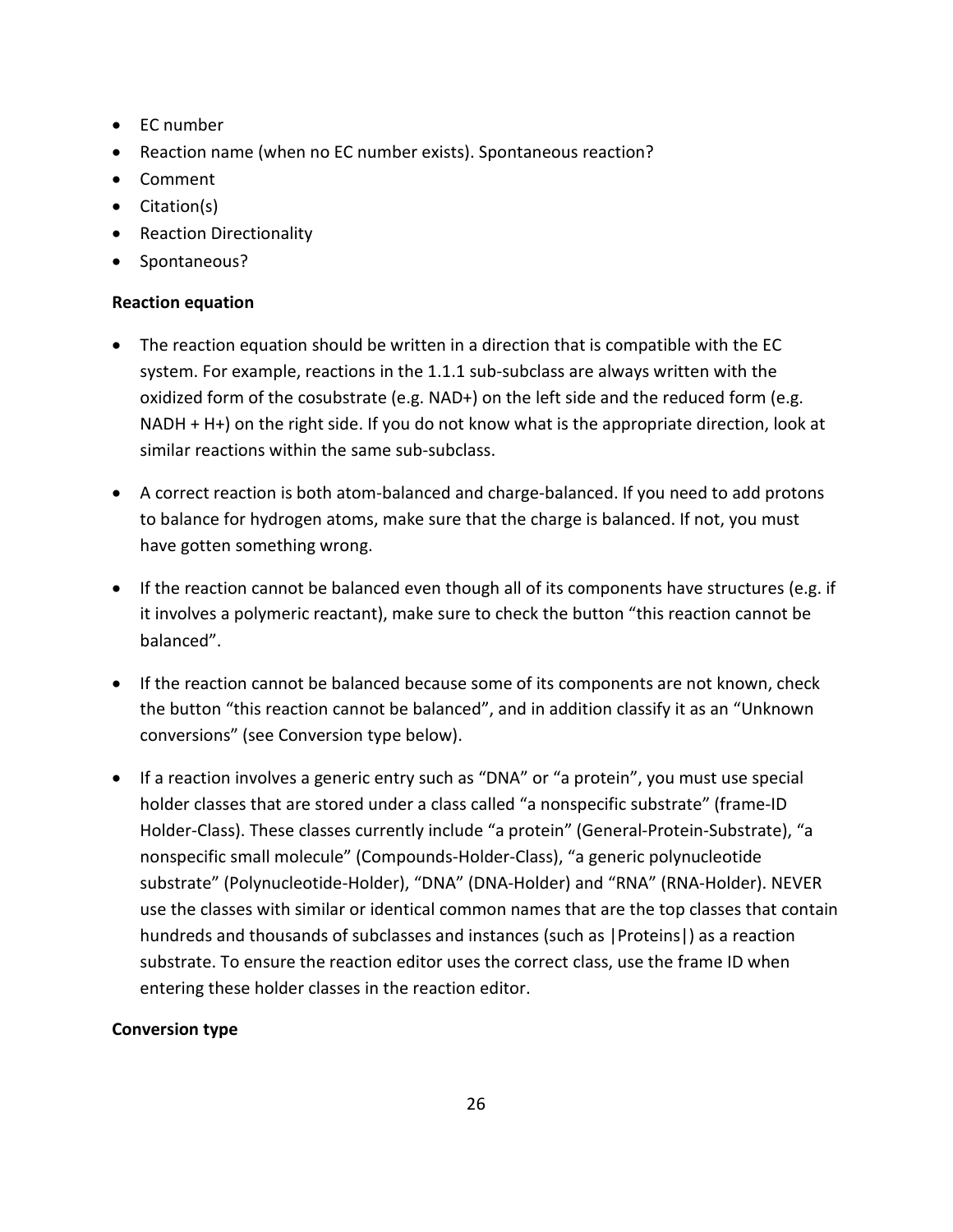- EC number
- Reaction name (when no EC number exists). Spontaneous reaction?
- Comment
- Citation(s)
- Reaction Directionality
- Spontaneous?

## **Reaction equation**

- The reaction equation should be written in a direction that is compatible with the EC system. For example, reactions in the 1.1.1 sub-subclass are always written with the oxidized form of the cosubstrate (e.g. NAD+) on the left side and the reduced form (e.g. NADH + H+) on the right side. If you do not know what is the appropriate direction, look at similar reactions within the same sub-subclass.
- A correct reaction is both atom-balanced and charge-balanced. If you need to add protons to balance for hydrogen atoms, make sure that the charge is balanced. If not, you must have gotten something wrong.
- If the reaction cannot be balanced even though all of its components have structures (e.g. if it involves a polymeric reactant), make sure to check the button "this reaction cannot be balanced".
- If the reaction cannot be balanced because some of its components are not known, check the button "this reaction cannot be balanced", and in addition classify it as an "Unknown conversions" (see Conversion type below).
- If a reaction involves a generic entry such as "DNA" or "a protein", you must use special holder classes that are stored under a class called "a nonspecific substrate" (frame-ID Holder-Class). These classes currently include "a protein" (General-Protein-Substrate), "a nonspecific small molecule" (Compounds-Holder-Class), "a generic polynucleotide substrate" (Polynucleotide-Holder), "DNA" (DNA-Holder) and "RNA" (RNA-Holder). NEVER use the classes with similar or identical common names that are the top classes that contain hundreds and thousands of subclasses and instances (such as |Proteins|) as a reaction substrate. To ensure the reaction editor uses the correct class, use the frame ID when entering these holder classes in the reaction editor.

## **Conversion type**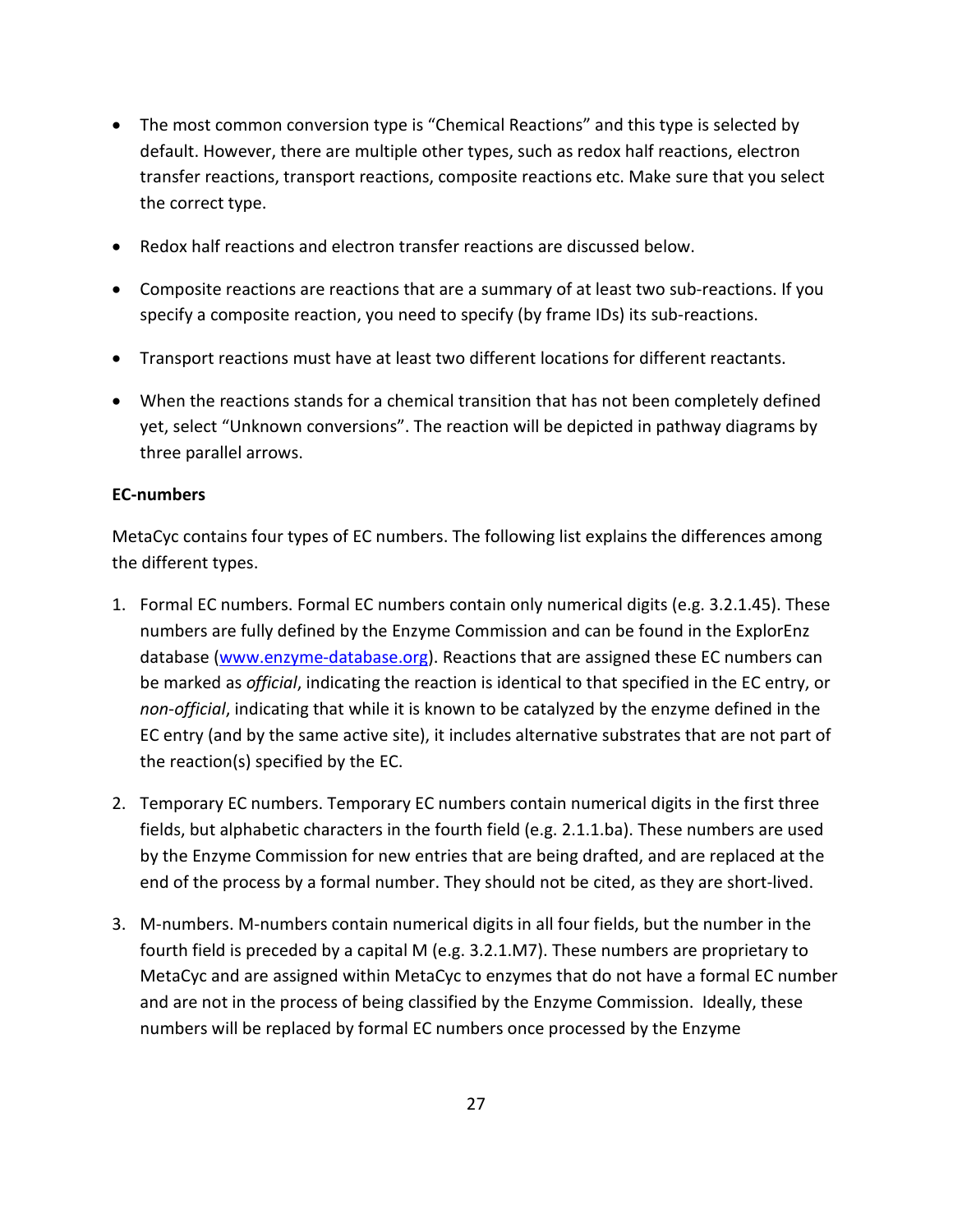- The most common conversion type is "Chemical Reactions" and this type is selected by default. However, there are multiple other types, such as redox half reactions, electron transfer reactions, transport reactions, composite reactions etc. Make sure that you select the correct type.
- Redox half reactions and electron transfer reactions are discussed below.
- Composite reactions are reactions that are a summary of at least two sub-reactions. If you specify a composite reaction, you need to specify (by frame IDs) its sub-reactions.
- Transport reactions must have at least two different locations for different reactants.
- When the reactions stands for a chemical transition that has not been completely defined yet, select "Unknown conversions". The reaction will be depicted in pathway diagrams by three parallel arrows.

## **EC-numbers**

MetaCyc contains four types of EC numbers. The following list explains the differences among the different types.

- 1. Formal EC numbers. Formal EC numbers contain only numerical digits (e.g. 3.2.1.45). These numbers are fully defined by the Enzyme Commission and can be found in the ExplorEnz database (www.enzyme-database.org). Reactions that are assigned these EC numbers can be marked as *official*, indicating the reaction is identical to that specified in the EC entry, or *non-official*, indicating that while it is known to be catalyzed by the enzyme defined in the EC entry (and by the same active site), it includes alternative substrates that are not part of the reaction(s) specified by the EC.
- 2. Temporary EC numbers. Temporary EC numbers contain numerical digits in the first three fields, but alphabetic characters in the fourth field (e.g. 2.1.1.ba). These numbers are used by the Enzyme Commission for new entries that are being drafted, and are replaced at the end of the process by a formal number. They should not be cited, as they are short-lived.
- 3. M-numbers. M-numbers contain numerical digits in all four fields, but the number in the fourth field is preceded by a capital M (e.g. 3.2.1.M7). These numbers are proprietary to MetaCyc and are assigned within MetaCyc to enzymes that do not have a formal EC number and are not in the process of being classified by the Enzyme Commission. Ideally, these numbers will be replaced by formal EC numbers once processed by the Enzyme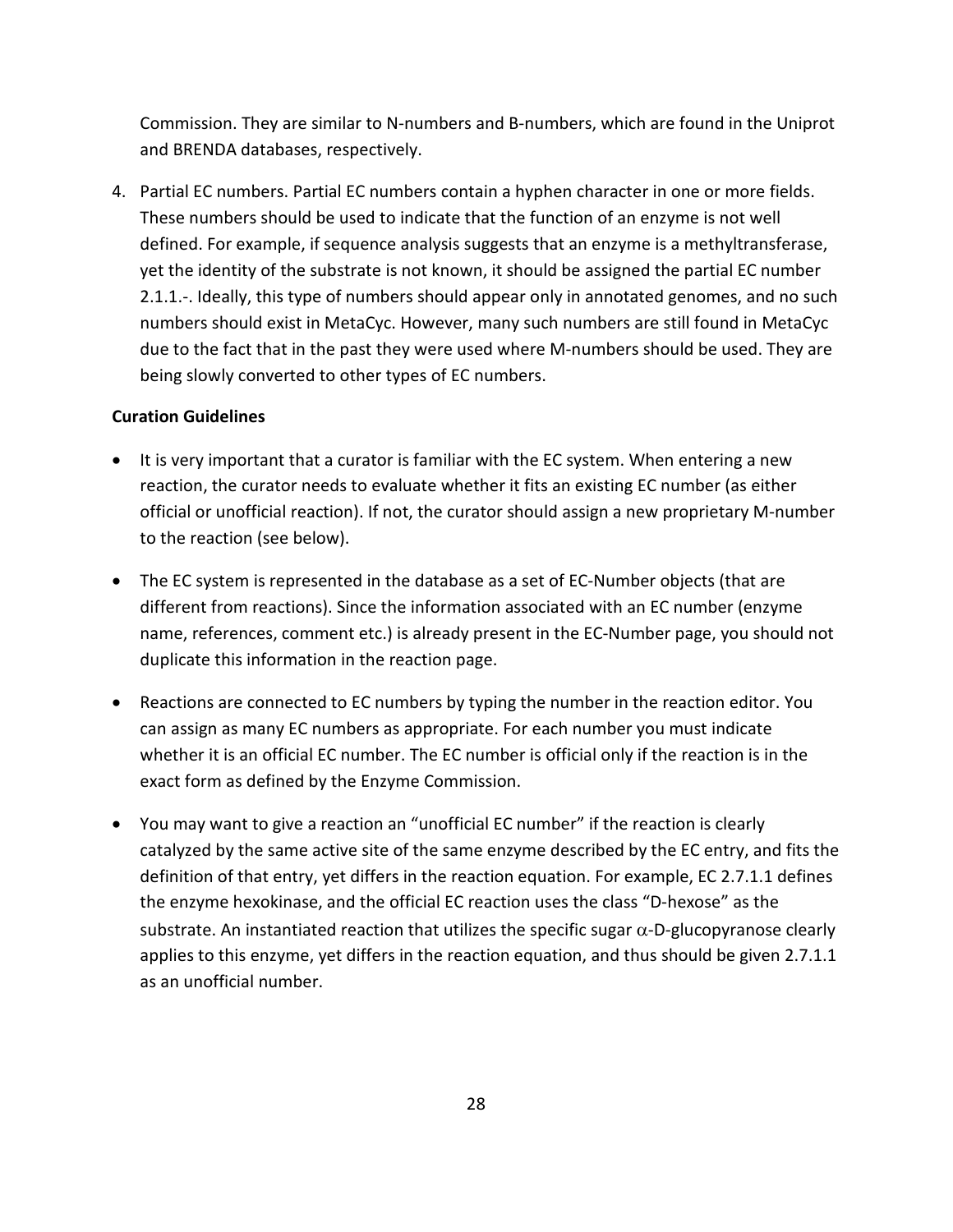Commission. They are similar to N-numbers and B-numbers, which are found in the Uniprot and BRENDA databases, respectively.

4. Partial EC numbers. Partial EC numbers contain a hyphen character in one or more fields. These numbers should be used to indicate that the function of an enzyme is not well defined. For example, if sequence analysis suggests that an enzyme is a methyltransferase, yet the identity of the substrate is not known, it should be assigned the partial EC number 2.1.1.-. Ideally, this type of numbers should appear only in annotated genomes, and no such numbers should exist in MetaCyc. However, many such numbers are still found in MetaCyc due to the fact that in the past they were used where M-numbers should be used. They are being slowly converted to other types of EC numbers.

## **Curation Guidelines**

- It is very important that a curator is familiar with the EC system. When entering a new reaction, the curator needs to evaluate whether it fits an existing EC number (as either official or unofficial reaction). If not, the curator should assign a new proprietary M-number to the reaction (see below).
- The EC system is represented in the database as a set of EC-Number objects (that are different from reactions). Since the information associated with an EC number (enzyme name, references, comment etc.) is already present in the EC-Number page, you should not duplicate this information in the reaction page.
- Reactions are connected to EC numbers by typing the number in the reaction editor. You can assign as many EC numbers as appropriate. For each number you must indicate whether it is an official EC number. The EC number is official only if the reaction is in the exact form as defined by the Enzyme Commission.
- You may want to give a reaction an "unofficial EC number" if the reaction is clearly catalyzed by the same active site of the same enzyme described by the EC entry, and fits the definition of that entry, yet differs in the reaction equation. For example, EC 2.7.1.1 defines the enzyme hexokinase, and the official EC reaction uses the class "D-hexose" as the substrate. An instantiated reaction that utilizes the specific sugar  $\alpha$ -D-glucopyranose clearly applies to this enzyme, yet differs in the reaction equation, and thus should be given 2.7.1.1 as an unofficial number.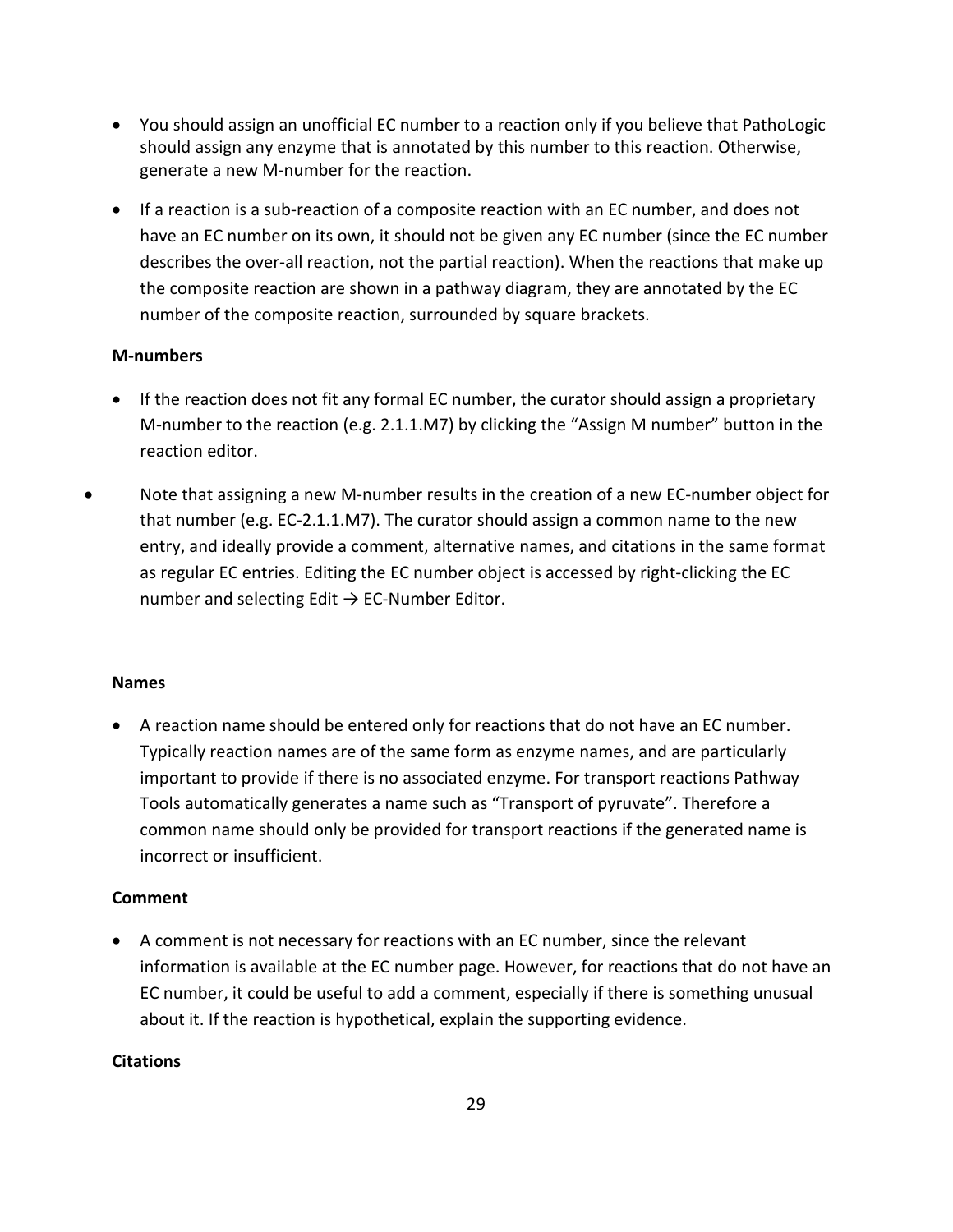- You should assign an unofficial EC number to a reaction only if you believe that PathoLogic should assign any enzyme that is annotated by this number to this reaction. Otherwise, generate a new M-number for the reaction.
- If a reaction is a sub-reaction of a composite reaction with an EC number, and does not have an EC number on its own, it should not be given any EC number (since the EC number describes the over-all reaction, not the partial reaction). When the reactions that make up the composite reaction are shown in a pathway diagram, they are annotated by the EC number of the composite reaction, surrounded by square brackets.

## **M-numbers**

- If the reaction does not fit any formal EC number, the curator should assign a proprietary M-number to the reaction (e.g. 2.1.1.M7) by clicking the "Assign M number" button in the reaction editor.
- Note that assigning a new M-number results in the creation of a new EC-number object for that number (e.g. EC-2.1.1.M7). The curator should assign a common name to the new entry, and ideally provide a comment, alternative names, and citations in the same format as regular EC entries. Editing the EC number object is accessed by right-clicking the EC number and selecting Edit  $\rightarrow$  EC-Number Editor.

## **Names**

• A reaction name should be entered only for reactions that do not have an EC number. Typically reaction names are of the same form as enzyme names, and are particularly important to provide if there is no associated enzyme. For transport reactions Pathway Tools automatically generates a name such as "Transport of pyruvate". Therefore a common name should only be provided for transport reactions if the generated name is incorrect or insufficient.

## **Comment**

• A comment is not necessary for reactions with an EC number, since the relevant information is available at the EC number page. However, for reactions that do not have an EC number, it could be useful to add a comment, especially if there is something unusual about it. If the reaction is hypothetical, explain the supporting evidence.

## **Citations**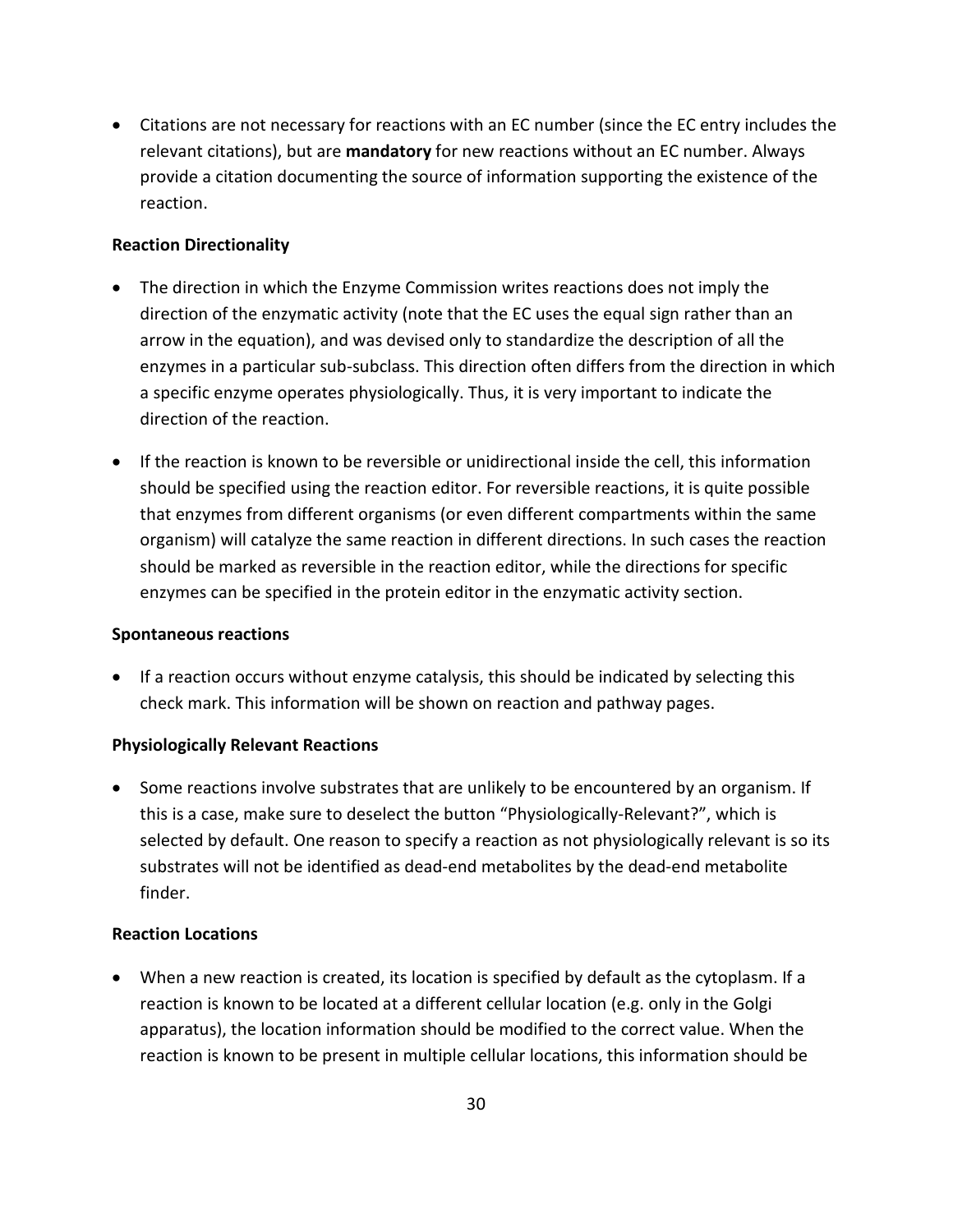• Citations are not necessary for reactions with an EC number (since the EC entry includes the relevant citations), but are **mandatory** for new reactions without an EC number. Always provide a citation documenting the source of information supporting the existence of the reaction.

## **Reaction Directionality**

- The direction in which the Enzyme Commission writes reactions does not imply the direction of the enzymatic activity (note that the EC uses the equal sign rather than an arrow in the equation), and was devised only to standardize the description of all the enzymes in a particular sub-subclass. This direction often differs from the direction in which a specific enzyme operates physiologically. Thus, it is very important to indicate the direction of the reaction.
- If the reaction is known to be reversible or unidirectional inside the cell, this information should be specified using the reaction editor. For reversible reactions, it is quite possible that enzymes from different organisms (or even different compartments within the same organism) will catalyze the same reaction in different directions. In such cases the reaction should be marked as reversible in the reaction editor, while the directions for specific enzymes can be specified in the protein editor in the enzymatic activity section.

#### **Spontaneous reactions**

• If a reaction occurs without enzyme catalysis, this should be indicated by selecting this check mark. This information will be shown on reaction and pathway pages.

## **Physiologically Relevant Reactions**

• Some reactions involve substrates that are unlikely to be encountered by an organism. If this is a case, make sure to deselect the button "Physiologically-Relevant?", which is selected by default. One reason to specify a reaction as not physiologically relevant is so its substrates will not be identified as dead-end metabolites by the dead-end metabolite finder.

#### **Reaction Locations**

• When a new reaction is created, its location is specified by default as the cytoplasm. If a reaction is known to be located at a different cellular location (e.g. only in the Golgi apparatus), the location information should be modified to the correct value. When the reaction is known to be present in multiple cellular locations, this information should be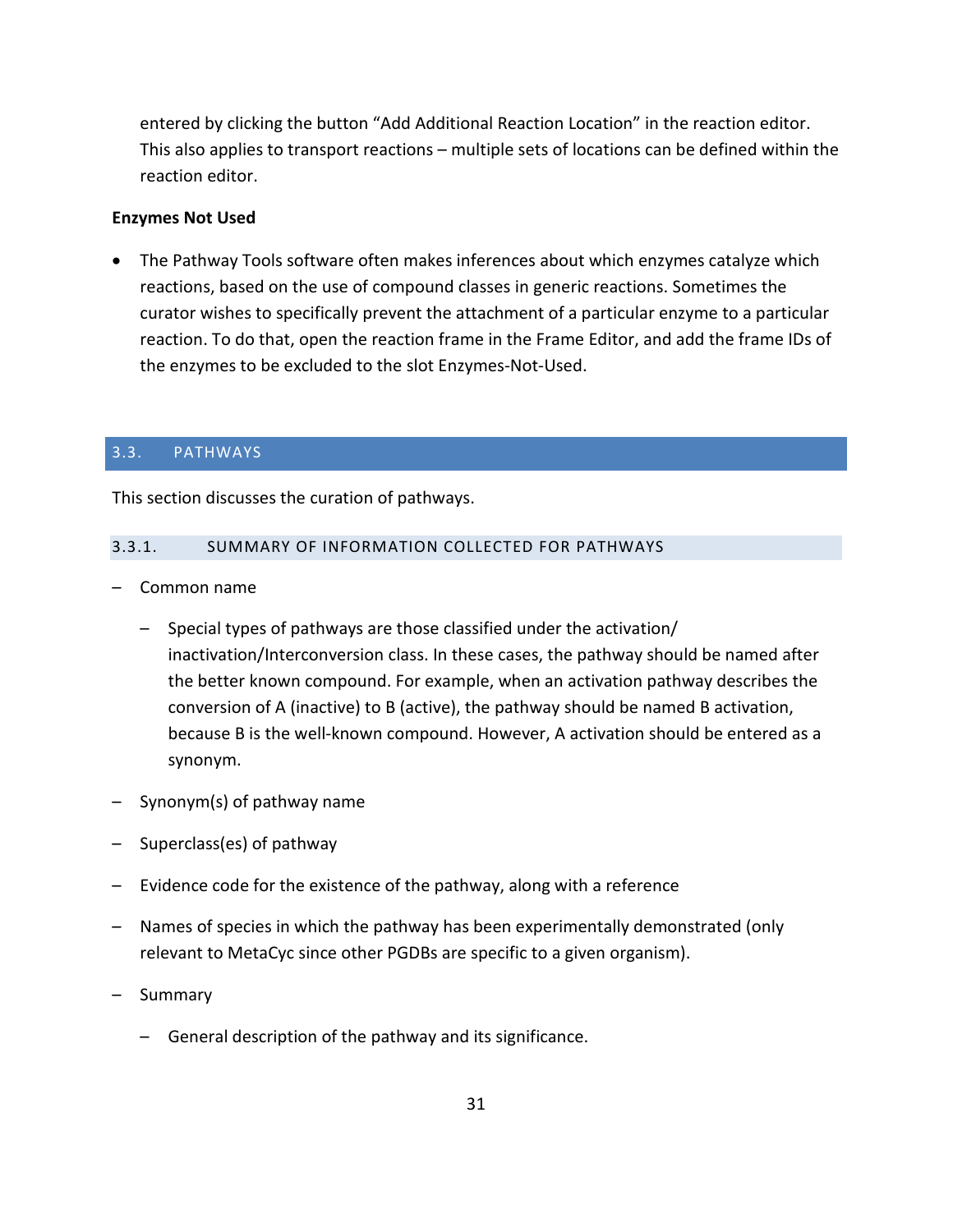entered by clicking the button "Add Additional Reaction Location" in the reaction editor. This also applies to transport reactions – multiple sets of locations can be defined within the reaction editor.

## **Enzymes Not Used**

• The Pathway Tools software often makes inferences about which enzymes catalyze which reactions, based on the use of compound classes in generic reactions. Sometimes the curator wishes to specifically prevent the attachment of a particular enzyme to a particular reaction. To do that, open the reaction frame in the Frame Editor, and add the frame IDs of the enzymes to be excluded to the slot Enzymes-Not-Used.

## <span id="page-30-0"></span>3.3. PATHWAYS

This section discusses the curation of pathways.

#### <span id="page-30-1"></span>3.3.1. SUMMARY OF INFORMATION COLLECTED FOR PATHWAYS

- Common name
	- Special types of pathways are those classified under the activation/ inactivation/Interconversion class. In these cases, the pathway should be named after the better known compound. For example, when an activation pathway describes the conversion of A (inactive) to B (active), the pathway should be named B activation, because B is the well-known compound. However, A activation should be entered as a synonym.
- Synonym(s) of pathway name
- Superclass(es) of pathway
- Evidence code for the existence of the pathway, along with a reference
- Names of species in which the pathway has been experimentally demonstrated (only relevant to MetaCyc since other PGDBs are specific to a given organism).
- Summary
	- General description of the pathway and its significance.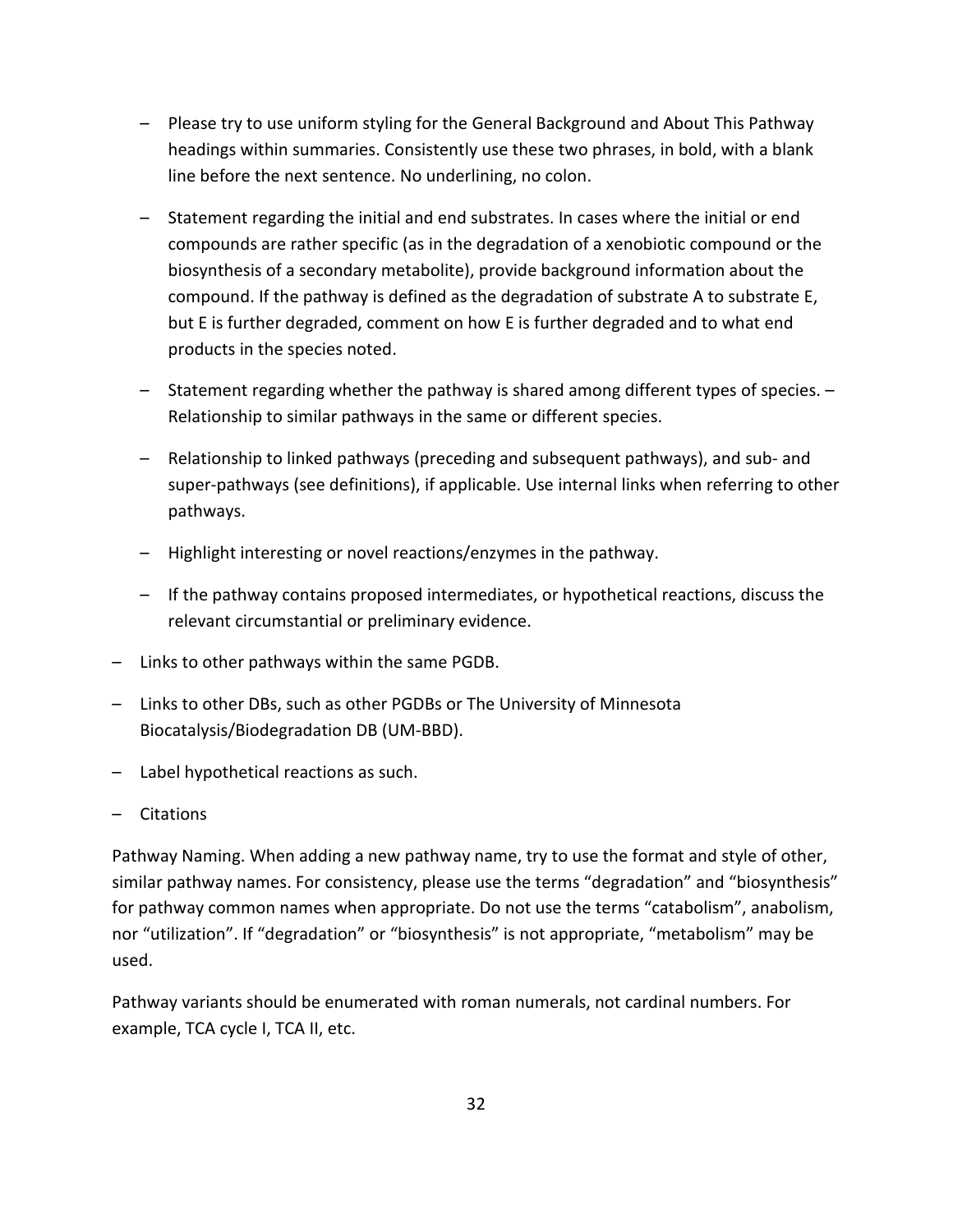- Please try to use uniform styling for the General Background and About This Pathway headings within summaries. Consistently use these two phrases, in bold, with a blank line before the next sentence. No underlining, no colon.
- Statement regarding the initial and end substrates. In cases where the initial or end compounds are rather specific (as in the degradation of a xenobiotic compound or the biosynthesis of a secondary metabolite), provide background information about the compound. If the pathway is defined as the degradation of substrate A to substrate E, but E is further degraded, comment on how E is further degraded and to what end products in the species noted.
- Statement regarding whether the pathway is shared among different types of species. Relationship to similar pathways in the same or different species.
- Relationship to linked pathways (preceding and subsequent pathways), and sub- and super-pathways (see definitions), if applicable. Use internal links when referring to other pathways.
- Highlight interesting or novel reactions/enzymes in the pathway.
- If the pathway contains proposed intermediates, or hypothetical reactions, discuss the relevant circumstantial or preliminary evidence.
- Links to other pathways within the same PGDB.
- Links to other DBs, such as other PGDBs or The University of Minnesota Biocatalysis/Biodegradation DB (UM-BBD).
- Label hypothetical reactions as such.
- Citations

Pathway Naming. When adding a new pathway name, try to use the format and style of other, similar pathway names. For consistency, please use the terms "degradation" and "biosynthesis" for pathway common names when appropriate. Do not use the terms "catabolism", anabolism, nor "utilization". If "degradation" or "biosynthesis" is not appropriate, "metabolism" may be used.

Pathway variants should be enumerated with roman numerals, not cardinal numbers. For example, TCA cycle I, TCA II, etc.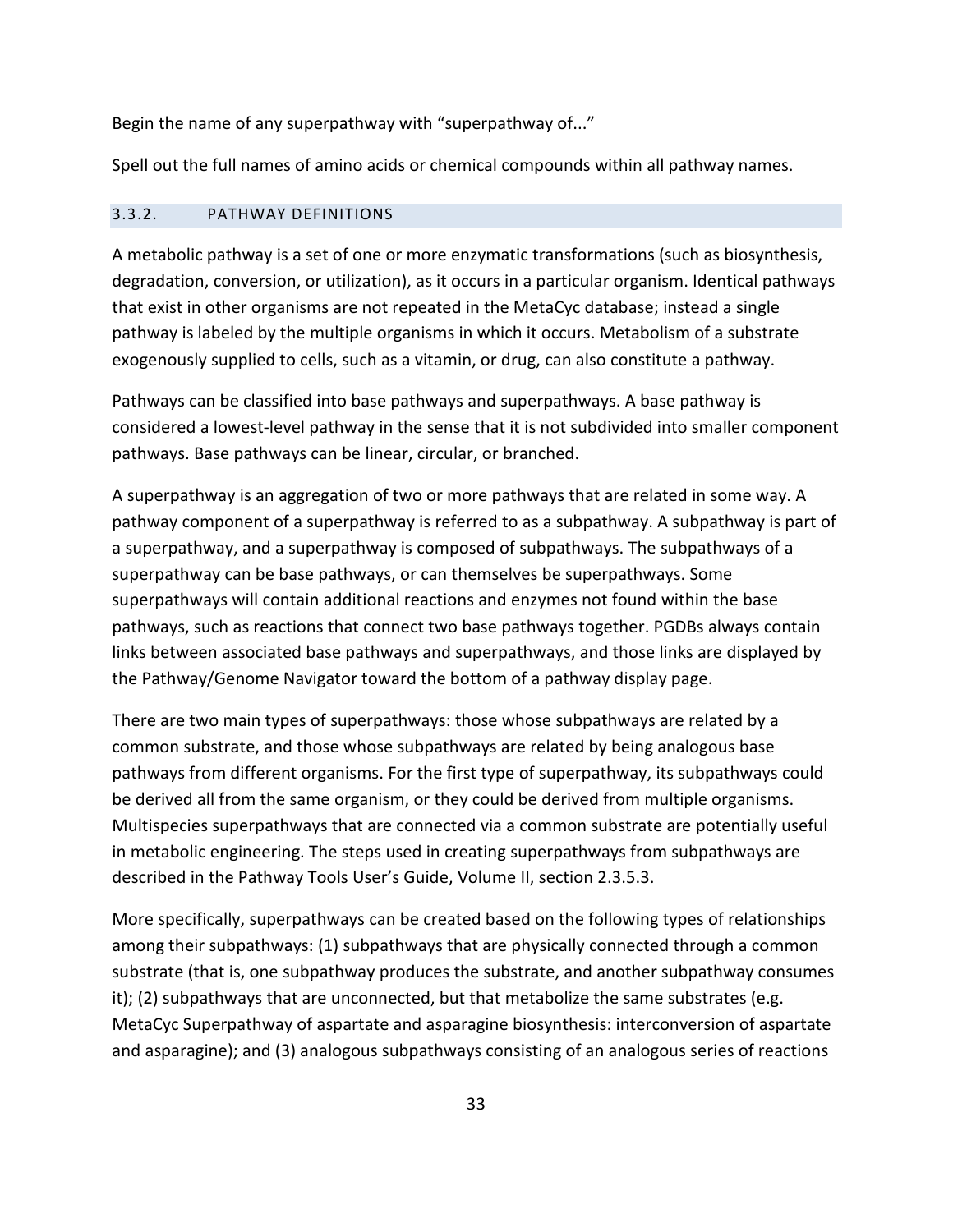Begin the name of any superpathway with "superpathway of..."

Spell out the full names of amino acids or chemical compounds within all pathway names.

## <span id="page-32-0"></span>3.3.2. PATHWAY DEFINITIONS

A metabolic pathway is a set of one or more enzymatic transformations (such as biosynthesis, degradation, conversion, or utilization), as it occurs in a particular organism. Identical pathways that exist in other organisms are not repeated in the MetaCyc database; instead a single pathway is labeled by the multiple organisms in which it occurs. Metabolism of a substrate exogenously supplied to cells, such as a vitamin, or drug, can also constitute a pathway.

Pathways can be classified into base pathways and superpathways. A base pathway is considered a lowest-level pathway in the sense that it is not subdivided into smaller component pathways. Base pathways can be linear, circular, or branched.

A superpathway is an aggregation of two or more pathways that are related in some way. A pathway component of a superpathway is referred to as a subpathway. A subpathway is part of a superpathway, and a superpathway is composed of subpathways. The subpathways of a superpathway can be base pathways, or can themselves be superpathways. Some superpathways will contain additional reactions and enzymes not found within the base pathways, such as reactions that connect two base pathways together. PGDBs always contain links between associated base pathways and superpathways, and those links are displayed by the Pathway/Genome Navigator toward the bottom of a pathway display page.

There are two main types of superpathways: those whose subpathways are related by a common substrate, and those whose subpathways are related by being analogous base pathways from different organisms. For the first type of superpathway, its subpathways could be derived all from the same organism, or they could be derived from multiple organisms. Multispecies superpathways that are connected via a common substrate are potentially useful in metabolic engineering. The steps used in creating superpathways from subpathways are described in the Pathway Tools User's Guide, Volume II, section 2.3.5.3.

More specifically, superpathways can be created based on the following types of relationships among their subpathways: (1) subpathways that are physically connected through a common substrate (that is, one subpathway produces the substrate, and another subpathway consumes it); (2) subpathways that are unconnected, but that metabolize the same substrates (e.g. MetaCyc Superpathway of aspartate and asparagine biosynthesis: interconversion of aspartate and asparagine); and (3) analogous subpathways consisting of an analogous series of reactions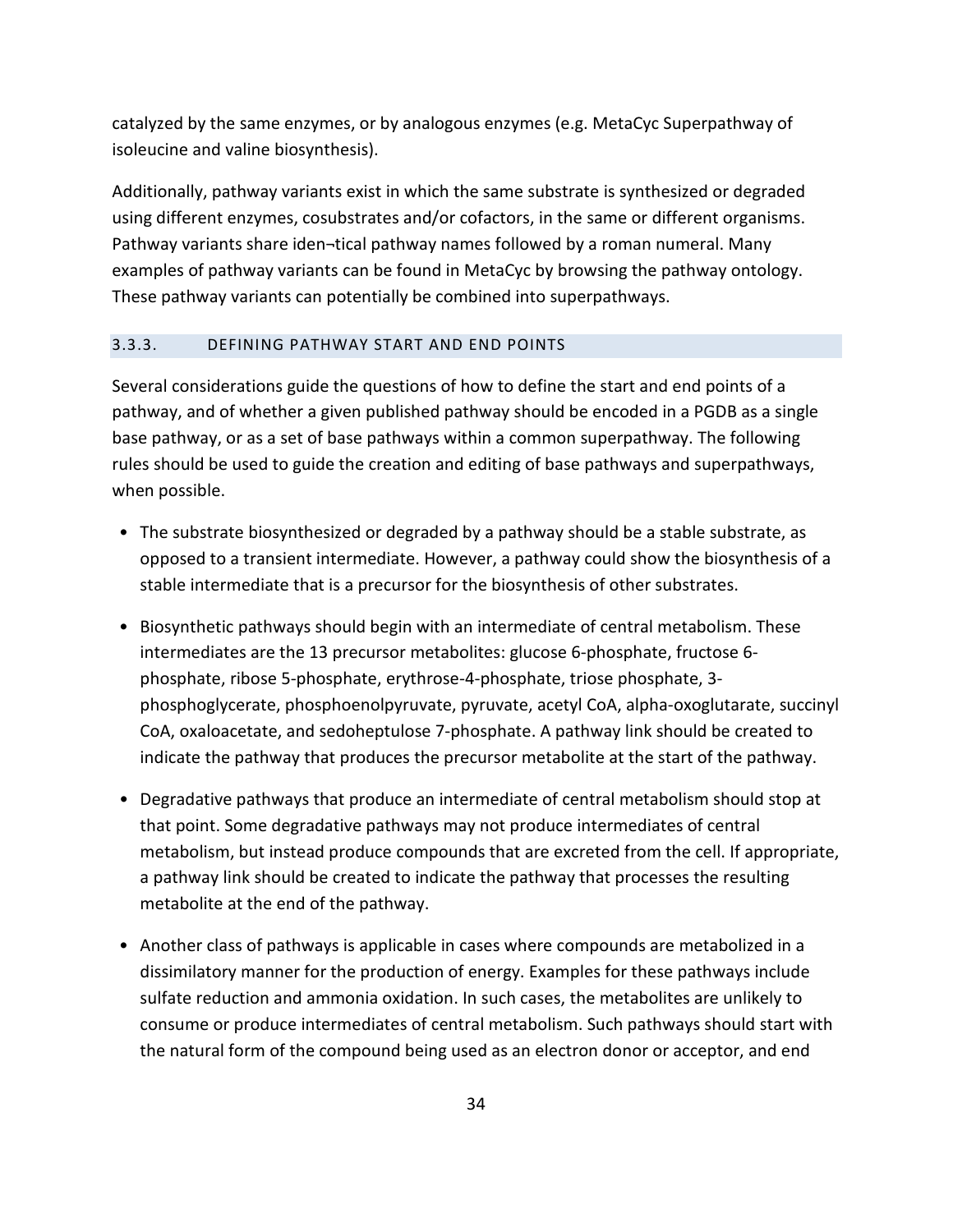catalyzed by the same enzymes, or by analogous enzymes (e.g. MetaCyc Superpathway of isoleucine and valine biosynthesis).

Additionally, pathway variants exist in which the same substrate is synthesized or degraded using different enzymes, cosubstrates and/or cofactors, in the same or different organisms. Pathway variants share iden¬tical pathway names followed by a roman numeral. Many examples of pathway variants can be found in MetaCyc by browsing the pathway ontology. These pathway variants can potentially be combined into superpathways.

#### <span id="page-33-0"></span>3.3.3. DEFINING PATHWAY START AND END POINTS

Several considerations guide the questions of how to define the start and end points of a pathway, and of whether a given published pathway should be encoded in a PGDB as a single base pathway, or as a set of base pathways within a common superpathway. The following rules should be used to guide the creation and editing of base pathways and superpathways, when possible.

- The substrate biosynthesized or degraded by a pathway should be a stable substrate, as opposed to a transient intermediate. However, a pathway could show the biosynthesis of a stable intermediate that is a precursor for the biosynthesis of other substrates.
- Biosynthetic pathways should begin with an intermediate of central metabolism. These intermediates are the 13 precursor metabolites: glucose 6-phosphate, fructose 6 phosphate, ribose 5-phosphate, erythrose-4-phosphate, triose phosphate, 3 phosphoglycerate, phosphoenolpyruvate, pyruvate, acetyl CoA, alpha-oxoglutarate, succinyl CoA, oxaloacetate, and sedoheptulose 7-phosphate. A pathway link should be created to indicate the pathway that produces the precursor metabolite at the start of the pathway.
- Degradative pathways that produce an intermediate of central metabolism should stop at that point. Some degradative pathways may not produce intermediates of central metabolism, but instead produce compounds that are excreted from the cell. If appropriate, a pathway link should be created to indicate the pathway that processes the resulting metabolite at the end of the pathway.
- Another class of pathways is applicable in cases where compounds are metabolized in a dissimilatory manner for the production of energy. Examples for these pathways include sulfate reduction and ammonia oxidation. In such cases, the metabolites are unlikely to consume or produce intermediates of central metabolism. Such pathways should start with the natural form of the compound being used as an electron donor or acceptor, and end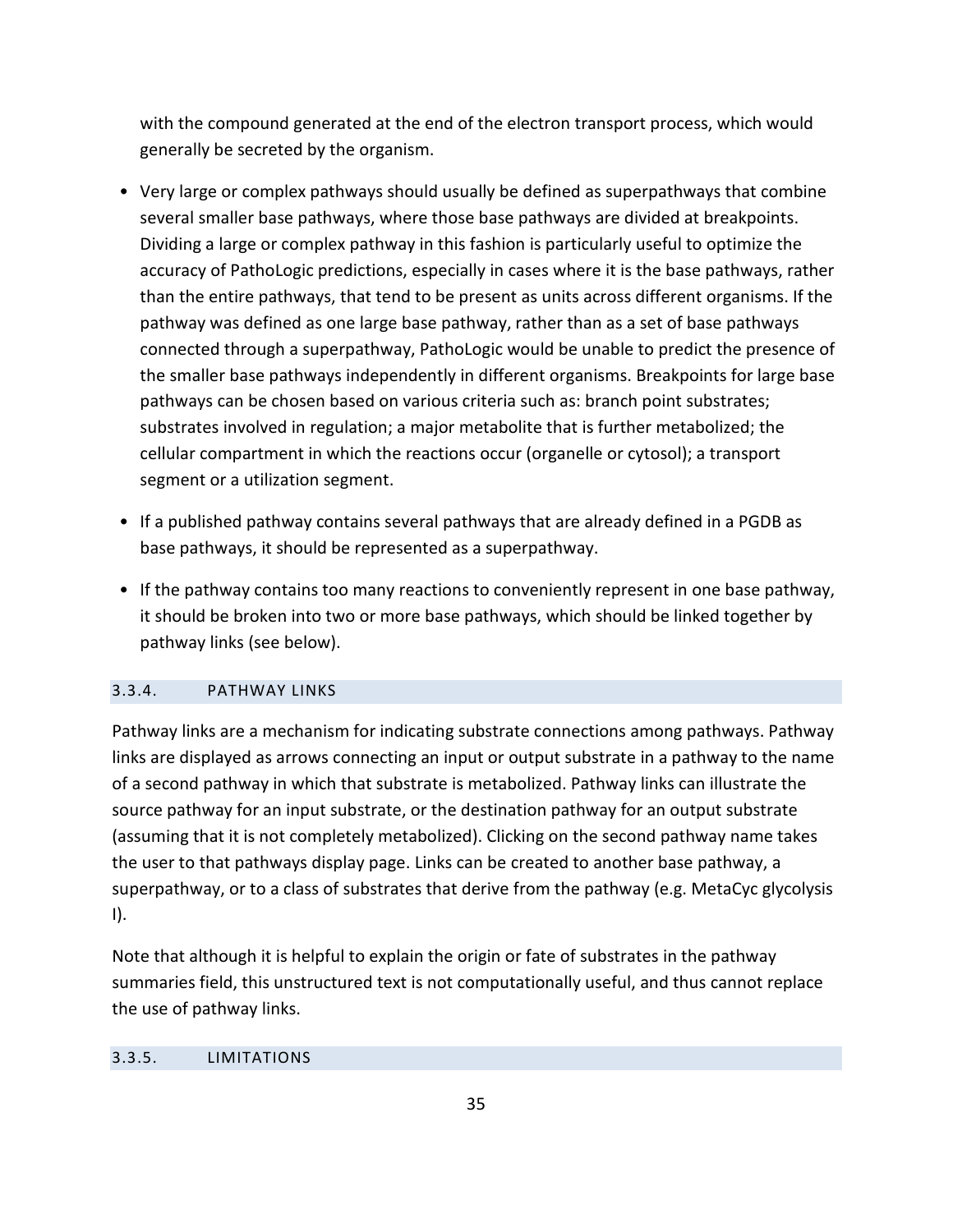with the compound generated at the end of the electron transport process, which would generally be secreted by the organism.

- Very large or complex pathways should usually be defined as superpathways that combine several smaller base pathways, where those base pathways are divided at breakpoints. Dividing a large or complex pathway in this fashion is particularly useful to optimize the accuracy of PathoLogic predictions, especially in cases where it is the base pathways, rather than the entire pathways, that tend to be present as units across different organisms. If the pathway was defined as one large base pathway, rather than as a set of base pathways connected through a superpathway, PathoLogic would be unable to predict the presence of the smaller base pathways independently in different organisms. Breakpoints for large base pathways can be chosen based on various criteria such as: branch point substrates; substrates involved in regulation; a major metabolite that is further metabolized; the cellular compartment in which the reactions occur (organelle or cytosol); a transport segment or a utilization segment.
- If a published pathway contains several pathways that are already defined in a PGDB as base pathways, it should be represented as a superpathway.
- If the pathway contains too many reactions to conveniently represent in one base pathway, it should be broken into two or more base pathways, which should be linked together by pathway links (see below).

## <span id="page-34-0"></span>3.3.4. PATHWAY LINKS

Pathway links are a mechanism for indicating substrate connections among pathways. Pathway links are displayed as arrows connecting an input or output substrate in a pathway to the name of a second pathway in which that substrate is metabolized. Pathway links can illustrate the source pathway for an input substrate, or the destination pathway for an output substrate (assuming that it is not completely metabolized). Clicking on the second pathway name takes the user to that pathways display page. Links can be created to another base pathway, a superpathway, or to a class of substrates that derive from the pathway (e.g. MetaCyc glycolysis I).

Note that although it is helpful to explain the origin or fate of substrates in the pathway summaries field, this unstructured text is not computationally useful, and thus cannot replace the use of pathway links.

## <span id="page-34-1"></span>3.3.5. LIMITATIONS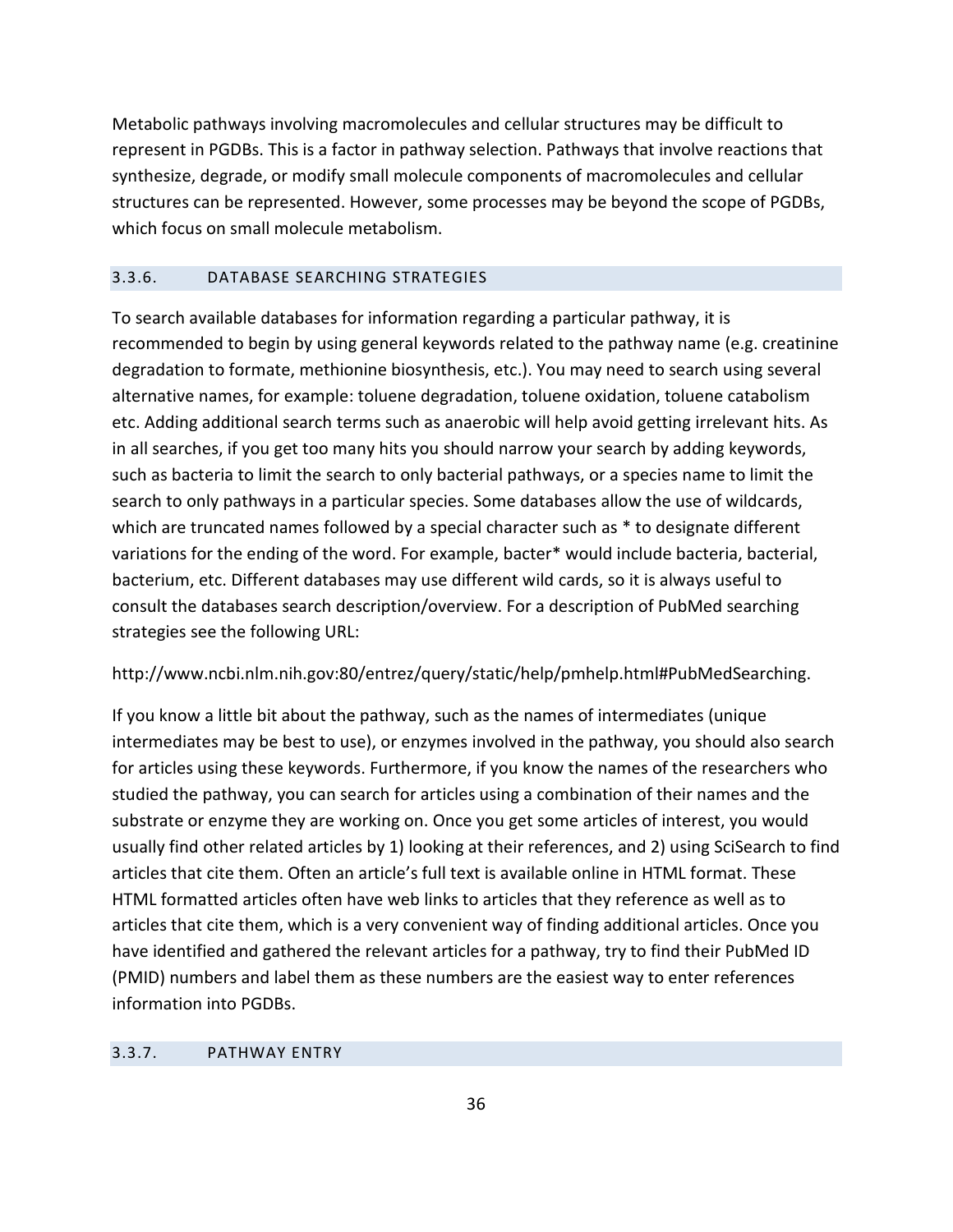Metabolic pathways involving macromolecules and cellular structures may be difficult to represent in PGDBs. This is a factor in pathway selection. Pathways that involve reactions that synthesize, degrade, or modify small molecule components of macromolecules and cellular structures can be represented. However, some processes may be beyond the scope of PGDBs, which focus on small molecule metabolism.

## <span id="page-35-0"></span>3.3.6. DATABASE SEARCHING STRATEGIES

To search available databases for information regarding a particular pathway, it is recommended to begin by using general keywords related to the pathway name (e.g. creatinine degradation to formate, methionine biosynthesis, etc.). You may need to search using several alternative names, for example: toluene degradation, toluene oxidation, toluene catabolism etc. Adding additional search terms such as anaerobic will help avoid getting irrelevant hits. As in all searches, if you get too many hits you should narrow your search by adding keywords, such as bacteria to limit the search to only bacterial pathways, or a species name to limit the search to only pathways in a particular species. Some databases allow the use of wildcards, which are truncated names followed by a special character such as \* to designate different variations for the ending of the word. For example, bacter\* would include bacteria, bacterial, bacterium, etc. Different databases may use different wild cards, so it is always useful to consult the databases search description/overview. For a description of PubMed searching strategies see the following URL:

http://www.ncbi.nlm.nih.gov:80/entrez/query/static/help/pmhelp.html#PubMedSearching.

If you know a little bit about the pathway, such as the names of intermediates (unique intermediates may be best to use), or enzymes involved in the pathway, you should also search for articles using these keywords. Furthermore, if you know the names of the researchers who studied the pathway, you can search for articles using a combination of their names and the substrate or enzyme they are working on. Once you get some articles of interest, you would usually find other related articles by 1) looking at their references, and 2) using SciSearch to find articles that cite them. Often an article's full text is available online in HTML format. These HTML formatted articles often have web links to articles that they reference as well as to articles that cite them, which is a very convenient way of finding additional articles. Once you have identified and gathered the relevant articles for a pathway, try to find their PubMed ID (PMID) numbers and label them as these numbers are the easiest way to enter references information into PGDBs.

## <span id="page-35-1"></span>3.3.7. PATHWAY ENTRY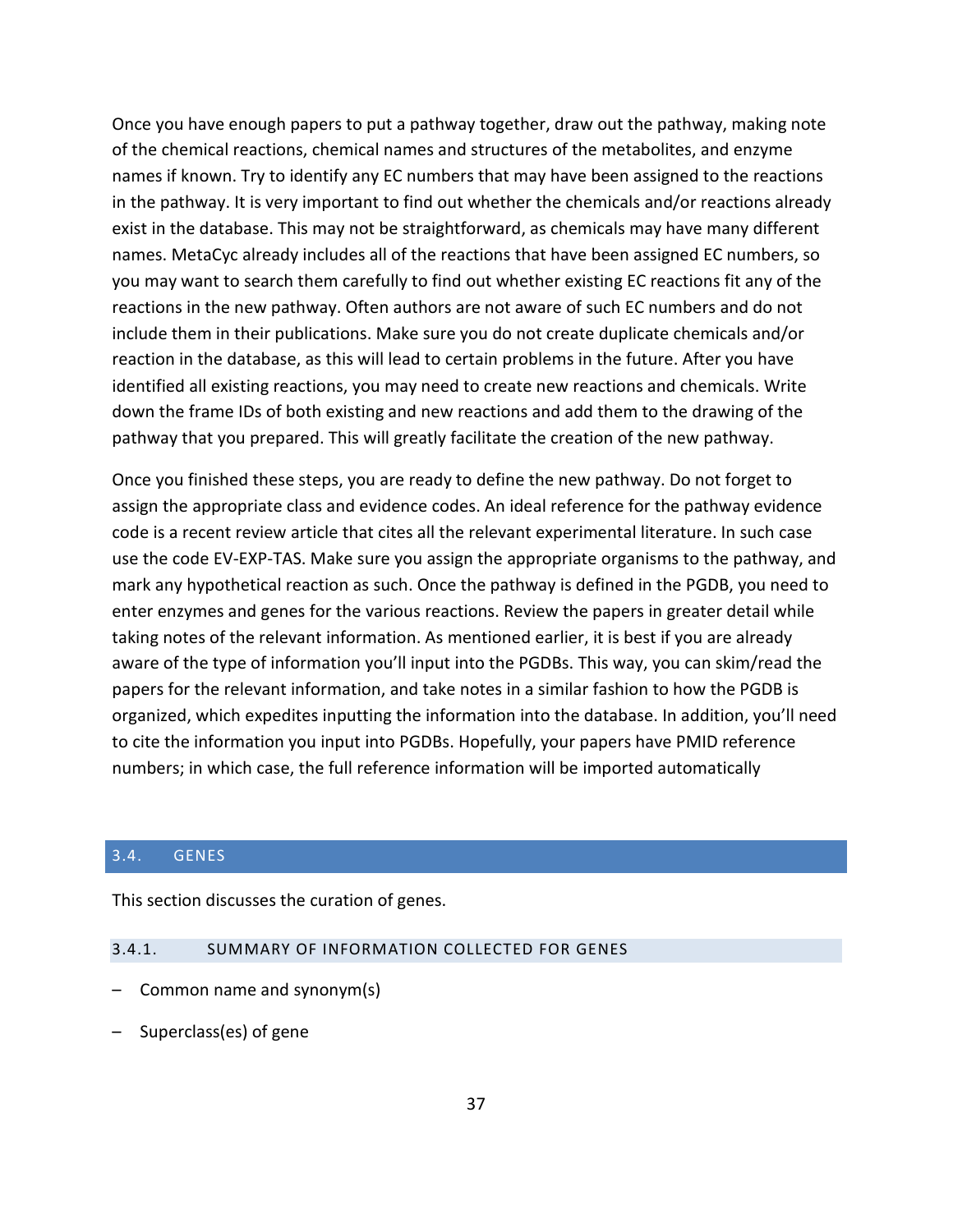Once you have enough papers to put a pathway together, draw out the pathway, making note of the chemical reactions, chemical names and structures of the metabolites, and enzyme names if known. Try to identify any EC numbers that may have been assigned to the reactions in the pathway. It is very important to find out whether the chemicals and/or reactions already exist in the database. This may not be straightforward, as chemicals may have many different names. MetaCyc already includes all of the reactions that have been assigned EC numbers, so you may want to search them carefully to find out whether existing EC reactions fit any of the reactions in the new pathway. Often authors are not aware of such EC numbers and do not include them in their publications. Make sure you do not create duplicate chemicals and/or reaction in the database, as this will lead to certain problems in the future. After you have identified all existing reactions, you may need to create new reactions and chemicals. Write down the frame IDs of both existing and new reactions and add them to the drawing of the pathway that you prepared. This will greatly facilitate the creation of the new pathway.

Once you finished these steps, you are ready to define the new pathway. Do not forget to assign the appropriate class and evidence codes. An ideal reference for the pathway evidence code is a recent review article that cites all the relevant experimental literature. In such case use the code EV-EXP-TAS. Make sure you assign the appropriate organisms to the pathway, and mark any hypothetical reaction as such. Once the pathway is defined in the PGDB, you need to enter enzymes and genes for the various reactions. Review the papers in greater detail while taking notes of the relevant information. As mentioned earlier, it is best if you are already aware of the type of information you'll input into the PGDBs. This way, you can skim/read the papers for the relevant information, and take notes in a similar fashion to how the PGDB is organized, which expedites inputting the information into the database. In addition, you'll need to cite the information you input into PGDBs. Hopefully, your papers have PMID reference numbers; in which case, the full reference information will be imported automatically

#### <span id="page-36-0"></span>3.4. GENES

This section discusses the curation of genes.

## <span id="page-36-1"></span>3.4.1. SUMMARY OF INFORMATION COLLECTED FOR GENES

- Common name and synonym(s)
- Superclass(es) of gene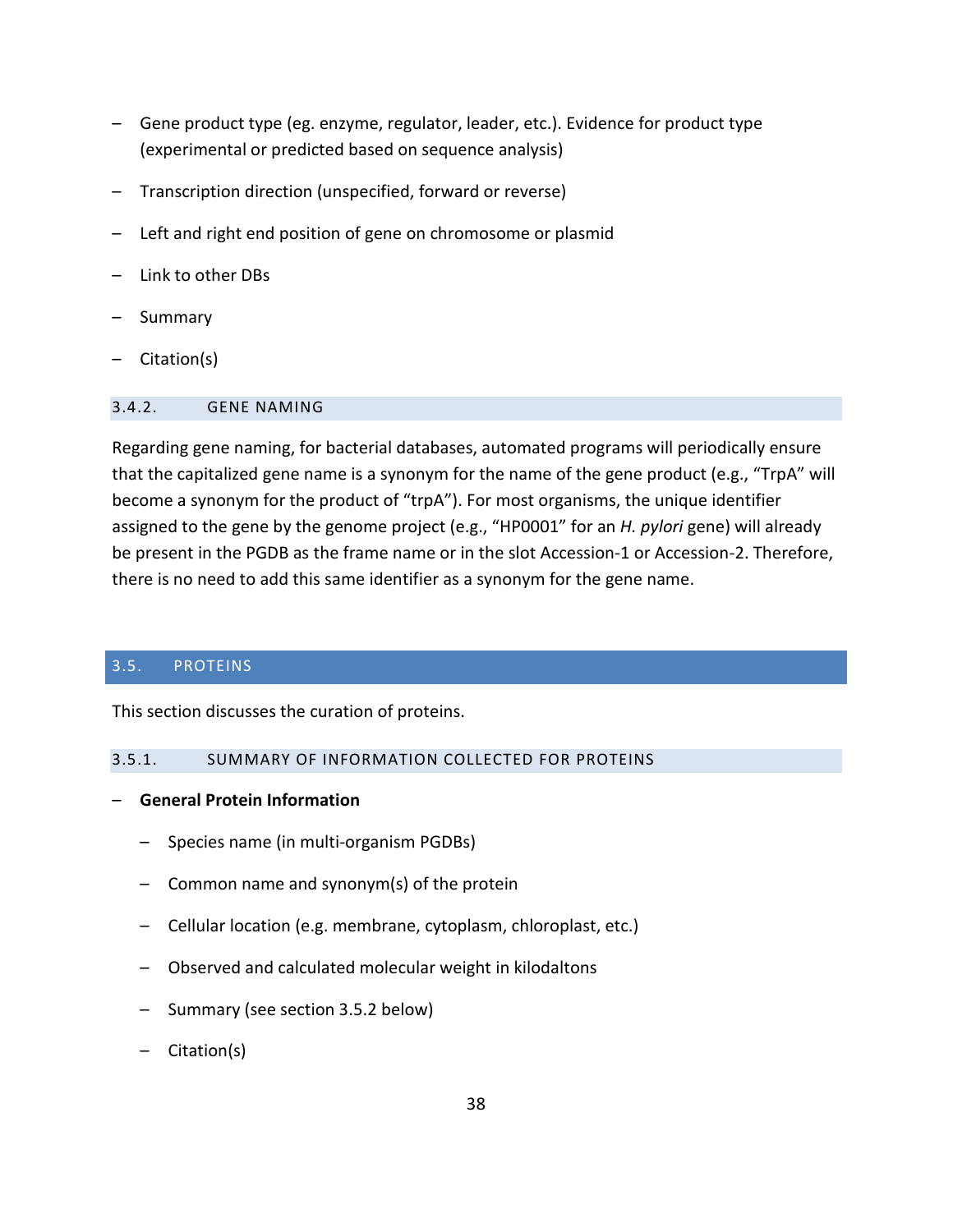- Gene product type (eg. enzyme, regulator, leader, etc.). Evidence for product type (experimental or predicted based on sequence analysis)
- Transcription direction (unspecified, forward or reverse)
- Left and right end position of gene on chromosome or plasmid
- Link to other DBs
- Summary
- Citation(s)

#### <span id="page-37-0"></span>3.4.2. GENE NAMING

Regarding gene naming, for bacterial databases, automated programs will periodically ensure that the capitalized gene name is a synonym for the name of the gene product (e.g., "TrpA" will become a synonym for the product of "trpA"). For most organisms, the unique identifier assigned to the gene by the genome project (e.g., "HP0001" for an *H. pylori* gene) will already be present in the PGDB as the frame name or in the slot Accession-1 or Accession-2. Therefore, there is no need to add this same identifier as a synonym for the gene name.

## <span id="page-37-1"></span>3.5. PROTEINS

This section discusses the curation of proteins.

#### <span id="page-37-2"></span>3.5.1. SUMMARY OF INFORMATION COLLECTED FOR PROTEINS

- **General Protein Information**
	- Species name (in multi-organism PGDBs)
	- Common name and synonym(s) of the protein
	- Cellular location (e.g. membrane, cytoplasm, chloroplast, etc.)
	- Observed and calculated molecular weight in kilodaltons
	- Summary (see section [3.5.2](#page-40-0) below)
	- Citation(s)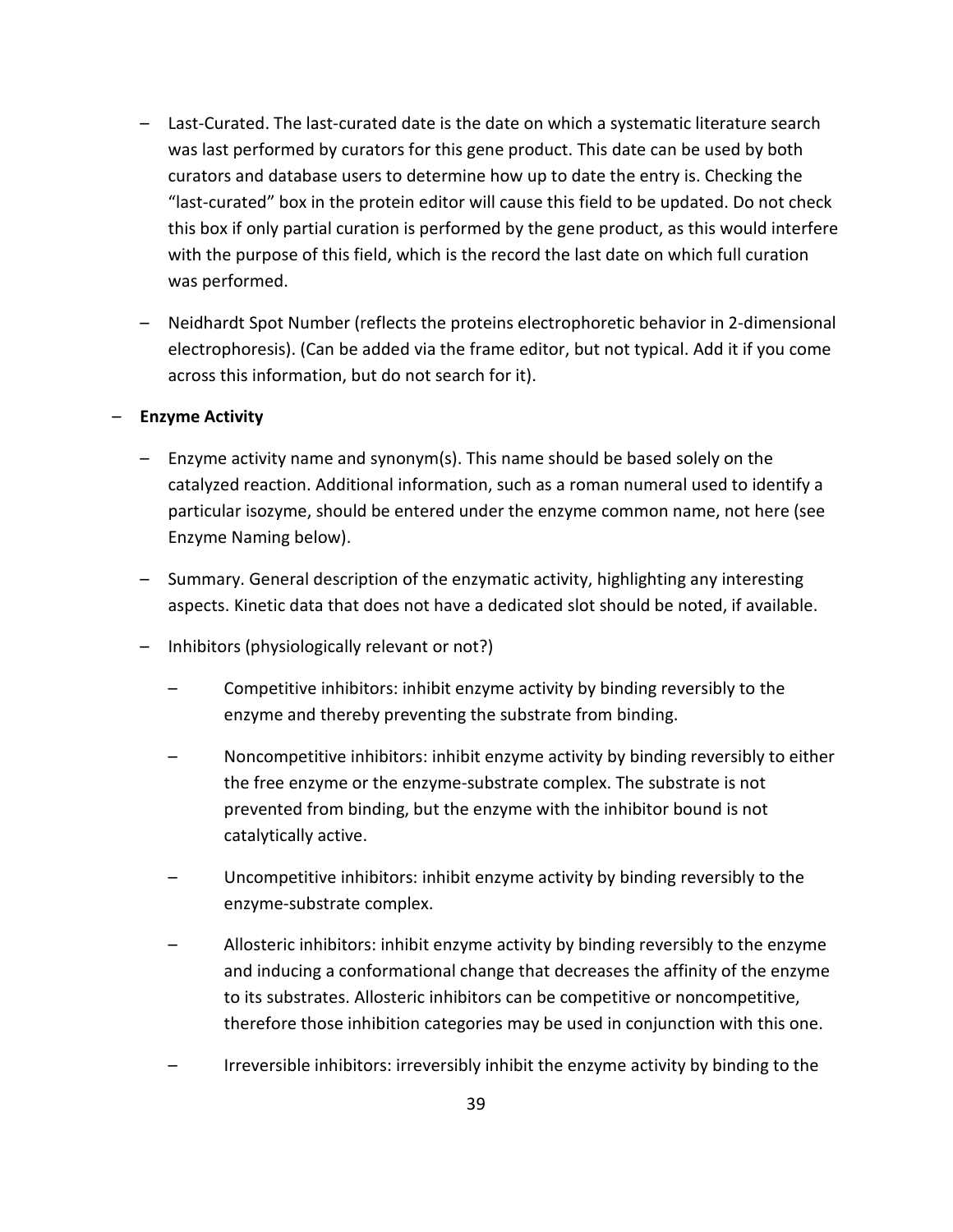- Last-Curated. The last-curated date is the date on which a systematic literature search was last performed by curators for this gene product. This date can be used by both curators and database users to determine how up to date the entry is. Checking the "last-curated" box in the protein editor will cause this field to be updated. Do not check this box if only partial curation is performed by the gene product, as this would interfere with the purpose of this field, which is the record the last date on which full curation was performed.
- Neidhardt Spot Number (reflects the proteins electrophoretic behavior in 2-dimensional electrophoresis). (Can be added via the frame editor, but not typical. Add it if you come across this information, but do not search for it).

#### – **Enzyme Activity**

- Enzyme activity name and synonym(s). This name should be based solely on the catalyzed reaction. Additional information, such as a roman numeral used to identify a particular isozyme, should be entered under the enzyme common name, not here (see Enzyme Naming below).
- Summary. General description of the enzymatic activity, highlighting any interesting aspects. Kinetic data that does not have a dedicated slot should be noted, if available.
- Inhibitors (physiologically relevant or not?)
	- Competitive inhibitors: inhibit enzyme activity by binding reversibly to the enzyme and thereby preventing the substrate from binding.
	- Noncompetitive inhibitors: inhibit enzyme activity by binding reversibly to either the free enzyme or the enzyme-substrate complex. The substrate is not prevented from binding, but the enzyme with the inhibitor bound is not catalytically active.
	- Uncompetitive inhibitors: inhibit enzyme activity by binding reversibly to the enzyme-substrate complex.
	- Allosteric inhibitors: inhibit enzyme activity by binding reversibly to the enzyme and inducing a conformational change that decreases the affinity of the enzyme to its substrates. Allosteric inhibitors can be competitive or noncompetitive, therefore those inhibition categories may be used in conjunction with this one.
	- Irreversible inhibitors: irreversibly inhibit the enzyme activity by binding to the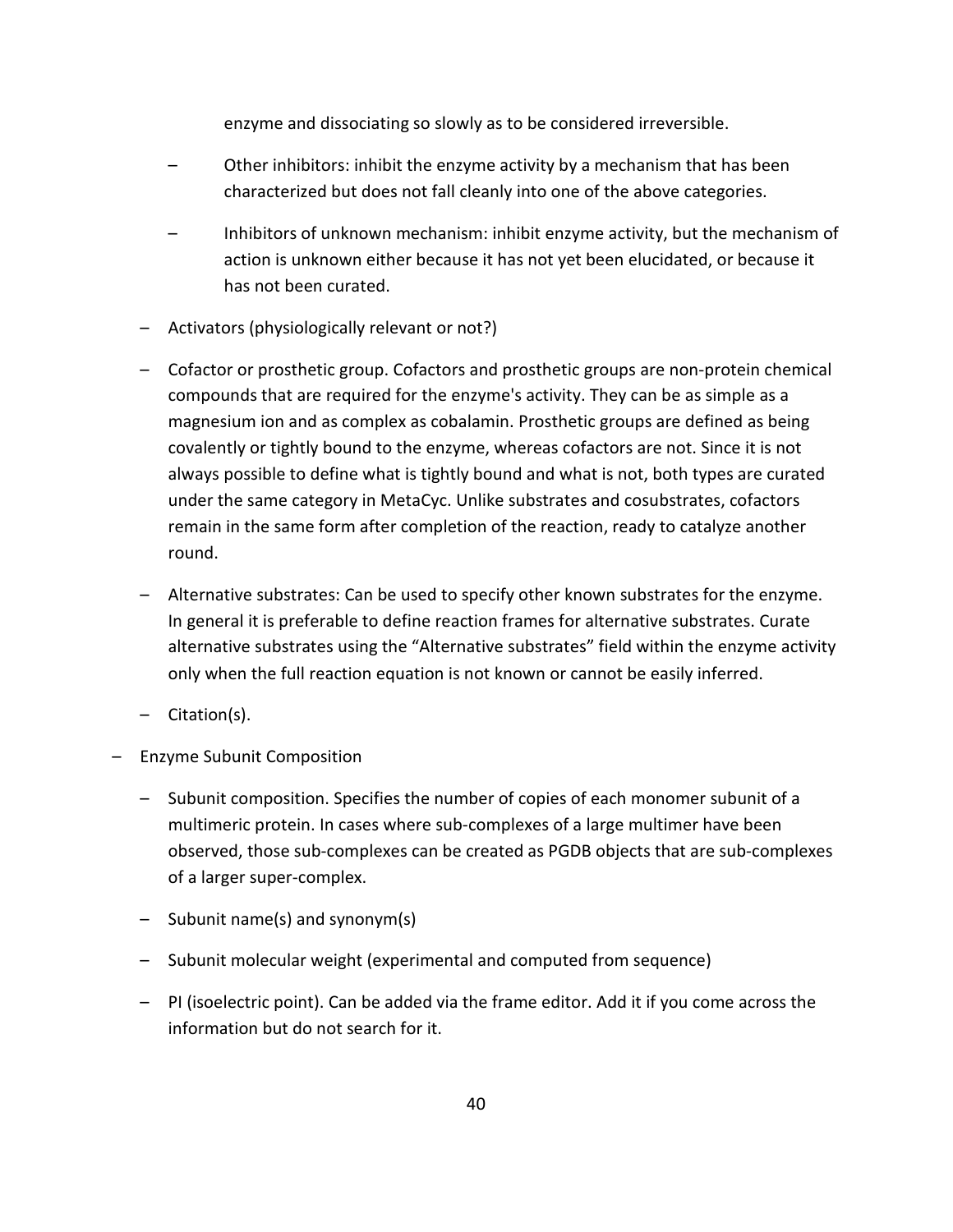enzyme and dissociating so slowly as to be considered irreversible.

- Other inhibitors: inhibit the enzyme activity by a mechanism that has been characterized but does not fall cleanly into one of the above categories.
- Inhibitors of unknown mechanism: inhibit enzyme activity, but the mechanism of action is unknown either because it has not yet been elucidated, or because it has not been curated.
- Activators (physiologically relevant or not?)
- Cofactor or prosthetic group. Cofactors and prosthetic groups are non-protein chemical compounds that are required for the enzyme's activity. They can be as simple as a magnesium ion and as complex as cobalamin. Prosthetic groups are defined as being covalently or tightly bound to the enzyme, whereas cofactors are not. Since it is not always possible to define what is tightly bound and what is not, both types are curated under the same category in MetaCyc. Unlike substrates and cosubstrates, cofactors remain in the same form after completion of the reaction, ready to catalyze another round.
- Alternative substrates: Can be used to specify other known substrates for the enzyme. In general it is preferable to define reaction frames for alternative substrates. Curate alternative substrates using the "Alternative substrates" field within the enzyme activity only when the full reaction equation is not known or cannot be easily inferred.
- Citation(s).
- Enzyme Subunit Composition
	- Subunit composition. Specifies the number of copies of each monomer subunit of a multimeric protein. In cases where sub-complexes of a large multimer have been observed, those sub-complexes can be created as PGDB objects that are sub-complexes of a larger super-complex.
	- Subunit name(s) and synonym(s)
	- Subunit molecular weight (experimental and computed from sequence)
	- PI (isoelectric point). Can be added via the frame editor. Add it if you come across the information but do not search for it.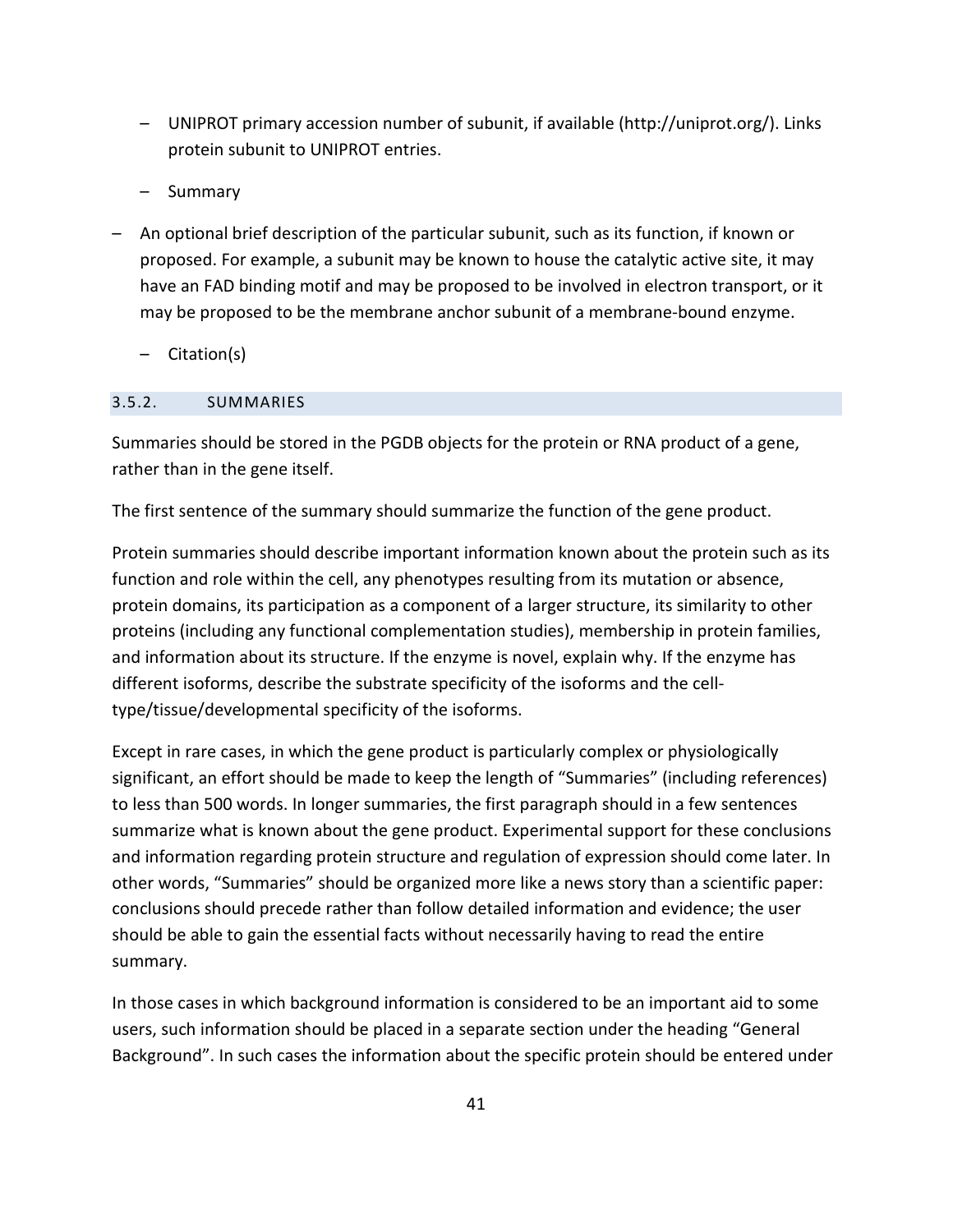- UNIPROT primary accession number of subunit, if available (http://uniprot.org/). Links protein subunit to UNIPROT entries.
- Summary
- An optional brief description of the particular subunit, such as its function, if known or proposed. For example, a subunit may be known to house the catalytic active site, it may have an FAD binding motif and may be proposed to be involved in electron transport, or it may be proposed to be the membrane anchor subunit of a membrane-bound enzyme.
	- Citation(s)

## <span id="page-40-0"></span>3.5.2. SUMMARIES

Summaries should be stored in the PGDB objects for the protein or RNA product of a gene, rather than in the gene itself.

The first sentence of the summary should summarize the function of the gene product.

Protein summaries should describe important information known about the protein such as its function and role within the cell, any phenotypes resulting from its mutation or absence, protein domains, its participation as a component of a larger structure, its similarity to other proteins (including any functional complementation studies), membership in protein families, and information about its structure. If the enzyme is novel, explain why. If the enzyme has different isoforms, describe the substrate specificity of the isoforms and the celltype/tissue/developmental specificity of the isoforms.

Except in rare cases, in which the gene product is particularly complex or physiologically significant, an effort should be made to keep the length of "Summaries" (including references) to less than 500 words. In longer summaries, the first paragraph should in a few sentences summarize what is known about the gene product. Experimental support for these conclusions and information regarding protein structure and regulation of expression should come later. In other words, "Summaries" should be organized more like a news story than a scientific paper: conclusions should precede rather than follow detailed information and evidence; the user should be able to gain the essential facts without necessarily having to read the entire summary.

In those cases in which background information is considered to be an important aid to some users, such information should be placed in a separate section under the heading "General Background". In such cases the information about the specific protein should be entered under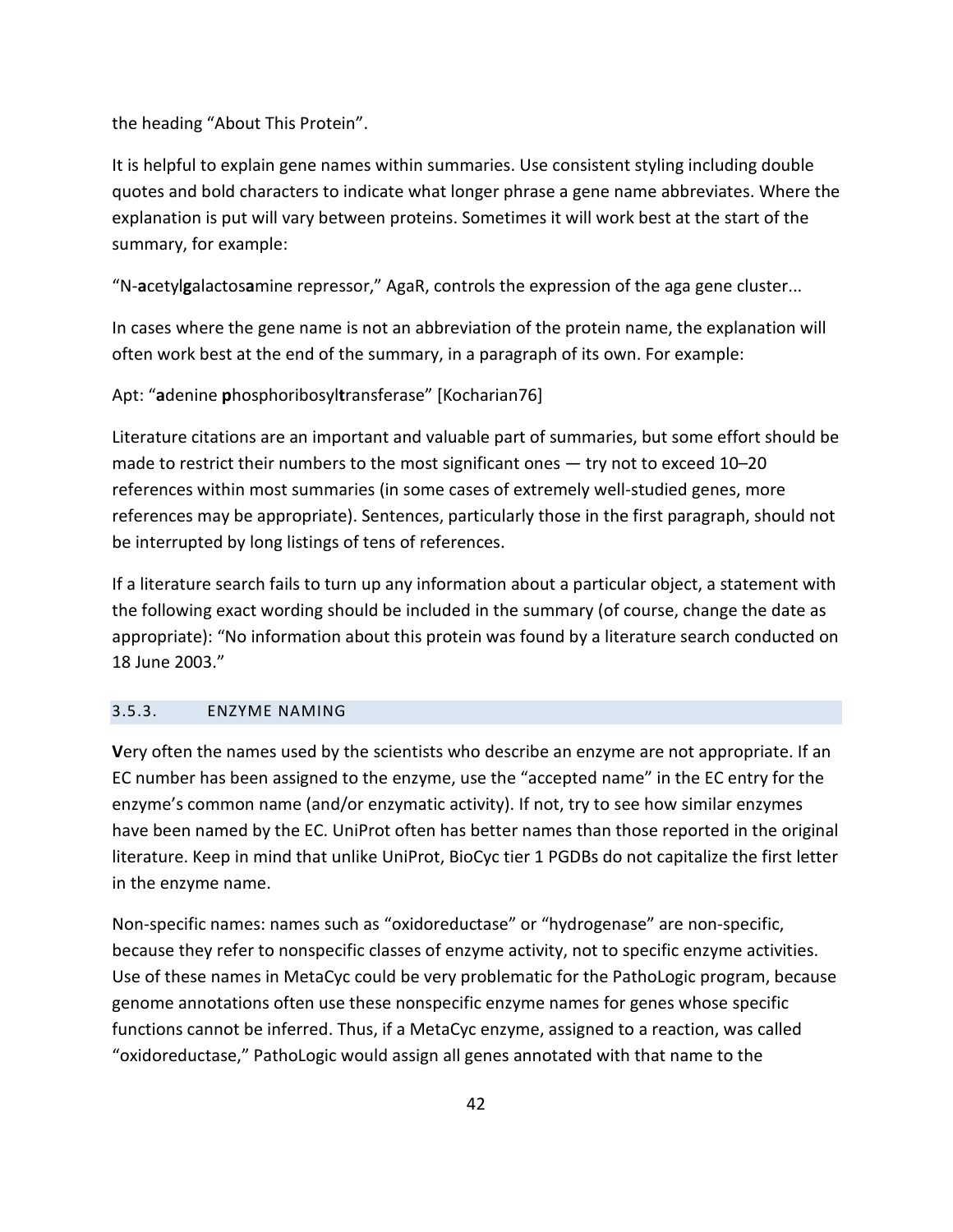the heading "About This Protein".

It is helpful to explain gene names within summaries. Use consistent styling including double quotes and bold characters to indicate what longer phrase a gene name abbreviates. Where the explanation is put will vary between proteins. Sometimes it will work best at the start of the summary, for example:

"N-**a**cetyl**g**alactos**a**mine repressor," AgaR, controls the expression of the aga gene cluster...

In cases where the gene name is not an abbreviation of the protein name, the explanation will often work best at the end of the summary, in a paragraph of its own. For example:

Apt: "**a**denine **p**hosphoribosyl**t**ransferase" [Kocharian76]

Literature citations are an important and valuable part of summaries, but some effort should be made to restrict their numbers to the most significant ones  $-$  try not to exceed 10–20 references within most summaries (in some cases of extremely well-studied genes, more references may be appropriate). Sentences, particularly those in the first paragraph, should not be interrupted by long listings of tens of references.

If a literature search fails to turn up any information about a particular object, a statement with the following exact wording should be included in the summary (of course, change the date as appropriate): "No information about this protein was found by a literature search conducted on 18 June 2003."

## <span id="page-41-0"></span>3.5.3. ENZYME NAMING

**V**ery often the names used by the scientists who describe an enzyme are not appropriate. If an EC number has been assigned to the enzyme, use the "accepted name" in the EC entry for the enzyme's common name (and/or enzymatic activity). If not, try to see how similar enzymes have been named by the EC. UniProt often has better names than those reported in the original literature. Keep in mind that unlike UniProt, BioCyc tier 1 PGDBs do not capitalize the first letter in the enzyme name.

Non-specific names: names such as "oxidoreductase" or "hydrogenase" are non-specific, because they refer to nonspecific classes of enzyme activity, not to specific enzyme activities. Use of these names in MetaCyc could be very problematic for the PathoLogic program, because genome annotations often use these nonspecific enzyme names for genes whose specific functions cannot be inferred. Thus, if a MetaCyc enzyme, assigned to a reaction, was called "oxidoreductase," PathoLogic would assign all genes annotated with that name to the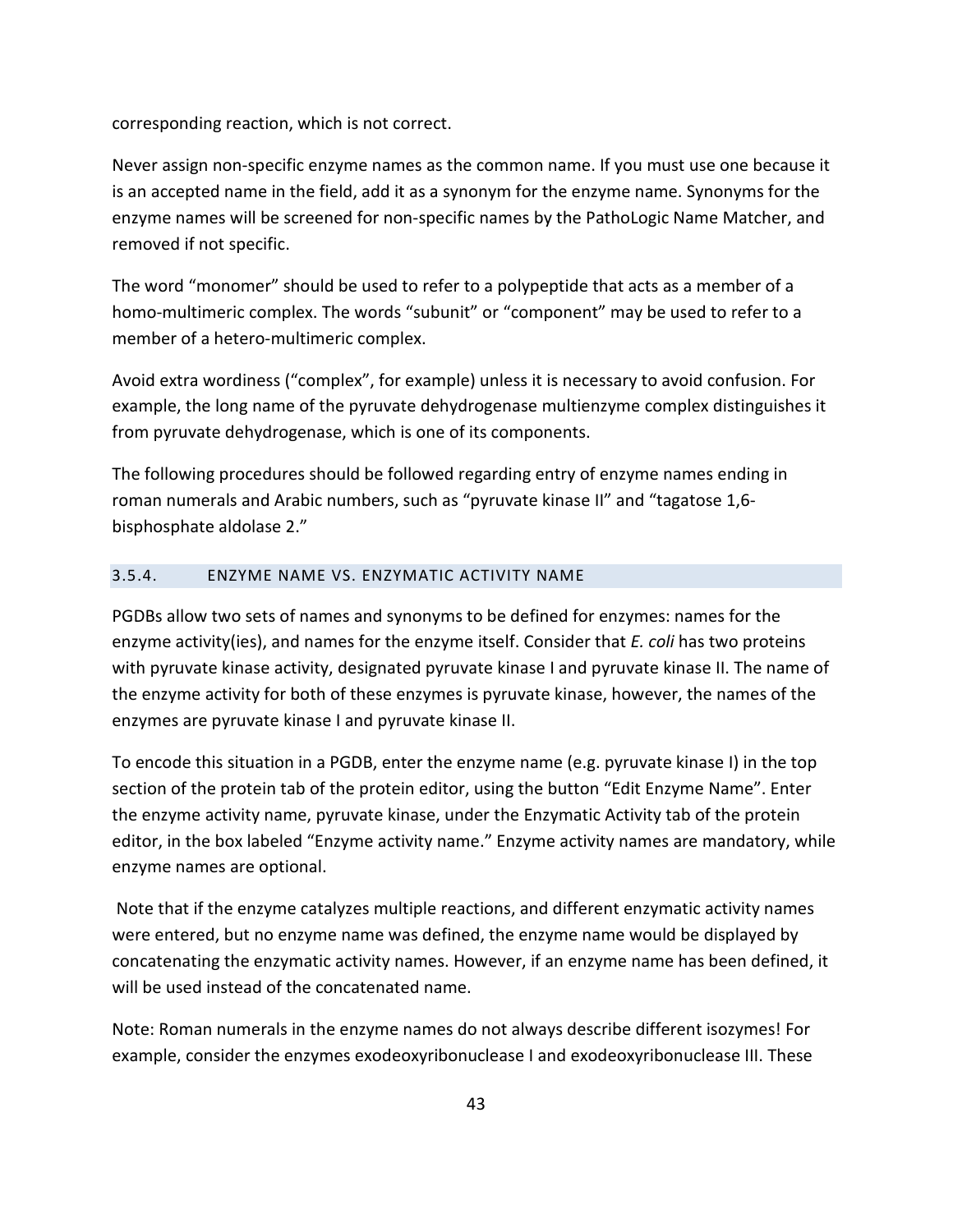corresponding reaction, which is not correct.

Never assign non-specific enzyme names as the common name. If you must use one because it is an accepted name in the field, add it as a synonym for the enzyme name. Synonyms for the enzyme names will be screened for non-specific names by the PathoLogic Name Matcher, and removed if not specific.

The word "monomer" should be used to refer to a polypeptide that acts as a member of a homo-multimeric complex. The words "subunit" or "component" may be used to refer to a member of a hetero-multimeric complex.

Avoid extra wordiness ("complex", for example) unless it is necessary to avoid confusion. For example, the long name of the pyruvate dehydrogenase multienzyme complex distinguishes it from pyruvate dehydrogenase, which is one of its components.

The following procedures should be followed regarding entry of enzyme names ending in roman numerals and Arabic numbers, such as "pyruvate kinase II" and "tagatose 1,6 bisphosphate aldolase 2."

## <span id="page-42-0"></span>3.5.4. ENZYME NAME VS. ENZYMATIC ACTIVITY NAME

PGDBs allow two sets of names and synonyms to be defined for enzymes: names for the enzyme activity(ies), and names for the enzyme itself. Consider that *E. coli* has two proteins with pyruvate kinase activity, designated pyruvate kinase I and pyruvate kinase II. The name of the enzyme activity for both of these enzymes is pyruvate kinase, however, the names of the enzymes are pyruvate kinase I and pyruvate kinase II.

To encode this situation in a PGDB, enter the enzyme name (e.g. pyruvate kinase I) in the top section of the protein tab of the protein editor, using the button "Edit Enzyme Name". Enter the enzyme activity name, pyruvate kinase, under the Enzymatic Activity tab of the protein editor, in the box labeled "Enzyme activity name." Enzyme activity names are mandatory, while enzyme names are optional.

Note that if the enzyme catalyzes multiple reactions, and different enzymatic activity names were entered, but no enzyme name was defined, the enzyme name would be displayed by concatenating the enzymatic activity names. However, if an enzyme name has been defined, it will be used instead of the concatenated name.

Note: Roman numerals in the enzyme names do not always describe different isozymes! For example, consider the enzymes exodeoxyribonuclease I and exodeoxyribonuclease III. These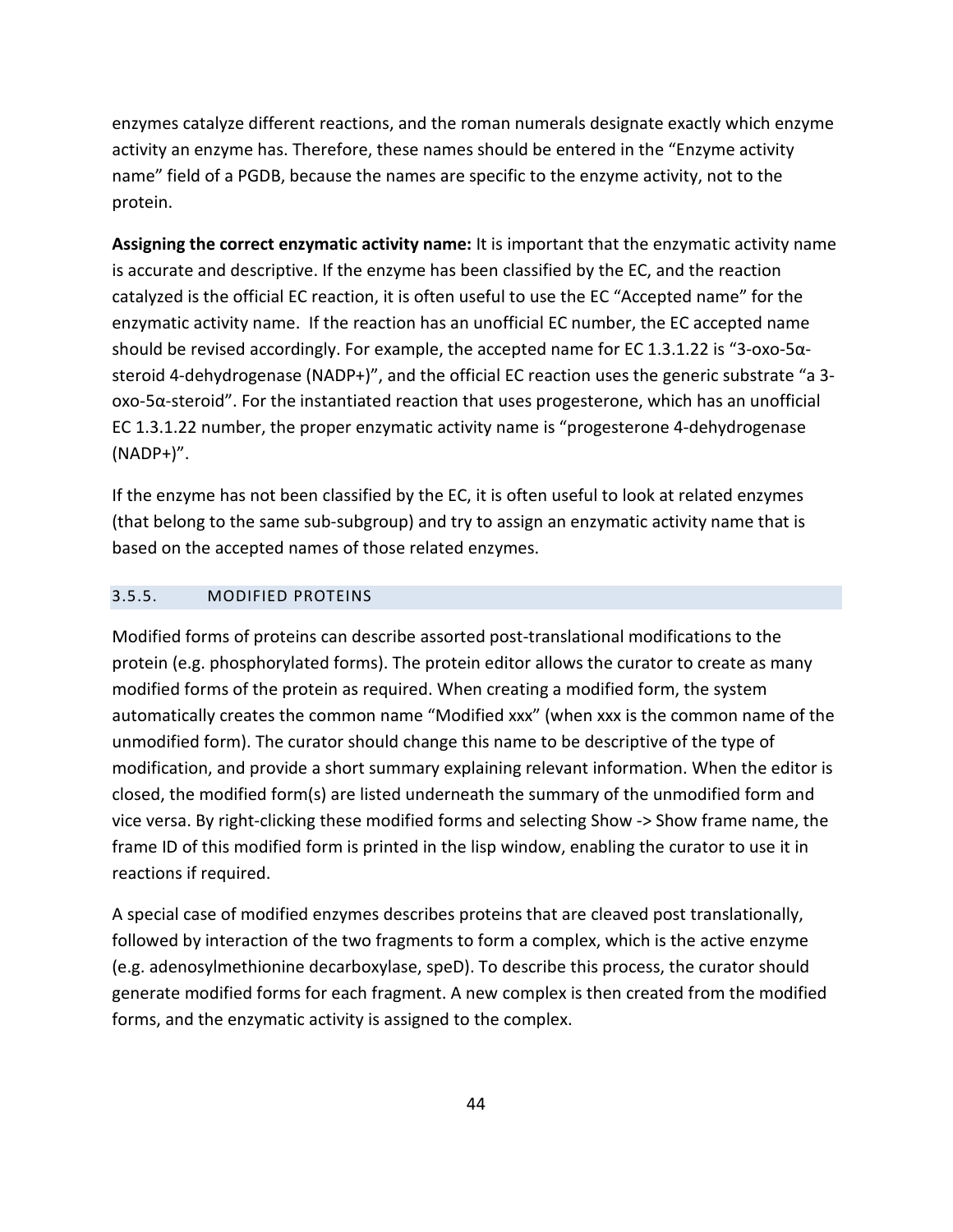enzymes catalyze different reactions, and the roman numerals designate exactly which enzyme activity an enzyme has. Therefore, these names should be entered in the "Enzyme activity name" field of a PGDB, because the names are specific to the enzyme activity, not to the protein.

**Assigning the correct enzymatic activity name:** It is important that the enzymatic activity name is accurate and descriptive. If the enzyme has been classified by the EC, and the reaction catalyzed is the official EC reaction, it is often useful to use the EC "Accepted name" for the enzymatic activity name. If the reaction has an unofficial EC number, the EC accepted name should be revised accordingly. For example, the accepted name for EC 1.3.1.22 is "3-oxo-5αsteroid 4-dehydrogenase (NADP+)", and the official EC reaction uses the generic substrate "a 3 oxo-5α-steroid". For the instantiated reaction that uses progesterone, which has an unofficial EC 1.3.1.22 number, the proper enzymatic activity name is "progesterone 4-dehydrogenase  $(NADP+)$ ".

If the enzyme has not been classified by the EC, it is often useful to look at related enzymes (that belong to the same sub-subgroup) and try to assign an enzymatic activity name that is based on the accepted names of those related enzymes.

#### <span id="page-43-0"></span>3.5.5. MODIFIED PROTEINS

Modified forms of proteins can describe assorted post-translational modifications to the protein (e.g. phosphorylated forms). The protein editor allows the curator to create as many modified forms of the protein as required. When creating a modified form, the system automatically creates the common name "Modified xxx" (when xxx is the common name of the unmodified form). The curator should change this name to be descriptive of the type of modification, and provide a short summary explaining relevant information. When the editor is closed, the modified form(s) are listed underneath the summary of the unmodified form and vice versa. By right-clicking these modified forms and selecting Show -> Show frame name, the frame ID of this modified form is printed in the lisp window, enabling the curator to use it in reactions if required.

A special case of modified enzymes describes proteins that are cleaved post translationally, followed by interaction of the two fragments to form a complex, which is the active enzyme (e.g. adenosylmethionine decarboxylase, speD). To describe this process, the curator should generate modified forms for each fragment. A new complex is then created from the modified forms, and the enzymatic activity is assigned to the complex.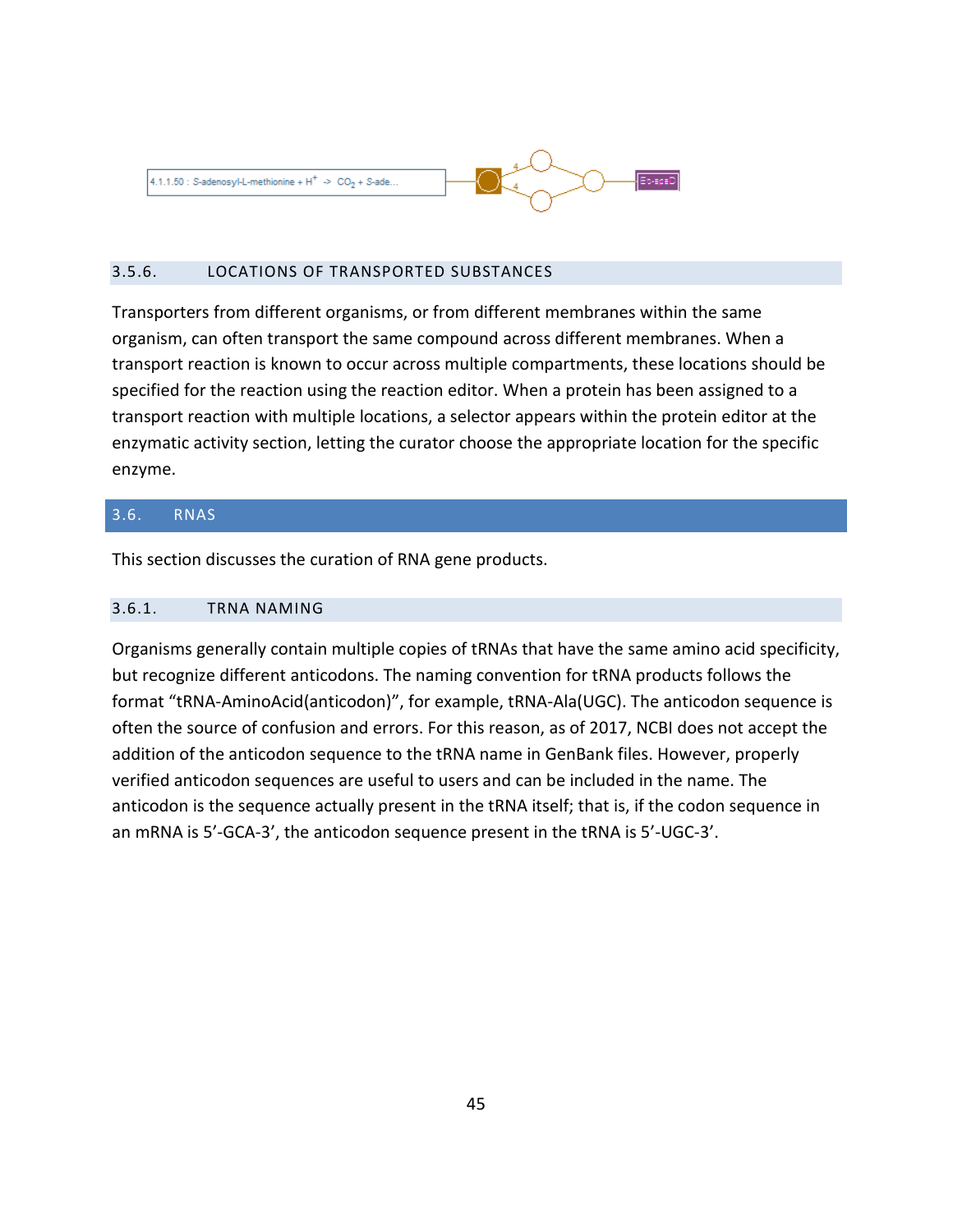

#### <span id="page-44-0"></span>3.5.6. LOCATIONS OF TRANSPORTED SUBSTANCES

Transporters from different organisms, or from different membranes within the same organism, can often transport the same compound across different membranes. When a transport reaction is known to occur across multiple compartments, these locations should be specified for the reaction using the reaction editor. When a protein has been assigned to a transport reaction with multiple locations, a selector appears within the protein editor at the enzymatic activity section, letting the curator choose the appropriate location for the specific enzyme.

## <span id="page-44-1"></span>3.6. RNAS

This section discusses the curation of RNA gene products.

#### <span id="page-44-2"></span>3.6.1. TRNA NAMING

Organisms generally contain multiple copies of tRNAs that have the same amino acid specificity, but recognize different anticodons. The naming convention for tRNA products follows the format "tRNA-AminoAcid(anticodon)", for example, tRNA-Ala(UGC). The anticodon sequence is often the source of confusion and errors. For this reason, as of 2017, NCBI does not accept the addition of the anticodon sequence to the tRNA name in GenBank files. However, properly verified anticodon sequences are useful to users and can be included in the name. The anticodon is the sequence actually present in the tRNA itself; that is, if the codon sequence in an mRNA is 5'-GCA-3', the anticodon sequence present in the tRNA is 5'-UGC-3'.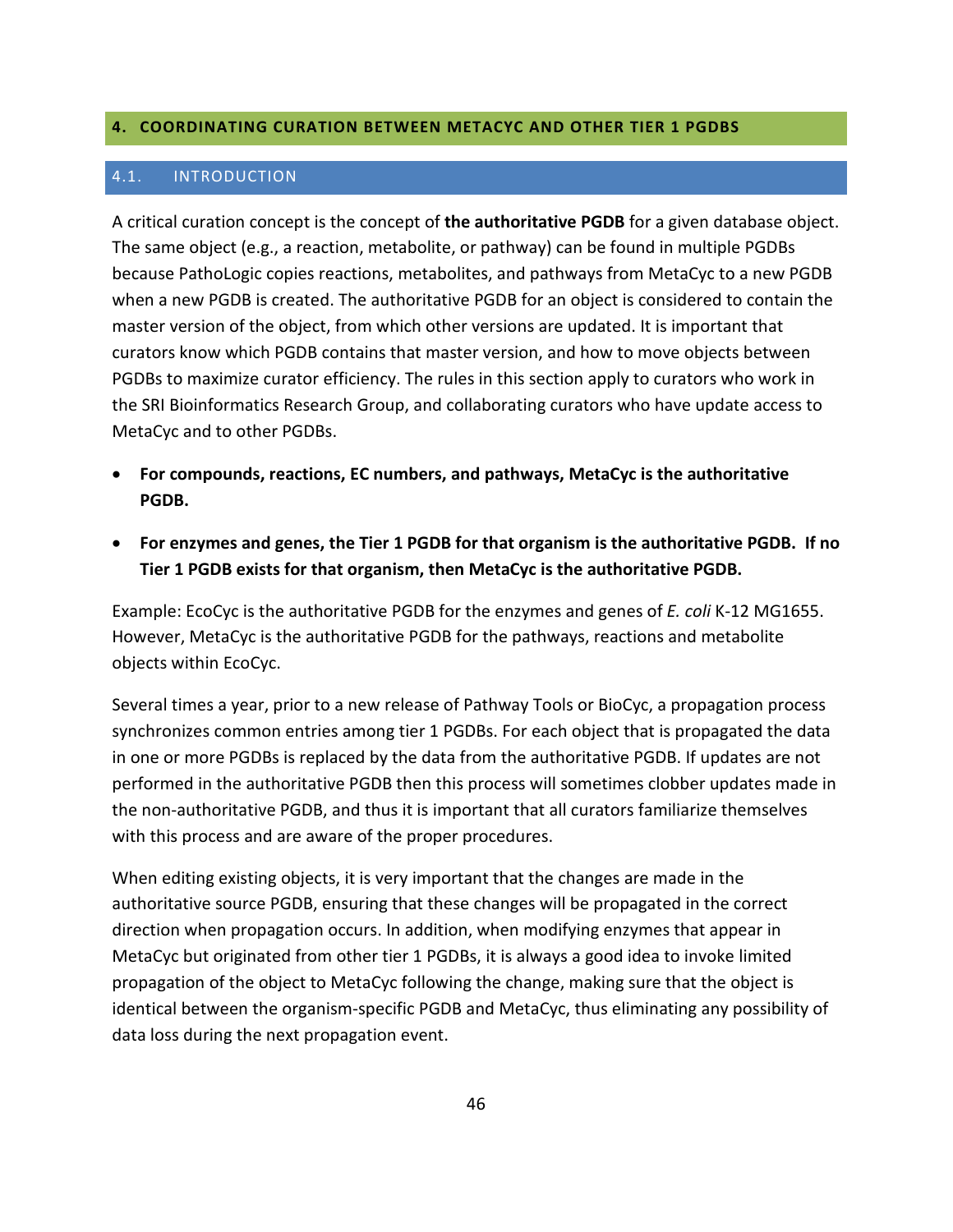## <span id="page-45-0"></span>**4. COORDINATING CURATION BETWEEN METACYC AND OTHER TIER 1 PGDBS**

#### <span id="page-45-1"></span>4.1. INTRODUCTION

A critical curation concept is the concept of **the authoritative PGDB** for a given database object. The same object (e.g., a reaction, metabolite, or pathway) can be found in multiple PGDBs because PathoLogic copies reactions, metabolites, and pathways from MetaCyc to a new PGDB when a new PGDB is created. The authoritative PGDB for an object is considered to contain the master version of the object, from which other versions are updated. It is important that curators know which PGDB contains that master version, and how to move objects between PGDBs to maximize curator efficiency. The rules in this section apply to curators who work in the SRI Bioinformatics Research Group, and collaborating curators who have update access to MetaCyc and to other PGDBs.

- **For compounds, reactions, EC numbers, and pathways, MetaCyc is the authoritative PGDB.**
- **For enzymes and genes, the Tier 1 PGDB for that organism is the authoritative PGDB. If no Tier 1 PGDB exists for that organism, then MetaCyc is the authoritative PGDB.**

Example: EcoCyc is the authoritative PGDB for the enzymes and genes of *E. coli* K-12 MG1655. However, MetaCyc is the authoritative PGDB for the pathways, reactions and metabolite objects within EcoCyc.

Several times a year, prior to a new release of Pathway Tools or BioCyc, a propagation process synchronizes common entries among tier 1 PGDBs. For each object that is propagated the data in one or more PGDBs is replaced by the data from the authoritative PGDB. If updates are not performed in the authoritative PGDB then this process will sometimes clobber updates made in the non-authoritative PGDB, and thus it is important that all curators familiarize themselves with this process and are aware of the proper procedures.

When editing existing objects, it is very important that the changes are made in the authoritative source PGDB, ensuring that these changes will be propagated in the correct direction when propagation occurs. In addition, when modifying enzymes that appear in MetaCyc but originated from other tier 1 PGDBs, it is always a good idea to invoke limited propagation of the object to MetaCyc following the change, making sure that the object is identical between the organism-specific PGDB and MetaCyc, thus eliminating any possibility of data loss during the next propagation event.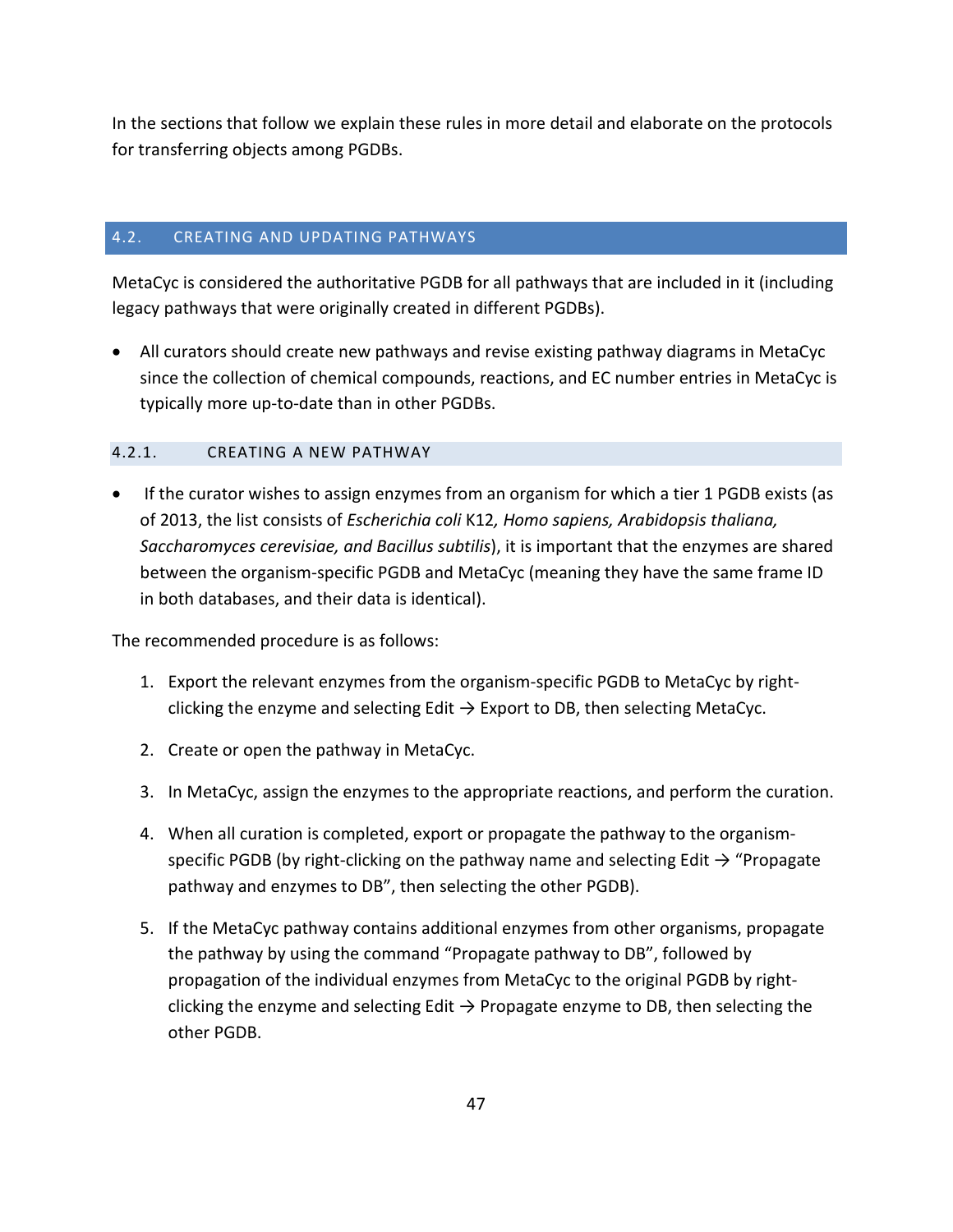In the sections that follow we explain these rules in more detail and elaborate on the protocols for transferring objects among PGDBs.

## <span id="page-46-0"></span>4.2. CREATING AND UPDATING PATHWAYS

MetaCyc is considered the authoritative PGDB for all pathways that are included in it (including legacy pathways that were originally created in different PGDBs).

• All curators should create new pathways and revise existing pathway diagrams in MetaCyc since the collection of chemical compounds, reactions, and EC number entries in MetaCyc is typically more up-to-date than in other PGDBs.

## <span id="page-46-1"></span>4.2.1. CREATING A NEW PATHWAY

• If the curator wishes to assign enzymes from an organism for which a tier 1 PGDB exists (as of 2013, the list consists of *Escherichia coli* K12*, Homo sapiens, Arabidopsis thaliana, Saccharomyces cerevisiae, and Bacillus subtilis*), it is important that the enzymes are shared between the organism-specific PGDB and MetaCyc (meaning they have the same frame ID in both databases, and their data is identical).

The recommended procedure is as follows:

- 1. Export the relevant enzymes from the organism-specific PGDB to MetaCyc by rightclicking the enzyme and selecting Edit  $\rightarrow$  Export to DB, then selecting MetaCyc.
- 2. Create or open the pathway in MetaCyc.
- 3. In MetaCyc, assign the enzymes to the appropriate reactions, and perform the curation.
- 4. When all curation is completed, export or propagate the pathway to the organismspecific PGDB (by right-clicking on the pathway name and selecting Edit  $\rightarrow$  "Propagate pathway and enzymes to DB", then selecting the other PGDB).
- 5. If the MetaCyc pathway contains additional enzymes from other organisms, propagate the pathway by using the command "Propagate pathway to DB", followed by propagation of the individual enzymes from MetaCyc to the original PGDB by rightclicking the enzyme and selecting Edit  $\rightarrow$  Propagate enzyme to DB, then selecting the other PGDB.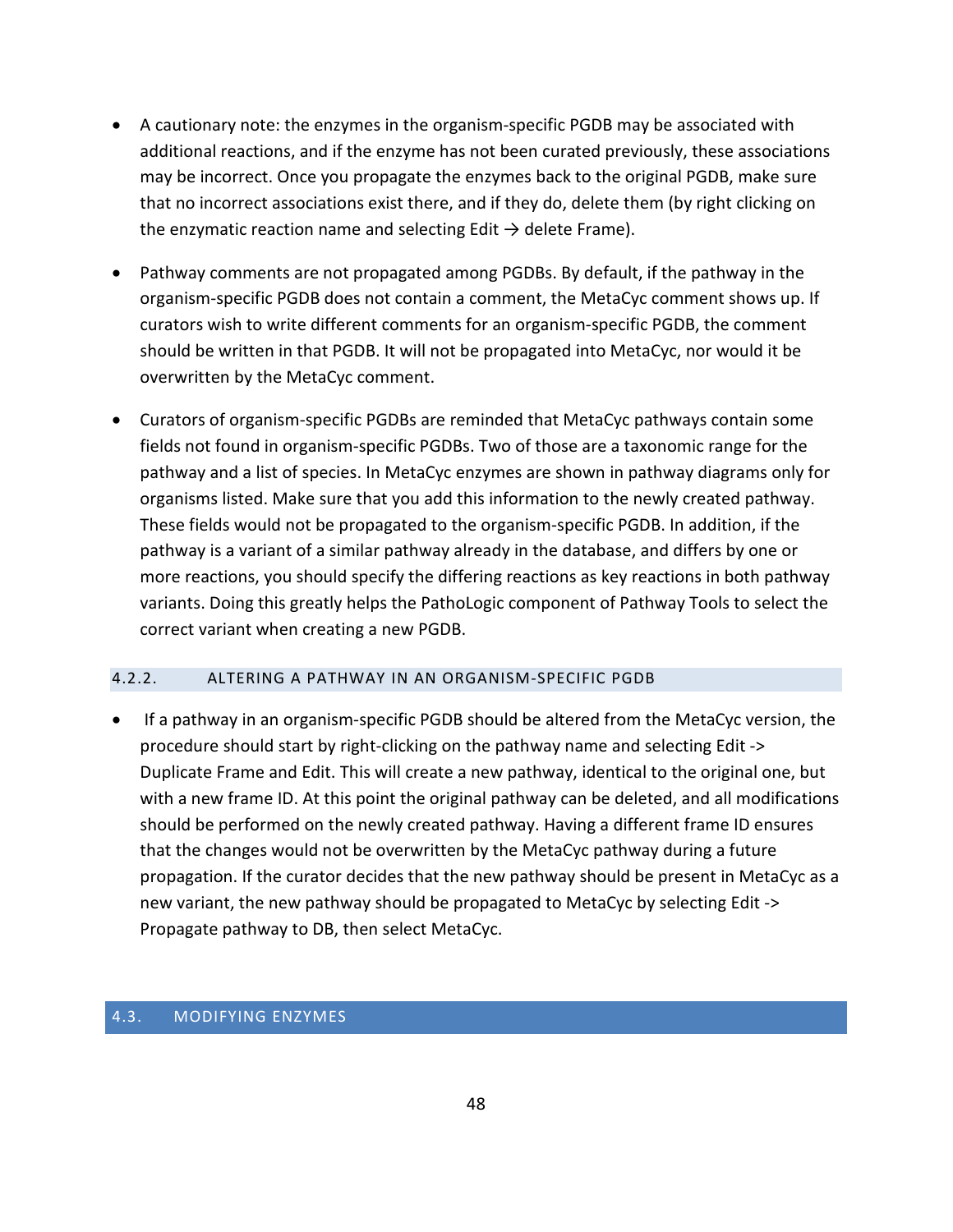- A cautionary note: the enzymes in the organism-specific PGDB may be associated with additional reactions, and if the enzyme has not been curated previously, these associations may be incorrect. Once you propagate the enzymes back to the original PGDB, make sure that no incorrect associations exist there, and if they do, delete them (by right clicking on the enzymatic reaction name and selecting Edit  $\rightarrow$  delete Frame).
- Pathway comments are not propagated among PGDBs. By default, if the pathway in the organism-specific PGDB does not contain a comment, the MetaCyc comment shows up. If curators wish to write different comments for an organism-specific PGDB, the comment should be written in that PGDB. It will not be propagated into MetaCyc, nor would it be overwritten by the MetaCyc comment.
- Curators of organism-specific PGDBs are reminded that MetaCyc pathways contain some fields not found in organism-specific PGDBs. Two of those are a taxonomic range for the pathway and a list of species. In MetaCyc enzymes are shown in pathway diagrams only for organisms listed. Make sure that you add this information to the newly created pathway. These fields would not be propagated to the organism-specific PGDB. In addition, if the pathway is a variant of a similar pathway already in the database, and differs by one or more reactions, you should specify the differing reactions as key reactions in both pathway variants. Doing this greatly helps the PathoLogic component of Pathway Tools to select the correct variant when creating a new PGDB.

## <span id="page-47-0"></span>4.2.2. ALTERING A PATHWAY IN AN ORGANISM-SPECIFIC PGDB

• If a pathway in an organism-specific PGDB should be altered from the MetaCyc version, the procedure should start by right-clicking on the pathway name and selecting Edit -> Duplicate Frame and Edit. This will create a new pathway, identical to the original one, but with a new frame ID. At this point the original pathway can be deleted, and all modifications should be performed on the newly created pathway. Having a different frame ID ensures that the changes would not be overwritten by the MetaCyc pathway during a future propagation. If the curator decides that the new pathway should be present in MetaCyc as a new variant, the new pathway should be propagated to MetaCyc by selecting Edit -> Propagate pathway to DB, then select MetaCyc.

## <span id="page-47-1"></span>4.3. MODIFYING ENZYMES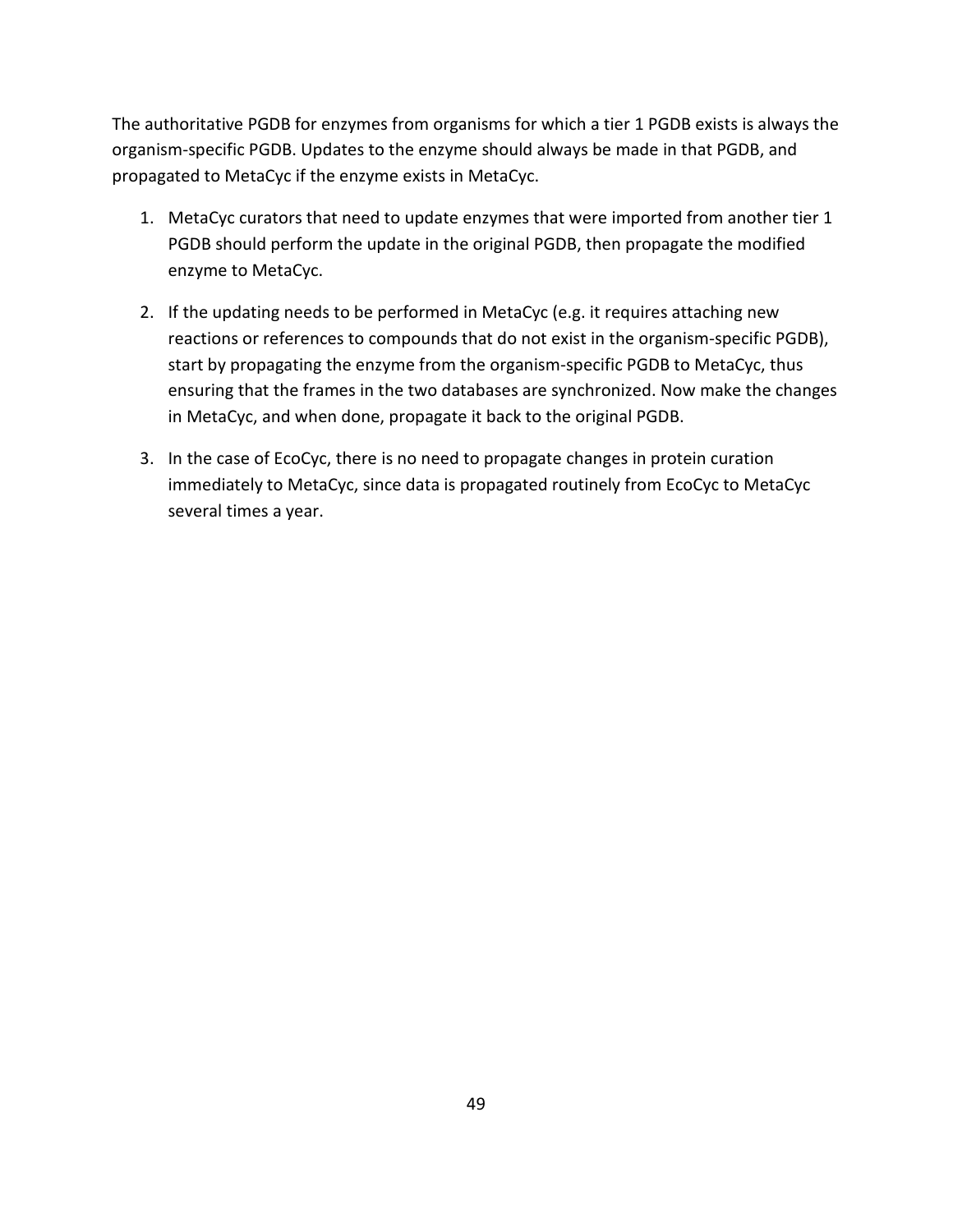The authoritative PGDB for enzymes from organisms for which a tier 1 PGDB exists is always the organism-specific PGDB. Updates to the enzyme should always be made in that PGDB, and propagated to MetaCyc if the enzyme exists in MetaCyc.

- 1. MetaCyc curators that need to update enzymes that were imported from another tier 1 PGDB should perform the update in the original PGDB, then propagate the modified enzyme to MetaCyc.
- 2. If the updating needs to be performed in MetaCyc (e.g. it requires attaching new reactions or references to compounds that do not exist in the organism-specific PGDB), start by propagating the enzyme from the organism-specific PGDB to MetaCyc, thus ensuring that the frames in the two databases are synchronized. Now make the changes in MetaCyc, and when done, propagate it back to the original PGDB.
- 3. In the case of EcoCyc, there is no need to propagate changes in protein curation immediately to MetaCyc, since data is propagated routinely from EcoCyc to MetaCyc several times a year.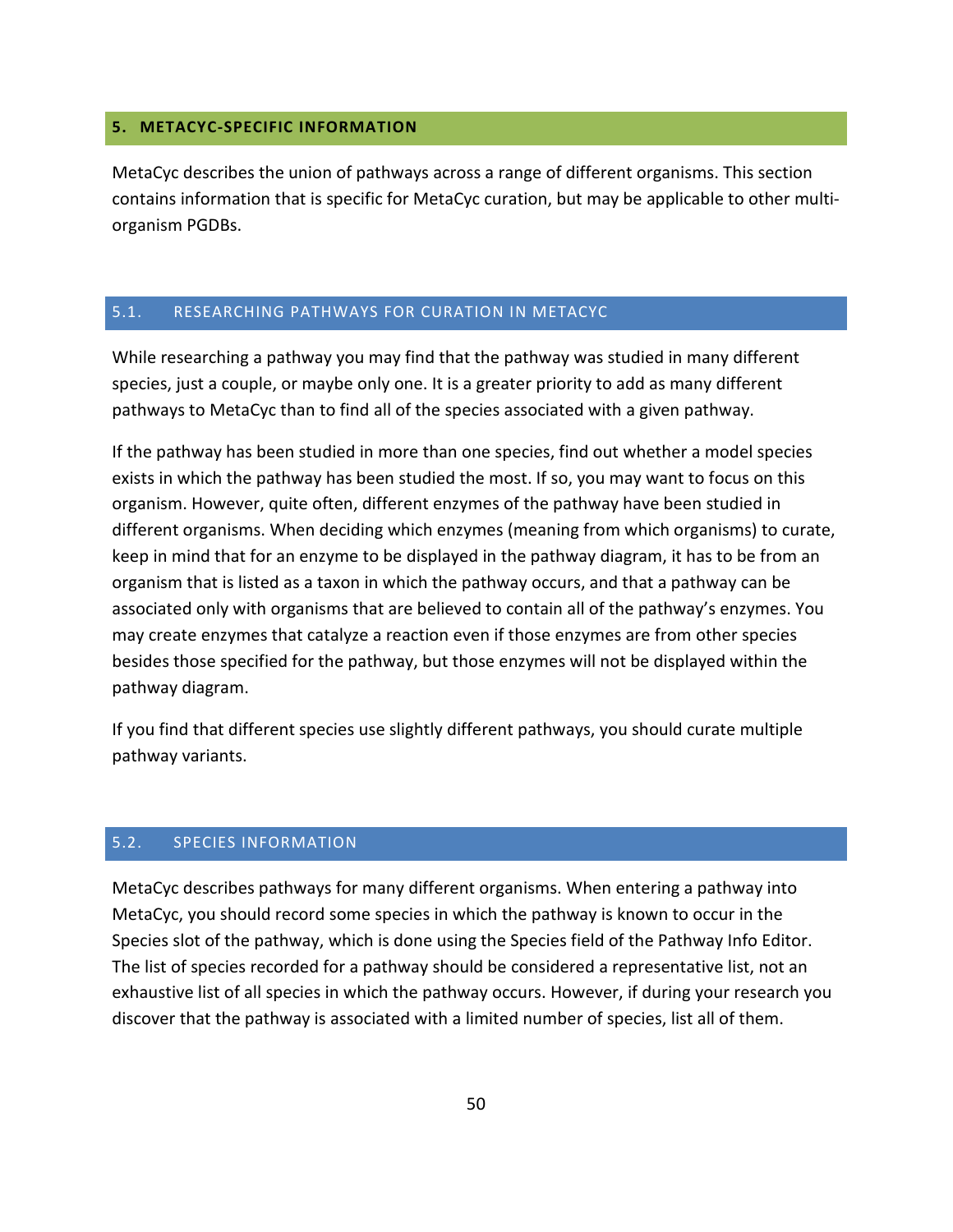## <span id="page-49-0"></span>**5. METACYC-SPECIFIC INFORMATION**

MetaCyc describes the union of pathways across a range of different organisms. This section contains information that is specific for MetaCyc curation, but may be applicable to other multiorganism PGDBs.

## <span id="page-49-1"></span>5.1. RESEARCHING PATHWAYS FOR CURATION IN METACYC

While researching a pathway you may find that the pathway was studied in many different species, just a couple, or maybe only one. It is a greater priority to add as many different pathways to MetaCyc than to find all of the species associated with a given pathway.

If the pathway has been studied in more than one species, find out whether a model species exists in which the pathway has been studied the most. If so, you may want to focus on this organism. However, quite often, different enzymes of the pathway have been studied in different organisms. When deciding which enzymes (meaning from which organisms) to curate, keep in mind that for an enzyme to be displayed in the pathway diagram, it has to be from an organism that is listed as a taxon in which the pathway occurs, and that a pathway can be associated only with organisms that are believed to contain all of the pathway's enzymes. You may create enzymes that catalyze a reaction even if those enzymes are from other species besides those specified for the pathway, but those enzymes will not be displayed within the pathway diagram.

If you find that different species use slightly different pathways, you should curate multiple pathway variants.

#### <span id="page-49-2"></span>5.2. SPECIES INFORMATION

MetaCyc describes pathways for many different organisms. When entering a pathway into MetaCyc, you should record some species in which the pathway is known to occur in the Species slot of the pathway, which is done using the Species field of the Pathway Info Editor. The list of species recorded for a pathway should be considered a representative list, not an exhaustive list of all species in which the pathway occurs. However, if during your research you discover that the pathway is associated with a limited number of species, list all of them.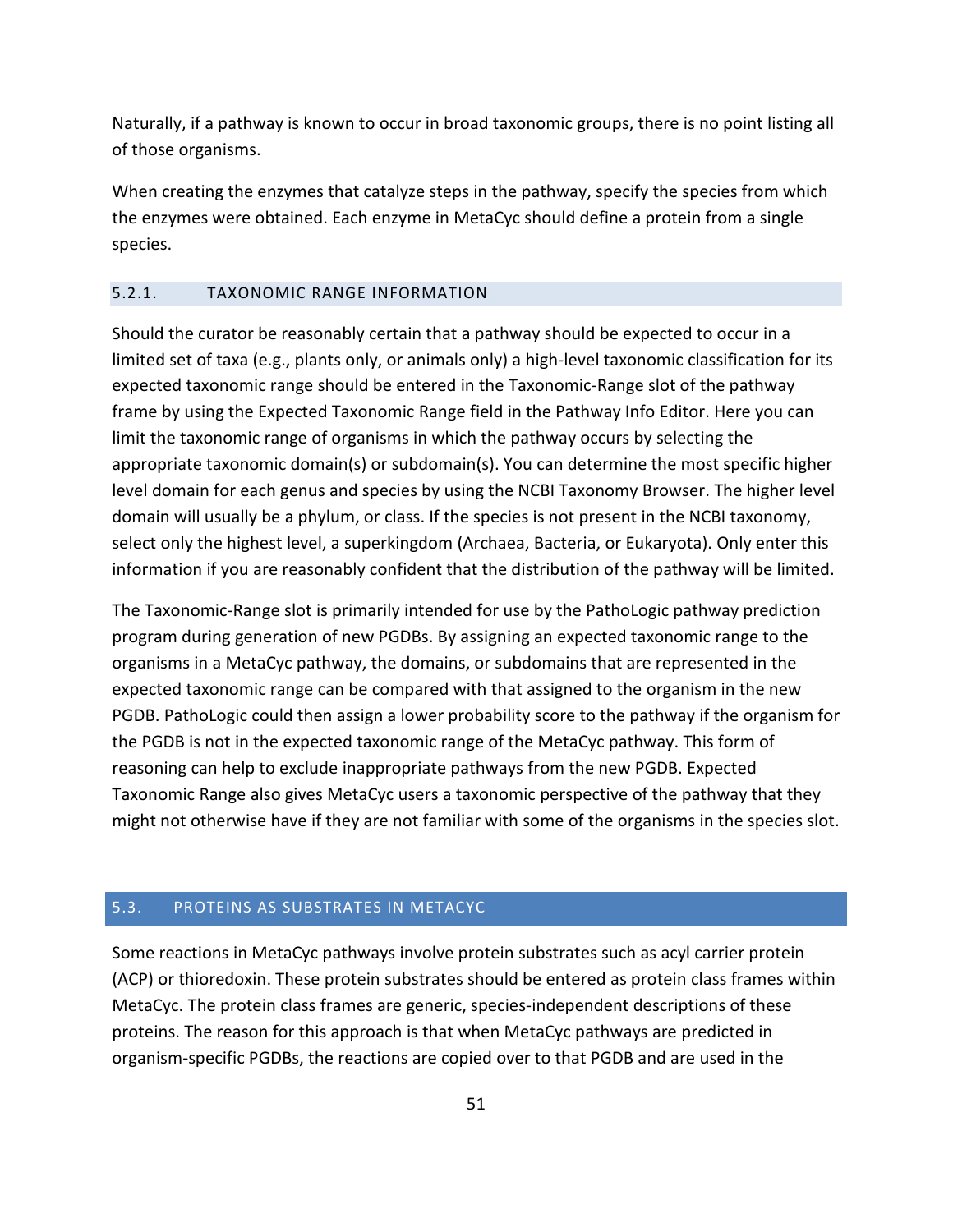Naturally, if a pathway is known to occur in broad taxonomic groups, there is no point listing all of those organisms.

When creating the enzymes that catalyze steps in the pathway, specify the species from which the enzymes were obtained. Each enzyme in MetaCyc should define a protein from a single species.

#### <span id="page-50-0"></span>5.2.1. TAXONOMIC RANGE INFORMATION

Should the curator be reasonably certain that a pathway should be expected to occur in a limited set of taxa (e.g., plants only, or animals only) a high-level taxonomic classification for its expected taxonomic range should be entered in the Taxonomic-Range slot of the pathway frame by using the Expected Taxonomic Range field in the Pathway Info Editor. Here you can limit the taxonomic range of organisms in which the pathway occurs by selecting the appropriate taxonomic domain(s) or subdomain(s). You can determine the most specific higher level domain for each genus and species by using the NCBI Taxonomy Browser. The higher level domain will usually be a phylum, or class. If the species is not present in the NCBI taxonomy, select only the highest level, a superkingdom (Archaea, Bacteria, or Eukaryota). Only enter this information if you are reasonably confident that the distribution of the pathway will be limited.

The Taxonomic-Range slot is primarily intended for use by the PathoLogic pathway prediction program during generation of new PGDBs. By assigning an expected taxonomic range to the organisms in a MetaCyc pathway, the domains, or subdomains that are represented in the expected taxonomic range can be compared with that assigned to the organism in the new PGDB. PathoLogic could then assign a lower probability score to the pathway if the organism for the PGDB is not in the expected taxonomic range of the MetaCyc pathway. This form of reasoning can help to exclude inappropriate pathways from the new PGDB. Expected Taxonomic Range also gives MetaCyc users a taxonomic perspective of the pathway that they might not otherwise have if they are not familiar with some of the organisms in the species slot.

## <span id="page-50-1"></span>5.3. PROTEINS AS SUBSTRATES IN METACYC

Some reactions in MetaCyc pathways involve protein substrates such as acyl carrier protein (ACP) or thioredoxin. These protein substrates should be entered as protein class frames within MetaCyc. The protein class frames are generic, species-independent descriptions of these proteins. The reason for this approach is that when MetaCyc pathways are predicted in organism-specific PGDBs, the reactions are copied over to that PGDB and are used in the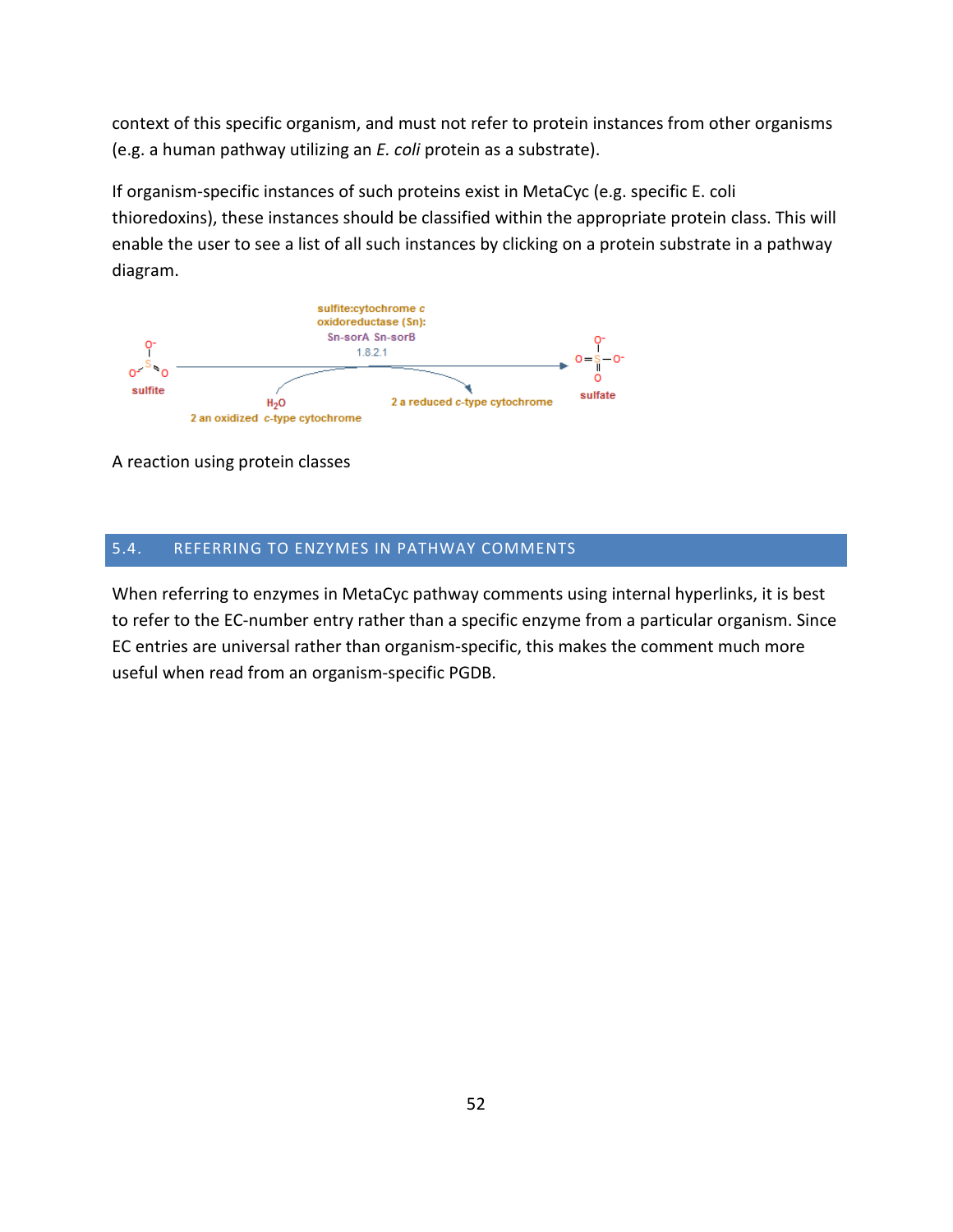context of this specific organism, and must not refer to protein instances from other organisms (e.g. a human pathway utilizing an *E. coli* protein as a substrate).

If organism-specific instances of such proteins exist in MetaCyc (e.g. specific E. coli thioredoxins), these instances should be classified within the appropriate protein class. This will enable the user to see a list of all such instances by clicking on a protein substrate in a pathway diagram.



A reaction using protein classes

## <span id="page-51-0"></span>5.4. REFERRING TO ENZYMES IN PATHWAY COMMENTS

When referring to enzymes in MetaCyc pathway comments using internal hyperlinks, it is best to refer to the EC-number entry rather than a specific enzyme from a particular organism. Since EC entries are universal rather than organism-specific, this makes the comment much more useful when read from an organism-specific PGDB.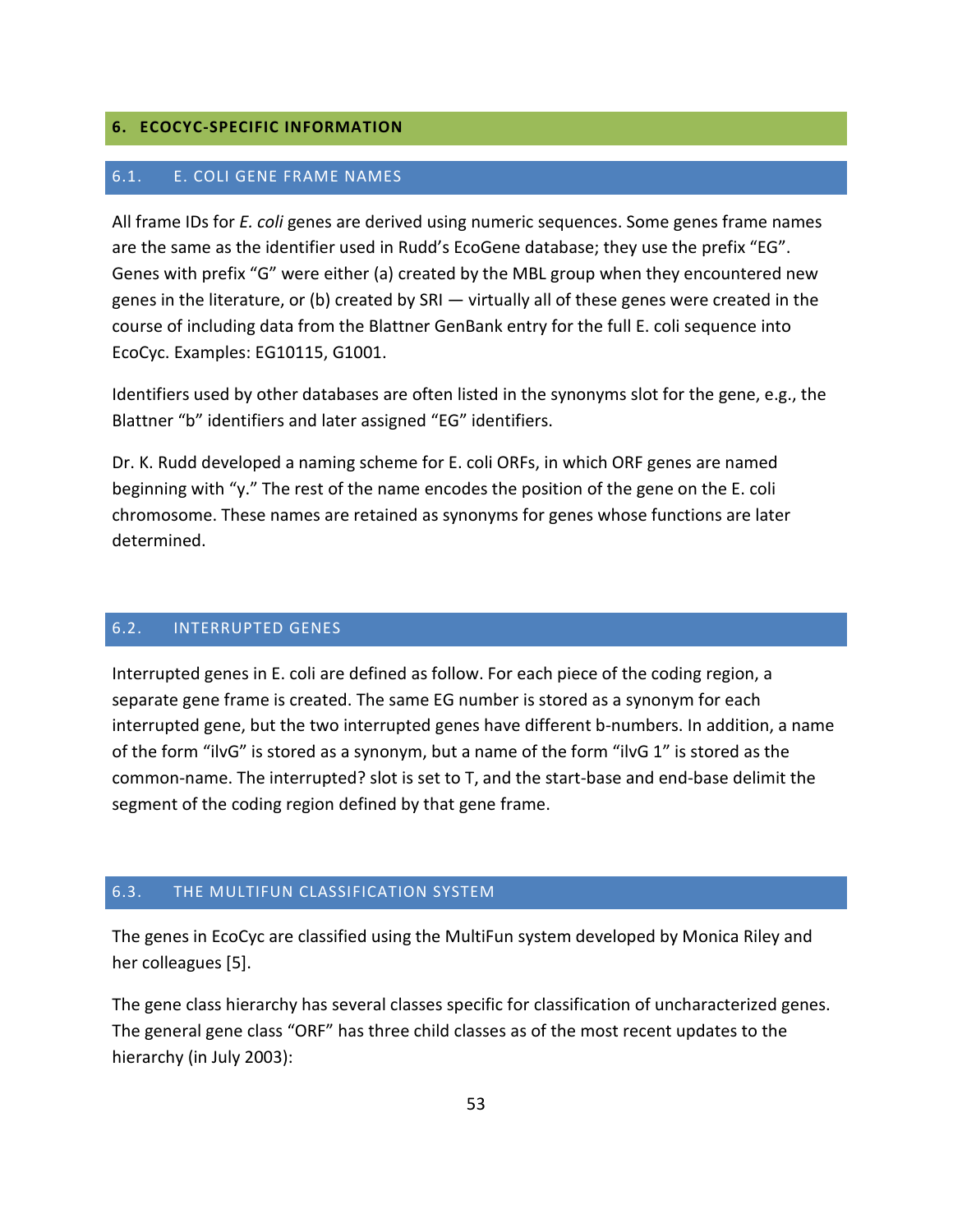## <span id="page-52-1"></span><span id="page-52-0"></span>**6. ECOCYC-SPECIFIC INFORMATION**

#### 6.1. E. COLI GENE FRAME NAMES

All frame IDs for *E. coli* genes are derived using numeric sequences. Some genes frame names are the same as the identifier used in Rudd's EcoGene database; they use the prefix "EG". Genes with prefix "G" were either (a) created by the MBL group when they encountered new genes in the literature, or (b) created by SRI — virtually all of these genes were created in the course of including data from the Blattner GenBank entry for the full E. coli sequence into EcoCyc. Examples: EG10115, G1001.

Identifiers used by other databases are often listed in the synonyms slot for the gene, e.g., the Blattner "b" identifiers and later assigned "EG" identifiers.

Dr. K. Rudd developed a naming scheme for E. coli ORFs, in which ORF genes are named beginning with "y." The rest of the name encodes the position of the gene on the E. coli chromosome. These names are retained as synonyms for genes whose functions are later determined.

#### <span id="page-52-2"></span>6.2. INTERRUPTED GENES

Interrupted genes in E. coli are defined as follow. For each piece of the coding region, a separate gene frame is created. The same EG number is stored as a synonym for each interrupted gene, but the two interrupted genes have different b-numbers. In addition, a name of the form "ilvG" is stored as a synonym, but a name of the form "ilvG 1" is stored as the common-name. The interrupted? slot is set to T, and the start-base and end-base delimit the segment of the coding region defined by that gene frame.

## <span id="page-52-3"></span>6.3. THE MULTIFUN CLASSIFICATION SYSTEM

The genes in EcoCyc are classified using the MultiFun system developed by Monica Riley and her colleagues [5].

The gene class hierarchy has several classes specific for classification of uncharacterized genes. The general gene class "ORF" has three child classes as of the most recent updates to the hierarchy (in July 2003):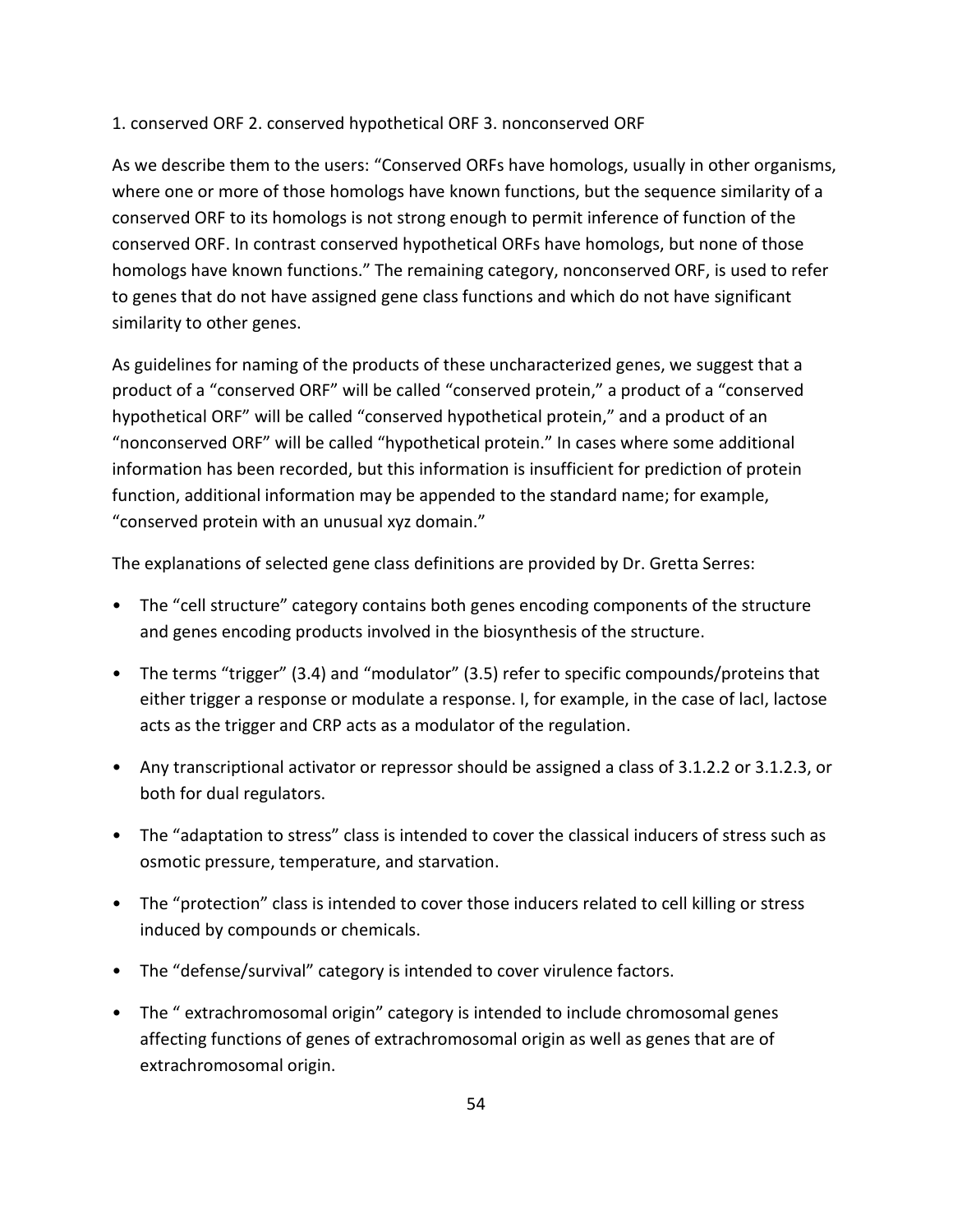## 1. conserved ORF 2. conserved hypothetical ORF 3. nonconserved ORF

As we describe them to the users: "Conserved ORFs have homologs, usually in other organisms, where one or more of those homologs have known functions, but the sequence similarity of a conserved ORF to its homologs is not strong enough to permit inference of function of the conserved ORF. In contrast conserved hypothetical ORFs have homologs, but none of those homologs have known functions." The remaining category, nonconserved ORF, is used to refer to genes that do not have assigned gene class functions and which do not have significant similarity to other genes.

As guidelines for naming of the products of these uncharacterized genes, we suggest that a product of a "conserved ORF" will be called "conserved protein," a product of a "conserved hypothetical ORF" will be called "conserved hypothetical protein," and a product of an "nonconserved ORF" will be called "hypothetical protein." In cases where some additional information has been recorded, but this information is insufficient for prediction of protein function, additional information may be appended to the standard name; for example, "conserved protein with an unusual xyz domain."

The explanations of selected gene class definitions are provided by Dr. Gretta Serres:

- The "cell structure" category contains both genes encoding components of the structure and genes encoding products involved in the biosynthesis of the structure.
- The terms "trigger" (3.4) and "modulator" (3.5) refer to specific compounds/proteins that either trigger a response or modulate a response. I, for example, in the case of lacI, lactose acts as the trigger and CRP acts as a modulator of the regulation.
- Any transcriptional activator or repressor should be assigned a class of 3.1.2.2 or 3.1.2.3, or both for dual regulators.
- The "adaptation to stress" class is intended to cover the classical inducers of stress such as osmotic pressure, temperature, and starvation.
- The "protection" class is intended to cover those inducers related to cell killing or stress induced by compounds or chemicals.
- The "defense/survival" category is intended to cover virulence factors.
- The " extrachromosomal origin" category is intended to include chromosomal genes affecting functions of genes of extrachromosomal origin as well as genes that are of extrachromosomal origin.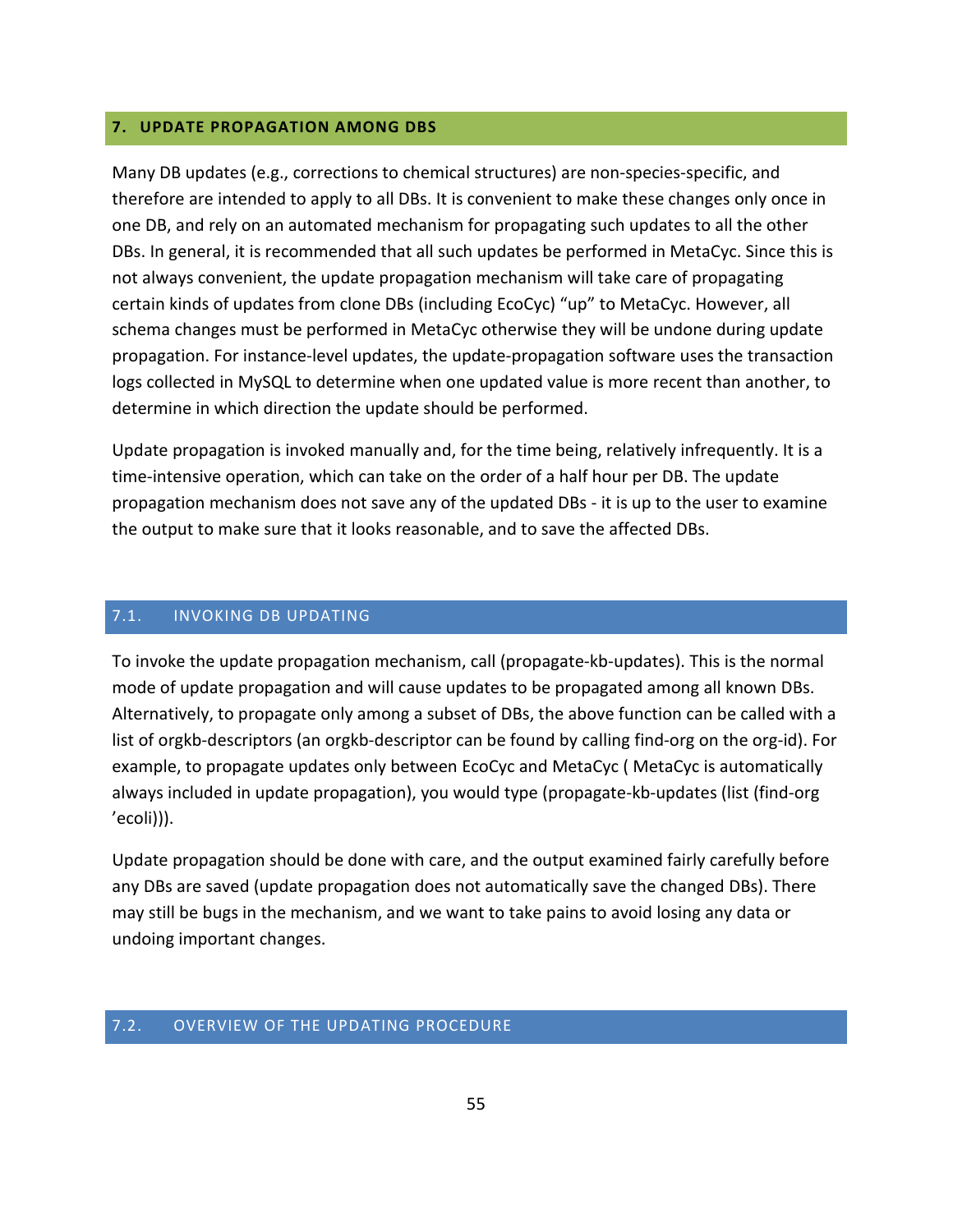## <span id="page-54-0"></span>**7. UPDATE PROPAGATION AMONG DBS**

Many DB updates (e.g., corrections to chemical structures) are non-species-specific, and therefore are intended to apply to all DBs. It is convenient to make these changes only once in one DB, and rely on an automated mechanism for propagating such updates to all the other DBs. In general, it is recommended that all such updates be performed in MetaCyc. Since this is not always convenient, the update propagation mechanism will take care of propagating certain kinds of updates from clone DBs (including EcoCyc) "up" to MetaCyc. However, all schema changes must be performed in MetaCyc otherwise they will be undone during update propagation. For instance-level updates, the update-propagation software uses the transaction logs collected in MySQL to determine when one updated value is more recent than another, to determine in which direction the update should be performed.

Update propagation is invoked manually and, for the time being, relatively infrequently. It is a time-intensive operation, which can take on the order of a half hour per DB. The update propagation mechanism does not save any of the updated DBs - it is up to the user to examine the output to make sure that it looks reasonable, and to save the affected DBs.

#### <span id="page-54-1"></span>7.1. INVOKING DB UPDATING

To invoke the update propagation mechanism, call (propagate-kb-updates). This is the normal mode of update propagation and will cause updates to be propagated among all known DBs. Alternatively, to propagate only among a subset of DBs, the above function can be called with a list of orgkb-descriptors (an orgkb-descriptor can be found by calling find-org on the org-id). For example, to propagate updates only between EcoCyc and MetaCyc ( MetaCyc is automatically always included in update propagation), you would type (propagate-kb-updates (list (find-org 'ecoli))).

Update propagation should be done with care, and the output examined fairly carefully before any DBs are saved (update propagation does not automatically save the changed DBs). There may still be bugs in the mechanism, and we want to take pains to avoid losing any data or undoing important changes.

## <span id="page-54-2"></span>7.2. OVERVIEW OF THE UPDATING PROCEDURE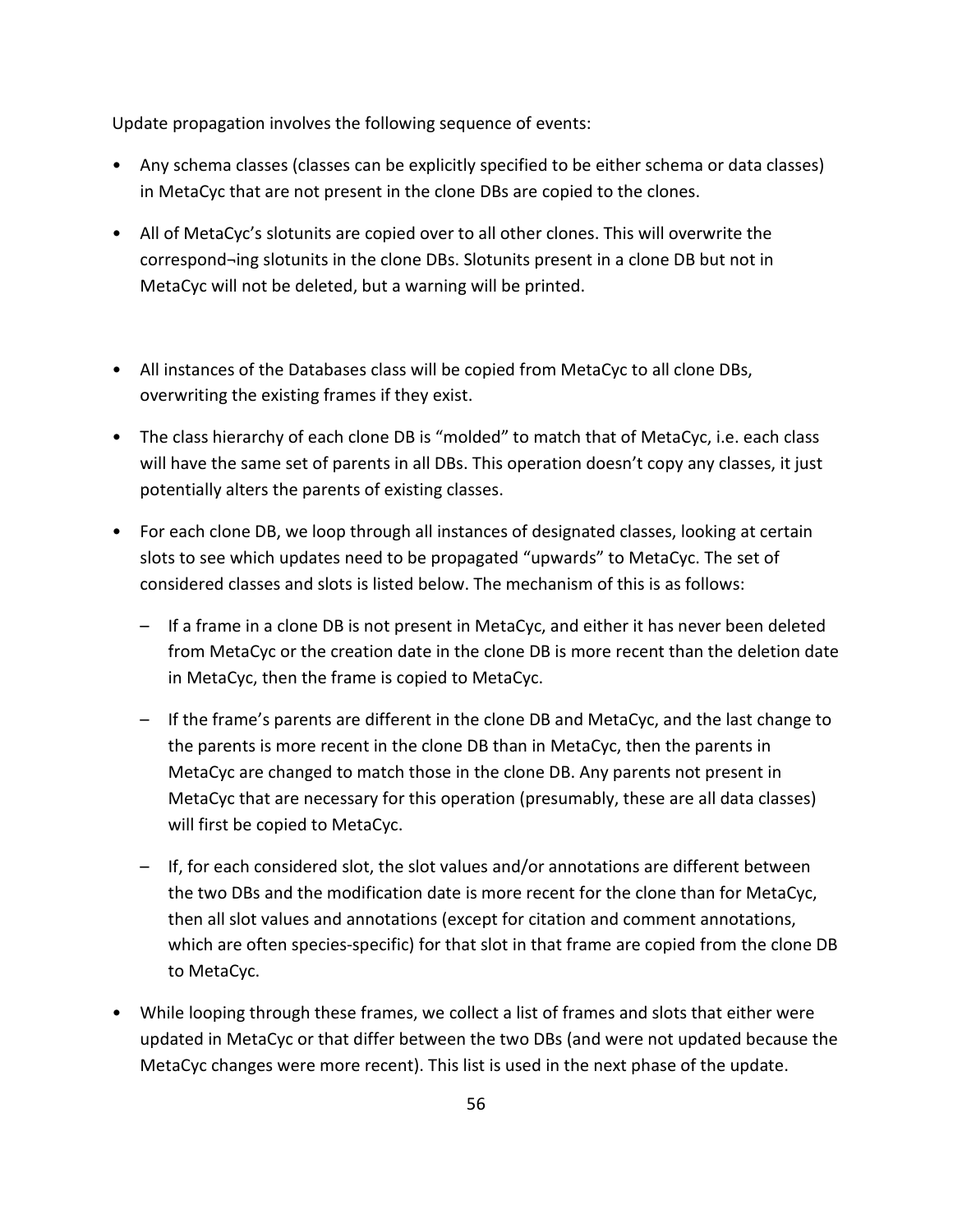Update propagation involves the following sequence of events:

- Any schema classes (classes can be explicitly specified to be either schema or data classes) in MetaCyc that are not present in the clone DBs are copied to the clones.
- All of MetaCyc's slotunits are copied over to all other clones. This will overwrite the correspond¬ing slotunits in the clone DBs. Slotunits present in a clone DB but not in MetaCyc will not be deleted, but a warning will be printed.
- All instances of the Databases class will be copied from MetaCyc to all clone DBs, overwriting the existing frames if they exist.
- The class hierarchy of each clone DB is "molded" to match that of MetaCyc, i.e. each class will have the same set of parents in all DBs. This operation doesn't copy any classes, it just potentially alters the parents of existing classes.
- For each clone DB, we loop through all instances of designated classes, looking at certain slots to see which updates need to be propagated "upwards" to MetaCyc. The set of considered classes and slots is listed below. The mechanism of this is as follows:
	- If a frame in a clone DB is not present in MetaCyc, and either it has never been deleted from MetaCyc or the creation date in the clone DB is more recent than the deletion date in MetaCyc, then the frame is copied to MetaCyc.
	- If the frame's parents are different in the clone DB and MetaCyc, and the last change to the parents is more recent in the clone DB than in MetaCyc, then the parents in MetaCyc are changed to match those in the clone DB. Any parents not present in MetaCyc that are necessary for this operation (presumably, these are all data classes) will first be copied to MetaCyc.
	- If, for each considered slot, the slot values and/or annotations are different between the two DBs and the modification date is more recent for the clone than for MetaCyc, then all slot values and annotations (except for citation and comment annotations, which are often species-specific) for that slot in that frame are copied from the clone DB to MetaCyc.
- While looping through these frames, we collect a list of frames and slots that either were updated in MetaCyc or that differ between the two DBs (and were not updated because the MetaCyc changes were more recent). This list is used in the next phase of the update.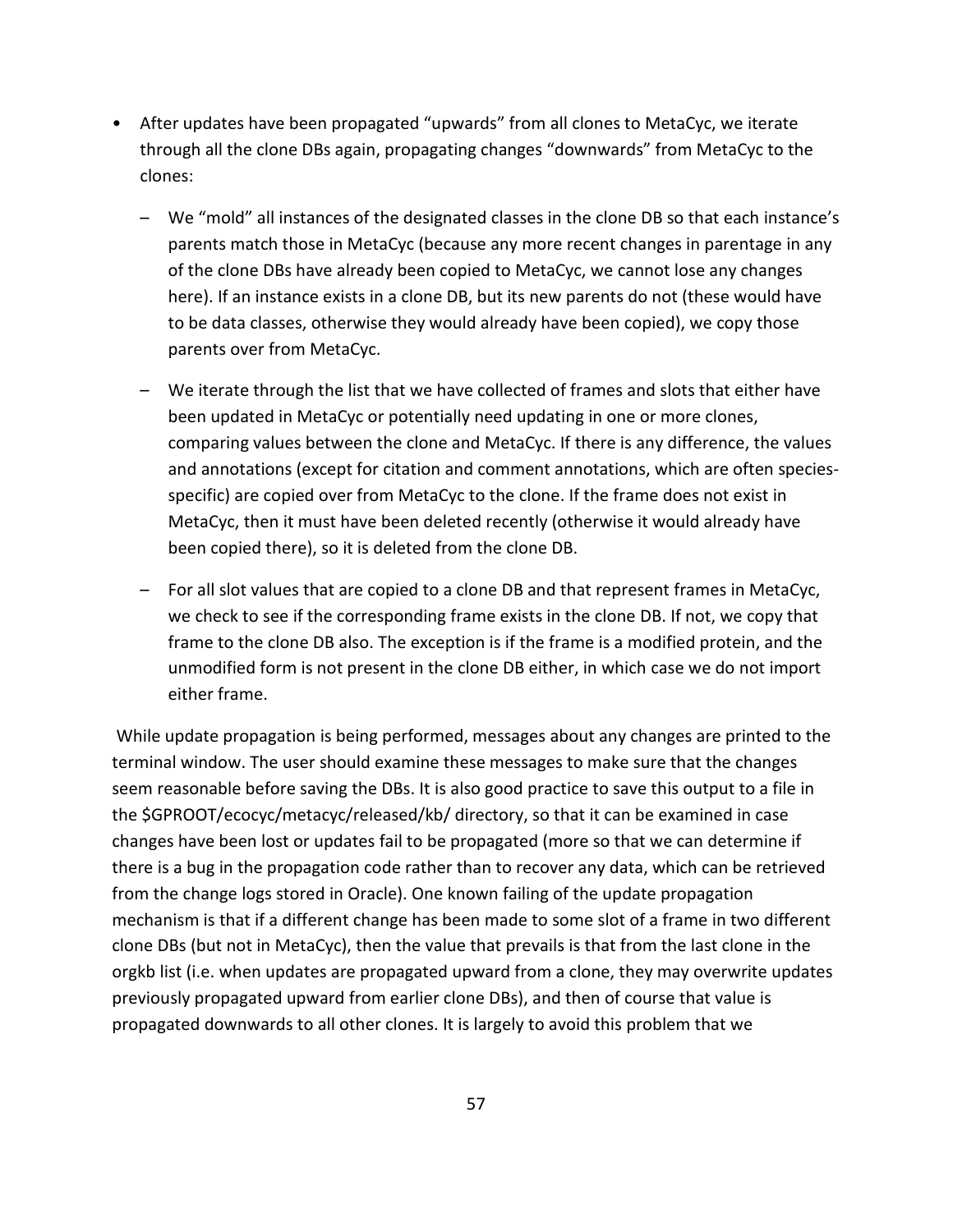- After updates have been propagated "upwards" from all clones to MetaCyc, we iterate through all the clone DBs again, propagating changes "downwards" from MetaCyc to the clones:
	- We "mold" all instances of the designated classes in the clone DB so that each instance's parents match those in MetaCyc (because any more recent changes in parentage in any of the clone DBs have already been copied to MetaCyc, we cannot lose any changes here). If an instance exists in a clone DB, but its new parents do not (these would have to be data classes, otherwise they would already have been copied), we copy those parents over from MetaCyc.
	- We iterate through the list that we have collected of frames and slots that either have been updated in MetaCyc or potentially need updating in one or more clones, comparing values between the clone and MetaCyc. If there is any difference, the values and annotations (except for citation and comment annotations, which are often speciesspecific) are copied over from MetaCyc to the clone. If the frame does not exist in MetaCyc, then it must have been deleted recently (otherwise it would already have been copied there), so it is deleted from the clone DB.
	- For all slot values that are copied to a clone DB and that represent frames in MetaCyc, we check to see if the corresponding frame exists in the clone DB. If not, we copy that frame to the clone DB also. The exception is if the frame is a modified protein, and the unmodified form is not present in the clone DB either, in which case we do not import either frame.

While update propagation is being performed, messages about any changes are printed to the terminal window. The user should examine these messages to make sure that the changes seem reasonable before saving the DBs. It is also good practice to save this output to a file in the \$GPROOT/ecocyc/metacyc/released/kb/ directory, so that it can be examined in case changes have been lost or updates fail to be propagated (more so that we can determine if there is a bug in the propagation code rather than to recover any data, which can be retrieved from the change logs stored in Oracle). One known failing of the update propagation mechanism is that if a different change has been made to some slot of a frame in two different clone DBs (but not in MetaCyc), then the value that prevails is that from the last clone in the orgkb list (i.e. when updates are propagated upward from a clone, they may overwrite updates previously propagated upward from earlier clone DBs), and then of course that value is propagated downwards to all other clones. It is largely to avoid this problem that we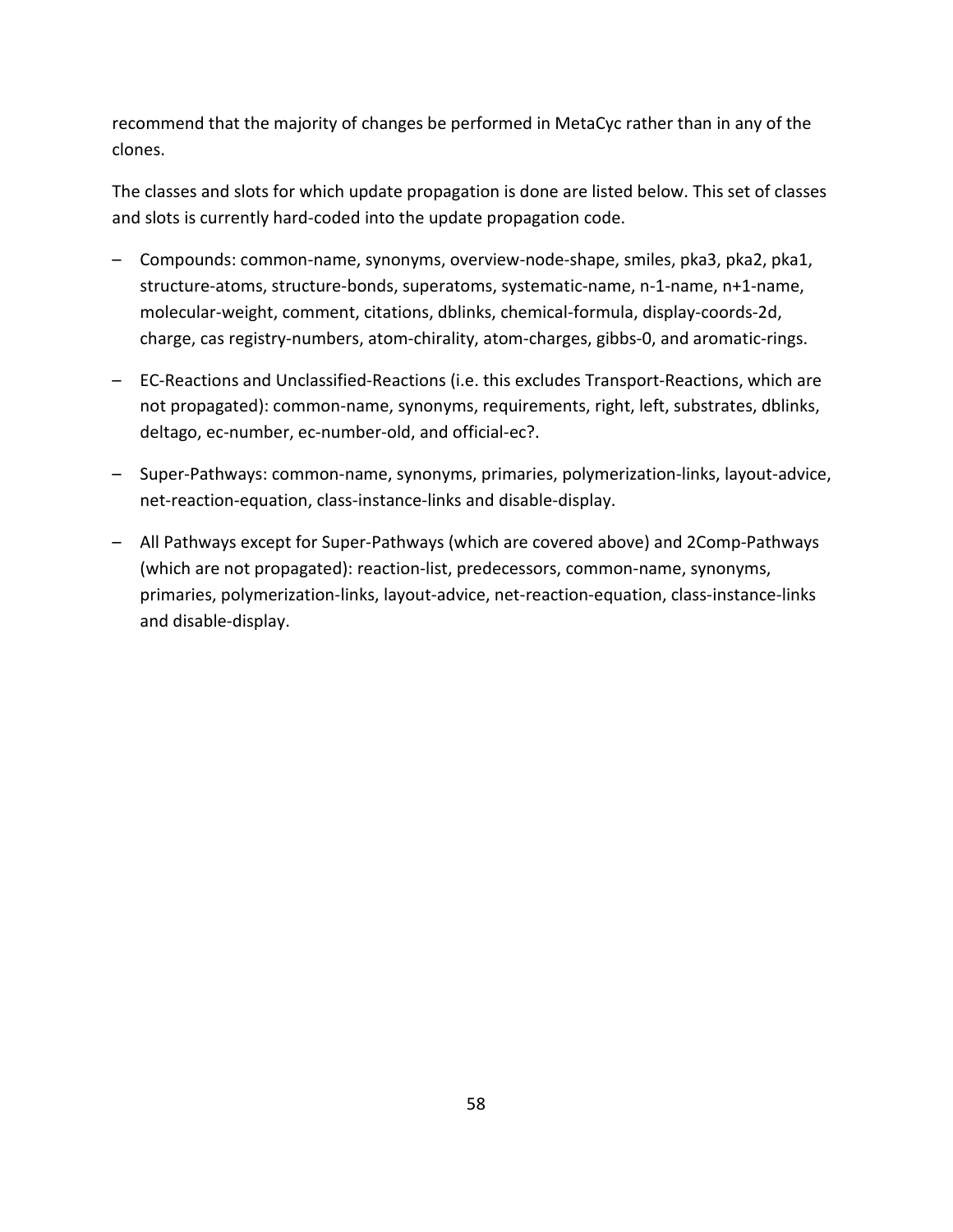recommend that the majority of changes be performed in MetaCyc rather than in any of the clones.

The classes and slots for which update propagation is done are listed below. This set of classes and slots is currently hard-coded into the update propagation code.

- Compounds: common-name, synonyms, overview-node-shape, smiles, pka3, pka2, pka1, structure-atoms, structure-bonds, superatoms, systematic-name, n-1-name, n+1-name, molecular-weight, comment, citations, dblinks, chemical-formula, display-coords-2d, charge, cas registry-numbers, atom-chirality, atom-charges, gibbs-0, and aromatic-rings.
- EC-Reactions and Unclassified-Reactions (i.e. this excludes Transport-Reactions, which are not propagated): common-name, synonyms, requirements, right, left, substrates, dblinks, deltago, ec-number, ec-number-old, and official-ec?.
- Super-Pathways: common-name, synonyms, primaries, polymerization-links, layout-advice, net-reaction-equation, class-instance-links and disable-display.
- All Pathways except for Super-Pathways (which are covered above) and 2Comp-Pathways (which are not propagated): reaction-list, predecessors, common-name, synonyms, primaries, polymerization-links, layout-advice, net-reaction-equation, class-instance-links and disable-display.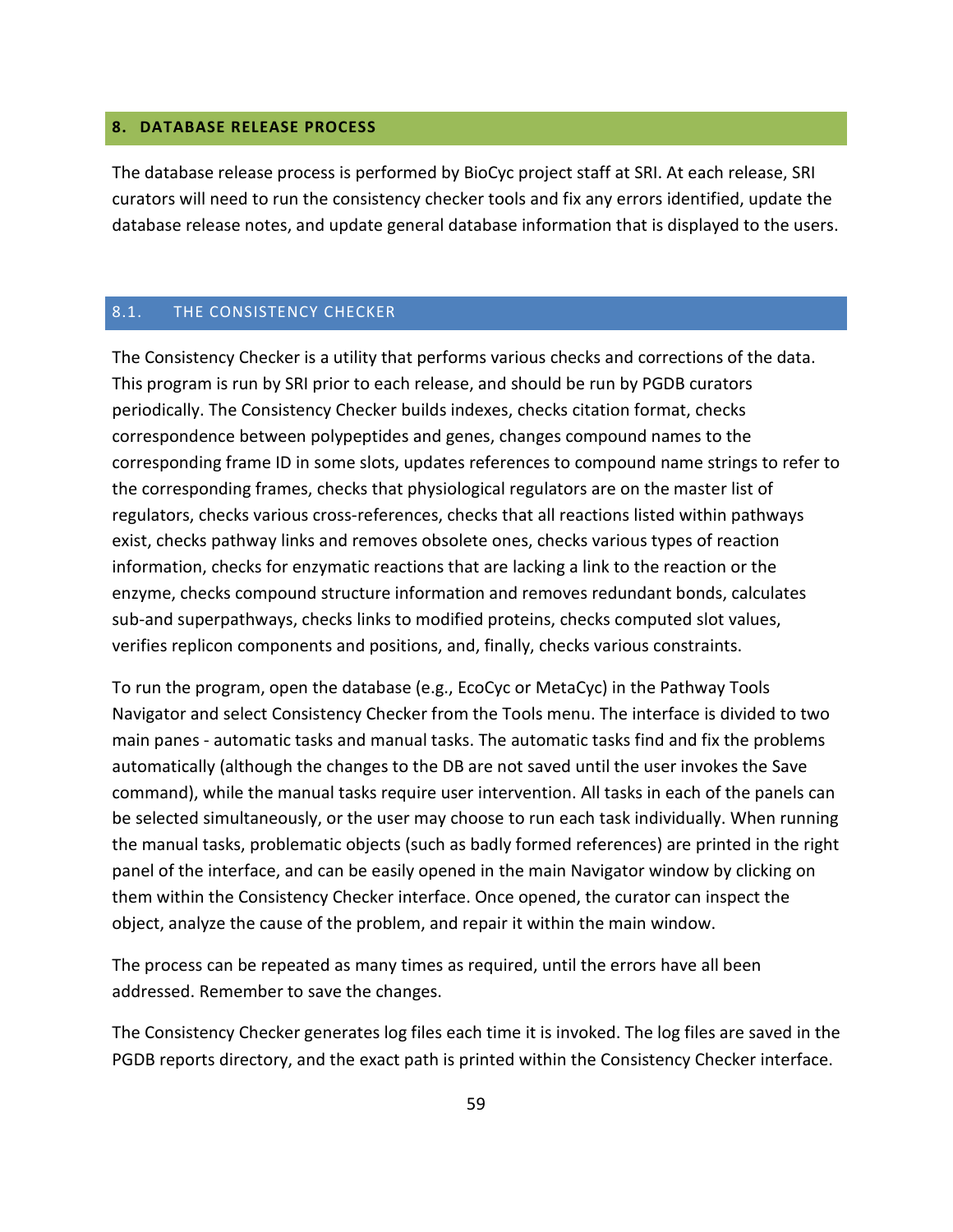## <span id="page-58-0"></span>**8. DATABASE RELEASE PROCESS**

The database release process is performed by BioCyc project staff at SRI. At each release, SRI curators will need to run the consistency checker tools and fix any errors identified, update the database release notes, and update general database information that is displayed to the users.

#### <span id="page-58-1"></span>8.1. THE CONSISTENCY CHECKER

The Consistency Checker is a utility that performs various checks and corrections of the data. This program is run by SRI prior to each release, and should be run by PGDB curators periodically. The Consistency Checker builds indexes, checks citation format, checks correspondence between polypeptides and genes, changes compound names to the corresponding frame ID in some slots, updates references to compound name strings to refer to the corresponding frames, checks that physiological regulators are on the master list of regulators, checks various cross-references, checks that all reactions listed within pathways exist, checks pathway links and removes obsolete ones, checks various types of reaction information, checks for enzymatic reactions that are lacking a link to the reaction or the enzyme, checks compound structure information and removes redundant bonds, calculates sub-and superpathways, checks links to modified proteins, checks computed slot values, verifies replicon components and positions, and, finally, checks various constraints.

To run the program, open the database (e.g., EcoCyc or MetaCyc) in the Pathway Tools Navigator and select Consistency Checker from the Tools menu. The interface is divided to two main panes - automatic tasks and manual tasks. The automatic tasks find and fix the problems automatically (although the changes to the DB are not saved until the user invokes the Save command), while the manual tasks require user intervention. All tasks in each of the panels can be selected simultaneously, or the user may choose to run each task individually. When running the manual tasks, problematic objects (such as badly formed references) are printed in the right panel of the interface, and can be easily opened in the main Navigator window by clicking on them within the Consistency Checker interface. Once opened, the curator can inspect the object, analyze the cause of the problem, and repair it within the main window.

The process can be repeated as many times as required, until the errors have all been addressed. Remember to save the changes.

The Consistency Checker generates log files each time it is invoked. The log files are saved in the PGDB reports directory, and the exact path is printed within the Consistency Checker interface.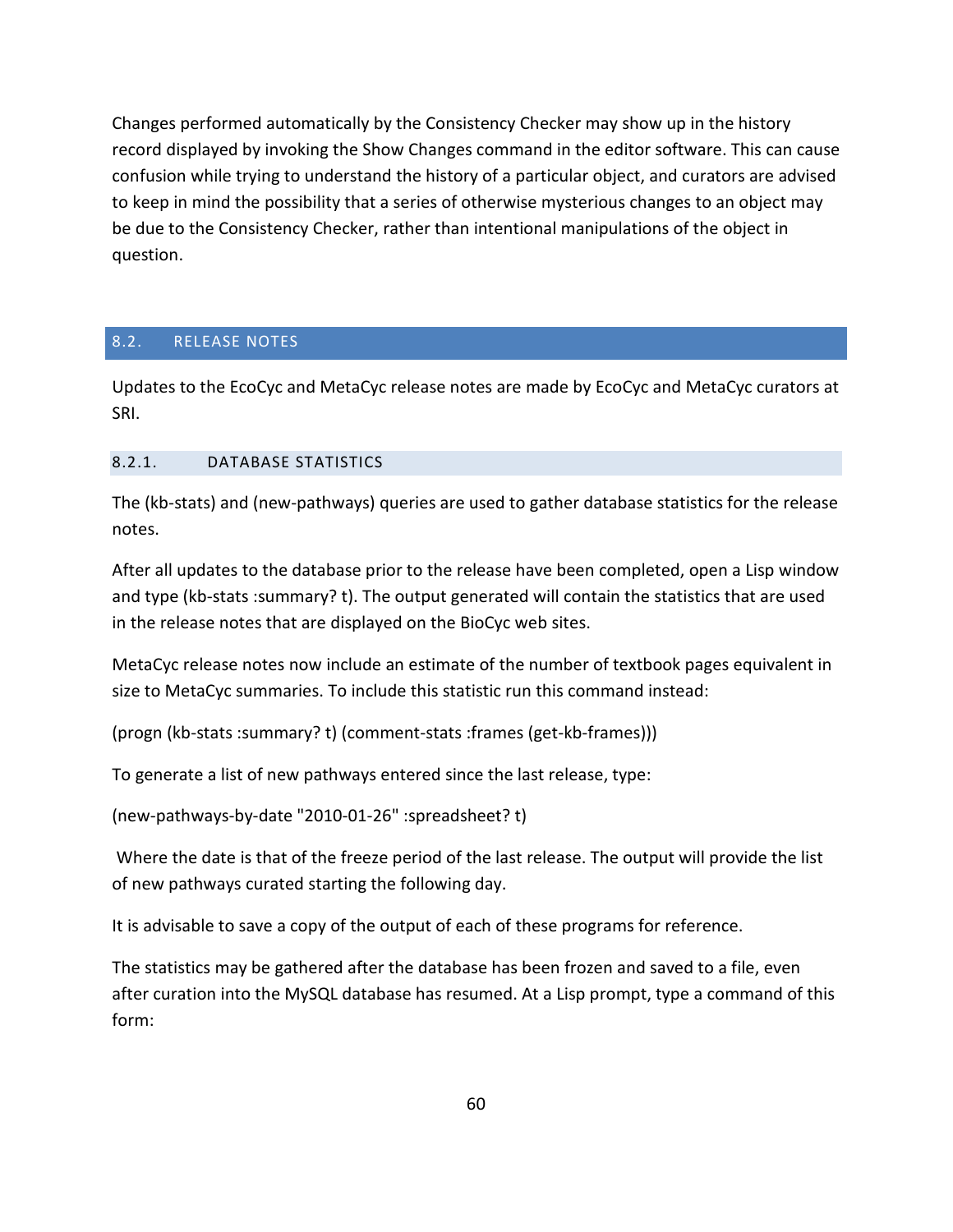Changes performed automatically by the Consistency Checker may show up in the history record displayed by invoking the Show Changes command in the editor software. This can cause confusion while trying to understand the history of a particular object, and curators are advised to keep in mind the possibility that a series of otherwise mysterious changes to an object may be due to the Consistency Checker, rather than intentional manipulations of the object in question.

## <span id="page-59-0"></span>8.2. RELEASE NOTES

Updates to the EcoCyc and MetaCyc release notes are made by EcoCyc and MetaCyc curators at SRI.

## <span id="page-59-1"></span>8.2.1. DATABASE STATISTICS

The (kb-stats) and (new-pathways) queries are used to gather database statistics for the release notes.

After all updates to the database prior to the release have been completed, open a Lisp window and type (kb-stats :summary? t). The output generated will contain the statistics that are used in the release notes that are displayed on the BioCyc web sites.

MetaCyc release notes now include an estimate of the number of textbook pages equivalent in size to MetaCyc summaries. To include this statistic run this command instead:

(progn (kb-stats :summary? t) (comment-stats :frames (get-kb-frames)))

To generate a list of new pathways entered since the last release, type:

(new-pathways-by-date "2010-01-26" :spreadsheet? t)

Where the date is that of the freeze period of the last release. The output will provide the list of new pathways curated starting the following day.

It is advisable to save a copy of the output of each of these programs for reference.

The statistics may be gathered after the database has been frozen and saved to a file, even after curation into the MySQL database has resumed. At a Lisp prompt, type a command of this form: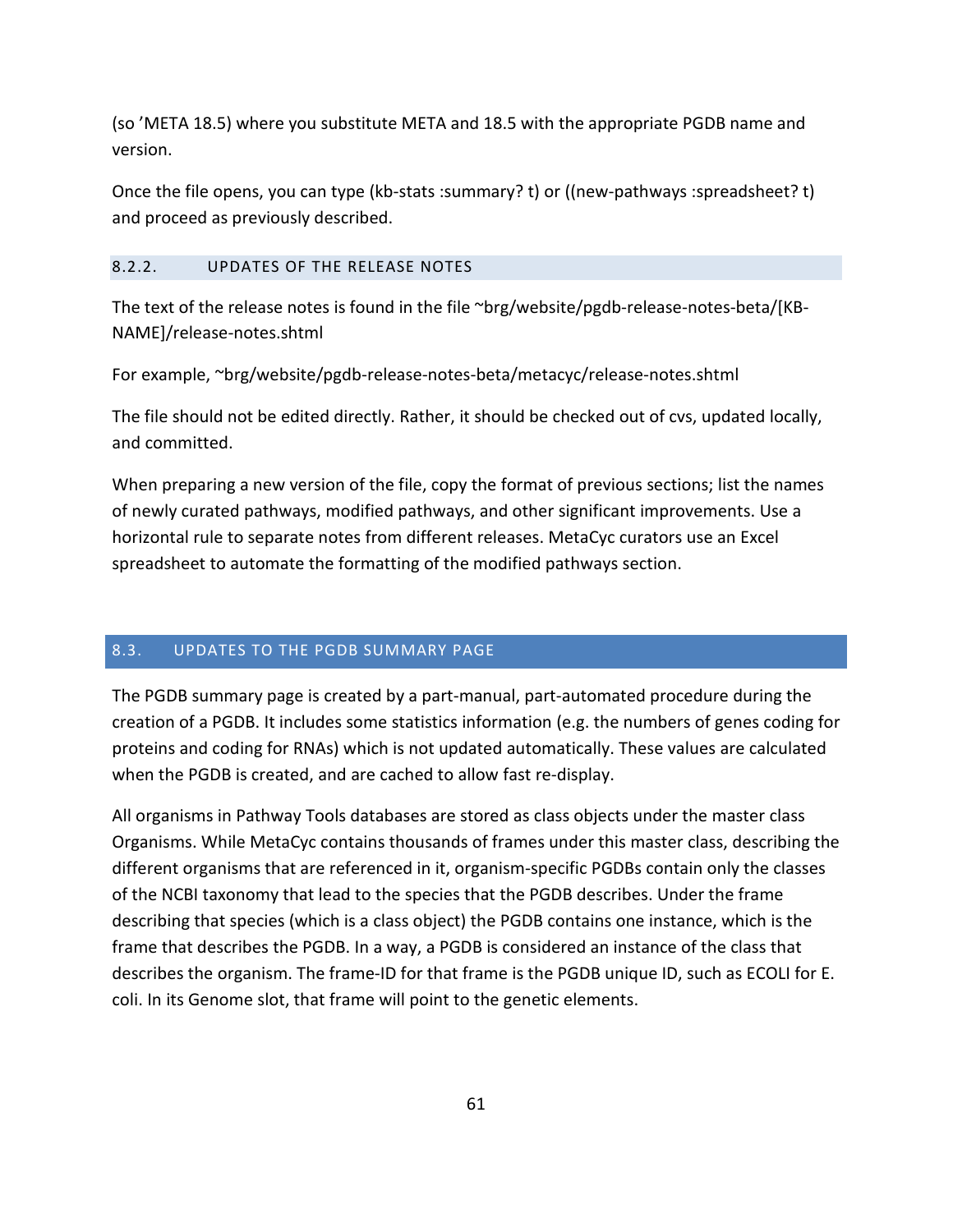(so 'META 18.5) where you substitute META and 18.5 with the appropriate PGDB name and version.

Once the file opens, you can type (kb-stats :summary? t) or ((new-pathways :spreadsheet? t) and proceed as previously described.

## <span id="page-60-0"></span>8.2.2. UPDATES OF THE RELEASE NOTES

The text of the release notes is found in the file ~brg/website/pgdb-release-notes-beta/[KB-NAME]/release-notes.shtml

For example, ~brg/website/pgdb-release-notes-beta/metacyc/release-notes.shtml

The file should not be edited directly. Rather, it should be checked out of cvs, updated locally, and committed.

When preparing a new version of the file, copy the format of previous sections; list the names of newly curated pathways, modified pathways, and other significant improvements. Use a horizontal rule to separate notes from different releases. MetaCyc curators use an Excel spreadsheet to automate the formatting of the modified pathways section.

## <span id="page-60-1"></span>8.3. UPDATES TO THE PGDB SUMMARY PAGE

The PGDB summary page is created by a part-manual, part-automated procedure during the creation of a PGDB. It includes some statistics information (e.g. the numbers of genes coding for proteins and coding for RNAs) which is not updated automatically. These values are calculated when the PGDB is created, and are cached to allow fast re-display.

All organisms in Pathway Tools databases are stored as class objects under the master class Organisms. While MetaCyc contains thousands of frames under this master class, describing the different organisms that are referenced in it, organism-specific PGDBs contain only the classes of the NCBI taxonomy that lead to the species that the PGDB describes. Under the frame describing that species (which is a class object) the PGDB contains one instance, which is the frame that describes the PGDB. In a way, a PGDB is considered an instance of the class that describes the organism. The frame-ID for that frame is the PGDB unique ID, such as ECOLI for E. coli. In its Genome slot, that frame will point to the genetic elements.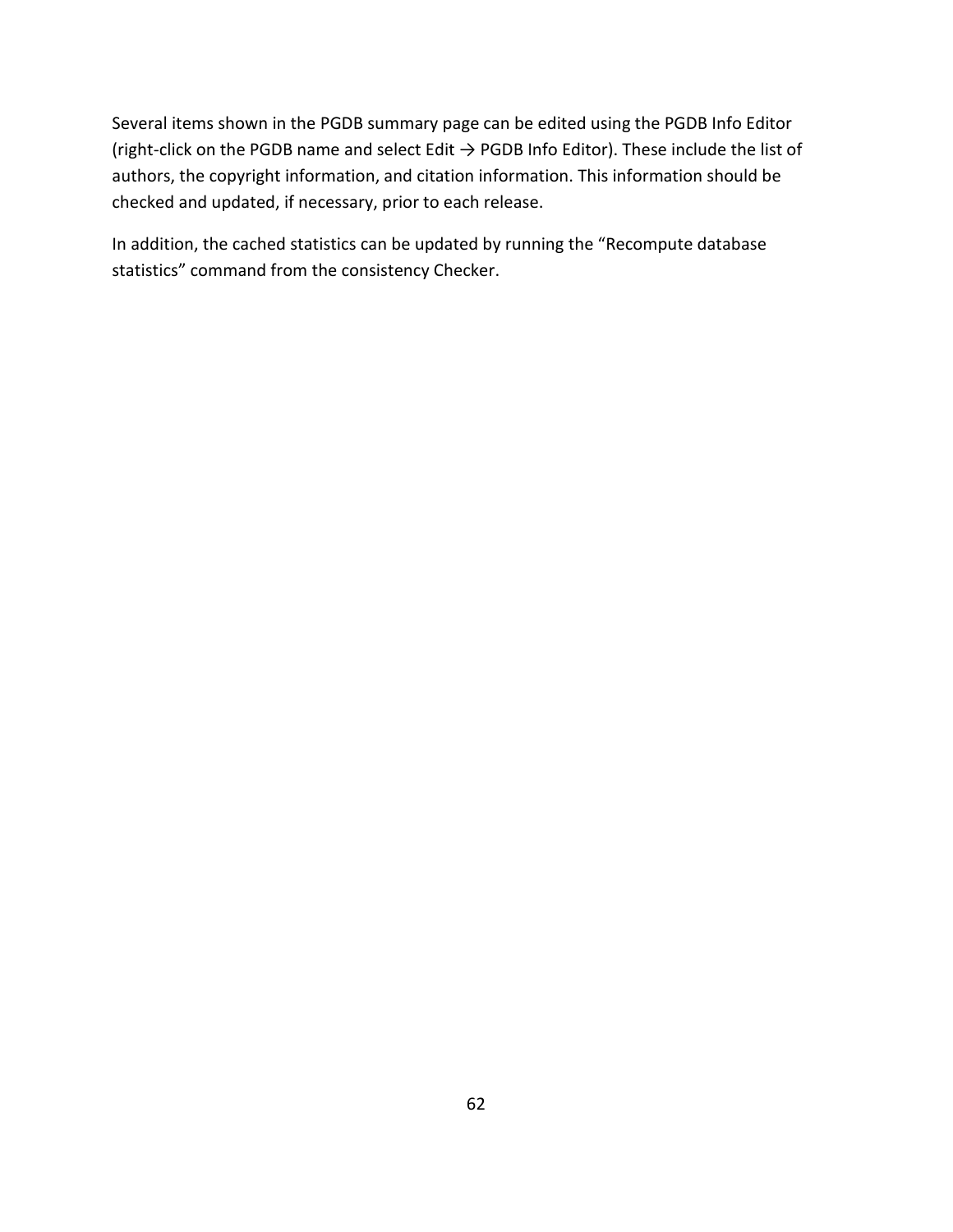Several items shown in the PGDB summary page can be edited using the PGDB Info Editor (right-click on the PGDB name and select Edit  $\rightarrow$  PGDB Info Editor). These include the list of authors, the copyright information, and citation information. This information should be checked and updated, if necessary, prior to each release.

In addition, the cached statistics can be updated by running the "Recompute database statistics" command from the consistency Checker.